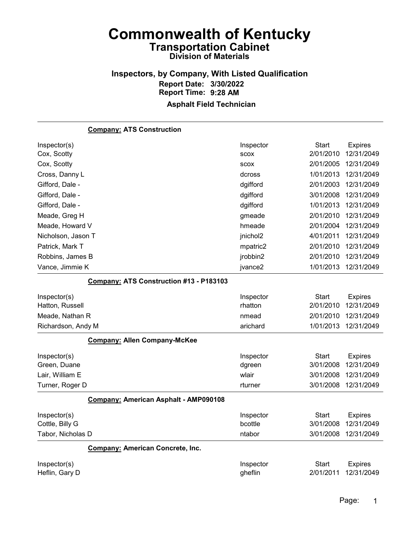# Inspectors, by Company, With Listed Qualification Report Date: 3/30/2022 Report Time: 9:28 AM

| <b>Company: ATS Construction</b>        |             |              |                |
|-----------------------------------------|-------------|--------------|----------------|
| Inspector(s)                            | Inspector   | <b>Start</b> | <b>Expires</b> |
| Cox, Scotty                             | <b>SCOX</b> | 2/01/2010    | 12/31/2049     |
| Cox, Scotty                             | <b>SCOX</b> | 2/01/2005    | 12/31/2049     |
| Cross, Danny L                          | dcross      | 1/01/2013    | 12/31/2049     |
| Gifford, Dale -                         | dgifford    | 2/01/2003    | 12/31/2049     |
| Gifford, Dale -                         | dgifford    | 3/01/2008    | 12/31/2049     |
| Gifford, Dale -                         | dgifford    | 1/01/2013    | 12/31/2049     |
| Meade, Greg H                           | gmeade      | 2/01/2010    | 12/31/2049     |
| Meade, Howard V                         | hmeade      | 2/01/2004    | 12/31/2049     |
| Nicholson, Jason T                      | jnichol2    | 4/01/2011    | 12/31/2049     |
| Patrick, Mark T                         | mpatric2    | 2/01/2010    | 12/31/2049     |
| Robbins, James B                        | jrobbin2    | 2/01/2010    | 12/31/2049     |
| Vance, Jimmie K                         | jvance2     | 1/01/2013    | 12/31/2049     |
| Company: ATS Construction #13 - P183103 |             |              |                |
| Inspector(s)                            | Inspector   | <b>Start</b> | <b>Expires</b> |
| Hatton, Russell                         | rhatton     | 2/01/2010    | 12/31/2049     |
| Meade, Nathan R                         | nmead       | 2/01/2010    | 12/31/2049     |
| Richardson, Andy M                      | arichard    | 1/01/2013    | 12/31/2049     |
| <b>Company: Allen Company-McKee</b>     |             |              |                |
| Inspector(s)                            | Inspector   | <b>Start</b> | <b>Expires</b> |
| Green, Duane                            | dgreen      | 3/01/2008    | 12/31/2049     |
| Lair, William E                         | wlair       | 3/01/2008    | 12/31/2049     |
| Turner, Roger D                         | rturner     | 3/01/2008    | 12/31/2049     |
| Company: American Asphalt - AMP090108   |             |              |                |
| Inspector(s)                            | Inspector   | Start        | <b>Expires</b> |
| Cottle, Billy G                         | bcottle     | 3/01/2008    | 12/31/2049     |
| Tabor, Nicholas D                       | ntabor      | 3/01/2008    | 12/31/2049     |
| <b>Company: American Concrete, Inc.</b> |             |              |                |
| Inspector(s)                            | Inspector   | <b>Start</b> | <b>Expires</b> |
| Heflin, Gary D                          | gheflin     | 2/01/2011    | 12/31/2049     |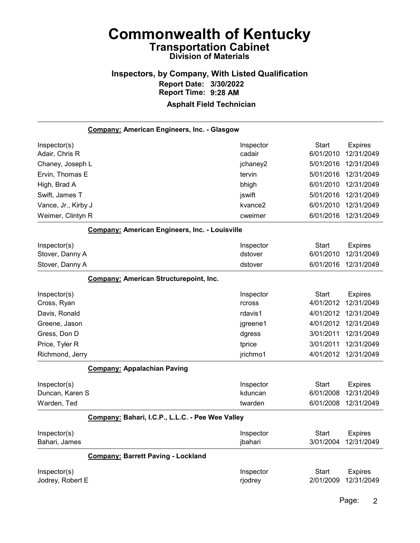#### Inspectors, by Company, With Listed Qualification Report Date: 3/30/2022 Report Time: 9:28 AM Asphalt Field Technician

Company: American Engineers, Inc. - Glasgow Inspector(s) **Inspector** Start Expires Adair, Chris R cadair 6/01/2010 12/31/2049 Chaney, Joseph L jchaney2 5/01/2016 12/31/2049 Ervin, Thomas E tervin 5/01/2016 12/31/2049 High, Brad A bhigh 6/01/2010 12/31/2049 Swift, James T jswift 5/01/2016 12/31/2049 Vance, Jr., Kirby J kvance2 6/01/2010 12/31/2049 Weimer, Clintyn R cweimer 6/01/2016 12/31/2049 Company: American Engineers, Inc. - Louisville Inspector(s) **Inspector** Start Expires Stover, Danny A dstover 6/01/2010 12/31/2049 Stover, Danny A dstover 6/01/2016 12/31/2049 Company: American Structurepoint, Inc. Inspector(s) **Inspector** Start Expires Cross, Ryan rcross 4/01/2012 12/31/2049 Davis, Ronald rdavis1 4/01/2012 12/31/2049 Greene, Jason jgreene1 4/01/2012 12/31/2049 Gress, Don D dgress 3/01/2011 12/31/2049 Price, Tyler R tprice 3/01/2011 12/31/2049 Richmond, Jerry **1988** 1999 12:31/2049 12:31/2049 12:31/2049 12:31/2049 Company: Appalachian Paving Inspector(s) **Inspector** Start Expires Duncan, Karen S kduncan 6/01/2008 12/31/2049 Warden, Ted twarden 6/01/2008 12/31/2049 Company: Bahari, I.C.P., L.L.C. - Pee Wee Valley Inspector(s) **Inspector** Start Expires Bahari, James jbahari 3/01/2004 12/31/2049 Company: Barrett Paving - Lockland Inspector(s) **Inspector** Start Expires Jodrey, Robert E rjodrey 2/01/2009 12/31/2049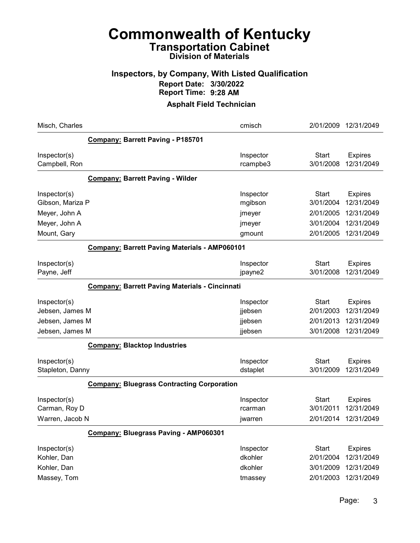#### Inspectors, by Company, With Listed Qualification Report Date: 3/30/2022 Report Time: 9:28 AM

| Company: Barrett Paving - P185701<br><b>Start</b><br>Inspector(s)<br>Inspector<br><b>Expires</b><br>3/01/2008<br>12/31/2049<br>Campbell, Ron<br>rcampbe3<br><b>Company: Barrett Paving - Wilder</b><br><b>Start</b><br>Inspector(s)<br>Inspector<br><b>Expires</b><br>3/01/2004<br>12/31/2049<br>Gibson, Mariza P<br>mgibson<br>2/01/2005<br>12/31/2049<br>Meyer, John A<br>jmeyer<br>3/01/2004<br>12/31/2049<br>Meyer, John A<br>jmeyer<br>2/01/2005<br>12/31/2049<br>Mount, Gary<br>gmount<br><b>Company: Barrett Paving Materials - AMP060101</b><br><b>Start</b><br>Inspector(s)<br>Inspector<br><b>Expires</b><br>3/01/2008<br>12/31/2049<br>Payne, Jeff<br>jpayne2<br><b>Company: Barrett Paving Materials - Cincinnati</b><br><b>Start</b><br>Inspector(s)<br>Inspector<br><b>Expires</b><br>Jebsen, James M<br>2/01/2003<br>12/31/2049<br>jjebsen<br>Jebsen, James M<br>2/01/2013<br>12/31/2049<br>jjebsen<br>3/01/2008<br>12/31/2049<br>Jebsen, James M<br>jjebsen<br><b>Company: Blacktop Industries</b><br><b>Start</b><br>Inspector(s)<br>Inspector<br><b>Expires</b><br>3/01/2009<br>12/31/2049<br>Stapleton, Danny<br>dstaplet<br><b>Company: Bluegrass Contracting Corporation</b><br><b>Start</b><br>Inspector(s)<br>Inspector<br><b>Expires</b><br>12/31/2049<br>3/01/2011<br>Carman, Roy D<br>rcarman<br>Warren, Jacob N<br>2/01/2014<br>12/31/2049<br>jwarren<br>Company: Bluegrass Paving - AMP060301<br><b>Start</b><br>Inspector(s)<br>Inspector<br><b>Expires</b><br>dkohler<br>2/01/2004<br>12/31/2049<br>Kohler, Dan<br>Kohler, Dan<br>dkohler<br>3/01/2009<br>12/31/2049<br>Massey, Tom<br>2/01/2003<br>12/31/2049<br>tmassey | Misch, Charles | cmisch | 2/01/2009 | 12/31/2049 |
|---------------------------------------------------------------------------------------------------------------------------------------------------------------------------------------------------------------------------------------------------------------------------------------------------------------------------------------------------------------------------------------------------------------------------------------------------------------------------------------------------------------------------------------------------------------------------------------------------------------------------------------------------------------------------------------------------------------------------------------------------------------------------------------------------------------------------------------------------------------------------------------------------------------------------------------------------------------------------------------------------------------------------------------------------------------------------------------------------------------------------------------------------------------------------------------------------------------------------------------------------------------------------------------------------------------------------------------------------------------------------------------------------------------------------------------------------------------------------------------------------------------------------------------------------------------------------------------------------------------------------------------------------------|----------------|--------|-----------|------------|
|                                                                                                                                                                                                                                                                                                                                                                                                                                                                                                                                                                                                                                                                                                                                                                                                                                                                                                                                                                                                                                                                                                                                                                                                                                                                                                                                                                                                                                                                                                                                                                                                                                                         |                |        |           |            |
|                                                                                                                                                                                                                                                                                                                                                                                                                                                                                                                                                                                                                                                                                                                                                                                                                                                                                                                                                                                                                                                                                                                                                                                                                                                                                                                                                                                                                                                                                                                                                                                                                                                         |                |        |           |            |
|                                                                                                                                                                                                                                                                                                                                                                                                                                                                                                                                                                                                                                                                                                                                                                                                                                                                                                                                                                                                                                                                                                                                                                                                                                                                                                                                                                                                                                                                                                                                                                                                                                                         |                |        |           |            |
|                                                                                                                                                                                                                                                                                                                                                                                                                                                                                                                                                                                                                                                                                                                                                                                                                                                                                                                                                                                                                                                                                                                                                                                                                                                                                                                                                                                                                                                                                                                                                                                                                                                         |                |        |           |            |
|                                                                                                                                                                                                                                                                                                                                                                                                                                                                                                                                                                                                                                                                                                                                                                                                                                                                                                                                                                                                                                                                                                                                                                                                                                                                                                                                                                                                                                                                                                                                                                                                                                                         |                |        |           |            |
|                                                                                                                                                                                                                                                                                                                                                                                                                                                                                                                                                                                                                                                                                                                                                                                                                                                                                                                                                                                                                                                                                                                                                                                                                                                                                                                                                                                                                                                                                                                                                                                                                                                         |                |        |           |            |
|                                                                                                                                                                                                                                                                                                                                                                                                                                                                                                                                                                                                                                                                                                                                                                                                                                                                                                                                                                                                                                                                                                                                                                                                                                                                                                                                                                                                                                                                                                                                                                                                                                                         |                |        |           |            |
|                                                                                                                                                                                                                                                                                                                                                                                                                                                                                                                                                                                                                                                                                                                                                                                                                                                                                                                                                                                                                                                                                                                                                                                                                                                                                                                                                                                                                                                                                                                                                                                                                                                         |                |        |           |            |
|                                                                                                                                                                                                                                                                                                                                                                                                                                                                                                                                                                                                                                                                                                                                                                                                                                                                                                                                                                                                                                                                                                                                                                                                                                                                                                                                                                                                                                                                                                                                                                                                                                                         |                |        |           |            |
|                                                                                                                                                                                                                                                                                                                                                                                                                                                                                                                                                                                                                                                                                                                                                                                                                                                                                                                                                                                                                                                                                                                                                                                                                                                                                                                                                                                                                                                                                                                                                                                                                                                         |                |        |           |            |
|                                                                                                                                                                                                                                                                                                                                                                                                                                                                                                                                                                                                                                                                                                                                                                                                                                                                                                                                                                                                                                                                                                                                                                                                                                                                                                                                                                                                                                                                                                                                                                                                                                                         |                |        |           |            |
|                                                                                                                                                                                                                                                                                                                                                                                                                                                                                                                                                                                                                                                                                                                                                                                                                                                                                                                                                                                                                                                                                                                                                                                                                                                                                                                                                                                                                                                                                                                                                                                                                                                         |                |        |           |            |
|                                                                                                                                                                                                                                                                                                                                                                                                                                                                                                                                                                                                                                                                                                                                                                                                                                                                                                                                                                                                                                                                                                                                                                                                                                                                                                                                                                                                                                                                                                                                                                                                                                                         |                |        |           |            |
|                                                                                                                                                                                                                                                                                                                                                                                                                                                                                                                                                                                                                                                                                                                                                                                                                                                                                                                                                                                                                                                                                                                                                                                                                                                                                                                                                                                                                                                                                                                                                                                                                                                         |                |        |           |            |
|                                                                                                                                                                                                                                                                                                                                                                                                                                                                                                                                                                                                                                                                                                                                                                                                                                                                                                                                                                                                                                                                                                                                                                                                                                                                                                                                                                                                                                                                                                                                                                                                                                                         |                |        |           |            |
|                                                                                                                                                                                                                                                                                                                                                                                                                                                                                                                                                                                                                                                                                                                                                                                                                                                                                                                                                                                                                                                                                                                                                                                                                                                                                                                                                                                                                                                                                                                                                                                                                                                         |                |        |           |            |
|                                                                                                                                                                                                                                                                                                                                                                                                                                                                                                                                                                                                                                                                                                                                                                                                                                                                                                                                                                                                                                                                                                                                                                                                                                                                                                                                                                                                                                                                                                                                                                                                                                                         |                |        |           |            |
|                                                                                                                                                                                                                                                                                                                                                                                                                                                                                                                                                                                                                                                                                                                                                                                                                                                                                                                                                                                                                                                                                                                                                                                                                                                                                                                                                                                                                                                                                                                                                                                                                                                         |                |        |           |            |
|                                                                                                                                                                                                                                                                                                                                                                                                                                                                                                                                                                                                                                                                                                                                                                                                                                                                                                                                                                                                                                                                                                                                                                                                                                                                                                                                                                                                                                                                                                                                                                                                                                                         |                |        |           |            |
|                                                                                                                                                                                                                                                                                                                                                                                                                                                                                                                                                                                                                                                                                                                                                                                                                                                                                                                                                                                                                                                                                                                                                                                                                                                                                                                                                                                                                                                                                                                                                                                                                                                         |                |        |           |            |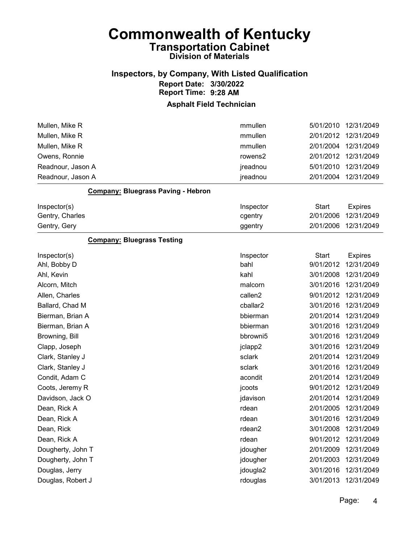### Inspectors, by Company, With Listed Qualification Report Date: 3/30/2022 Report Time: 9:28 AM

| Mullen, Mike R                            | mmullen   | 5/01/2010    | 12/31/2049           |
|-------------------------------------------|-----------|--------------|----------------------|
| Mullen, Mike R                            | mmullen   | 2/01/2012    | 12/31/2049           |
| Mullen, Mike R                            | mmullen   | 2/01/2004    | 12/31/2049           |
| Owens, Ronnie                             | rowens2   | 2/01/2012    | 12/31/2049           |
| Readnour, Jason A                         | jreadnou  | 5/01/2010    | 12/31/2049           |
| Readnour, Jason A                         | jreadnou  | 2/01/2004    | 12/31/2049           |
| <b>Company: Bluegrass Paving - Hebron</b> |           |              |                      |
| Inspector(s)                              | Inspector | <b>Start</b> | <b>Expires</b>       |
| Gentry, Charles                           | cgentry   | 2/01/2006    | 12/31/2049           |
| Gentry, Gery                              | ggentry   | 2/01/2006    | 12/31/2049           |
| <b>Company: Bluegrass Testing</b>         |           |              |                      |
| Inspector(s)                              | Inspector | <b>Start</b> | <b>Expires</b>       |
| Ahl, Bobby D                              | bahl      | 9/01/2012    | 12/31/2049           |
| Ahl, Kevin                                | kahl      | 3/01/2008    | 12/31/2049           |
| Alcorn, Mitch                             | malcorn   | 3/01/2016    | 12/31/2049           |
| Allen, Charles                            | callen2   | 9/01/2012    | 12/31/2049           |
| Ballard, Chad M                           | cballar2  | 3/01/2016    | 12/31/2049           |
| Bierman, Brian A                          | bbierman  | 2/01/2014    | 12/31/2049           |
| Bierman, Brian A                          | bbierman  | 3/01/2016    | 12/31/2049           |
| Browning, Bill                            | bbrowni5  | 3/01/2016    | 12/31/2049           |
| Clapp, Joseph                             | jclapp2   | 3/01/2016    | 12/31/2049           |
| Clark, Stanley J                          | sclark    | 2/01/2014    | 12/31/2049           |
| Clark, Stanley J                          | sclark    | 3/01/2016    | 12/31/2049           |
| Condit, Adam C                            | acondit   | 2/01/2014    | 12/31/2049           |
| Coots, Jeremy R                           | jcoots    | 9/01/2012    | 12/31/2049           |
| Davidson, Jack O                          | jdavison  | 2/01/2014    | 12/31/2049           |
| Dean, Rick A                              | rdean     | 2/01/2005    | 12/31/2049           |
| Dean, Rick A                              | rdean     | 3/01/2016    | 12/31/2049           |
| Dean, Rick                                | rdean2    |              | 3/01/2008 12/31/2049 |
| Dean, Rick A                              | rdean     | 9/01/2012    | 12/31/2049           |
| Dougherty, John T                         | jdougher  | 2/01/2009    | 12/31/2049           |
| Dougherty, John T                         | jdougher  | 2/01/2003    | 12/31/2049           |
| Douglas, Jerry                            | jdougla2  | 3/01/2016    | 12/31/2049           |
| Douglas, Robert J                         | rdouglas  | 3/01/2013    | 12/31/2049           |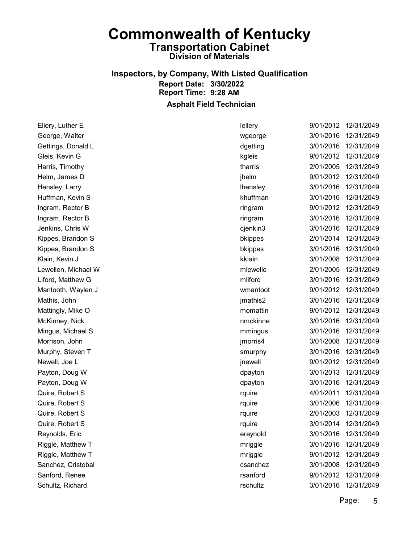# Inspectors, by Company, With Listed Qualification Report Date: 3/30/2022 Report Time: 9:28 AM

Asphalt Field Technician

| Ellery, Luther E    | lellery  | 9/01/2012 | 12/31/2049 |
|---------------------|----------|-----------|------------|
| George, Walter      | wgeorge  | 3/01/2016 | 12/31/2049 |
| Gettings, Donald L  | dgetting | 3/01/2016 | 12/31/2049 |
| Gleis, Kevin G      | kgleis   | 9/01/2012 | 12/31/2049 |
| Harris, Timothy     | tharris  | 2/01/2005 | 12/31/2049 |
| Helm, James D       | jhelm    | 9/01/2012 | 12/31/2049 |
| Hensley, Larry      | lhensley | 3/01/2016 | 12/31/2049 |
| Huffman, Kevin S    | khuffman | 3/01/2016 | 12/31/2049 |
| Ingram, Rector B    | ringram  | 9/01/2012 | 12/31/2049 |
| Ingram, Rector B    | ringram  | 3/01/2016 | 12/31/2049 |
| Jenkins, Chris W    | cjenkin3 | 3/01/2016 | 12/31/2049 |
| Kippes, Brandon S   | bkippes  | 2/01/2014 | 12/31/2049 |
| Kippes, Brandon S   | bkippes  | 3/01/2016 | 12/31/2049 |
| Klain, Kevin J      | kklain   | 3/01/2008 | 12/31/2049 |
| Lewellen, Michael W | mlewelle | 2/01/2005 | 12/31/2049 |
| Liford, Matthew G   | mliford  | 3/01/2016 | 12/31/2049 |
| Mantooth, Waylen J  | wmantoot | 9/01/2012 | 12/31/2049 |
| Mathis, John        | jmathis2 | 3/01/2016 | 12/31/2049 |
| Mattingly, Mike O   | momattin | 9/01/2012 | 12/31/2049 |
| McKinney, Nick      | nmckinne | 3/01/2016 | 12/31/2049 |
| Mingus, Michael S   | mmingus  | 3/01/2016 | 12/31/2049 |
| Morrison, John      | jmorris4 | 3/01/2008 | 12/31/2049 |
| Murphy, Steven T    | smurphy  | 3/01/2016 | 12/31/2049 |
| Newell, Joe L       | jnewell  | 9/01/2012 | 12/31/2049 |
| Payton, Doug W      | dpayton  | 3/01/2013 | 12/31/2049 |
| Payton, Doug W      | dpayton  | 3/01/2016 | 12/31/2049 |
| Quire, Robert S     | rquire   | 4/01/2011 | 12/31/2049 |
| Quire, Robert S     | rquire   | 3/01/2006 | 12/31/2049 |
| Quire, Robert S     | rquire   | 2/01/2003 | 12/31/2049 |
| Quire, Robert S     | rquire   | 3/01/2014 | 12/31/2049 |
| Reynolds, Eric      | ereynold | 3/01/2016 | 12/31/2049 |
| Riggle, Matthew T   | mriggle  | 3/01/2016 | 12/31/2049 |
| Riggle, Matthew T   | mriggle  | 9/01/2012 | 12/31/2049 |
| Sanchez, Cristobal  | csanchez | 3/01/2008 | 12/31/2049 |
| Sanford, Renee      | rsanford | 9/01/2012 | 12/31/2049 |
| Schultz, Richard    | rschultz | 3/01/2016 | 12/31/2049 |
|                     |          |           |            |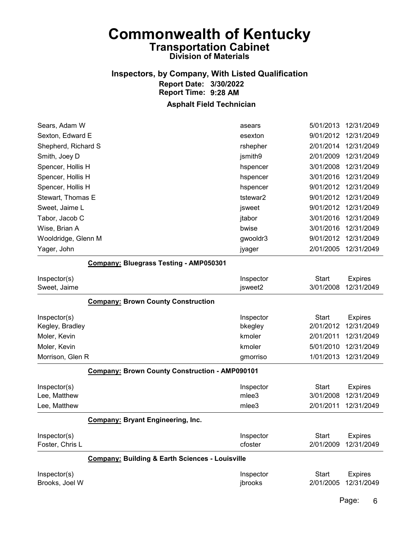### Inspectors, by Company, With Listed Qualification Report Date: 3/30/2022 Report Time: 9:28 AM

#### Asphalt Field Technician

| asears   | 5/01/2013 | 12/31/2049           |
|----------|-----------|----------------------|
| esexton  |           | 9/01/2012 12/31/2049 |
| rshepher | 2/01/2014 | 12/31/2049           |
| jsmith9  | 2/01/2009 | 12/31/2049           |
| hspencer | 3/01/2008 | 12/31/2049           |
| hspencer | 3/01/2016 | 12/31/2049           |
| hspencer | 9/01/2012 | 12/31/2049           |
| tstewar2 | 9/01/2012 | 12/31/2049           |
| jsweet   | 9/01/2012 | 12/31/2049           |
| jtabor   | 3/01/2016 | 12/31/2049           |
| bwise    | 3/01/2016 | 12/31/2049           |
| gwooldr3 | 9/01/2012 | 12/31/2049           |
| jyager   | 2/01/2005 | 12/31/2049           |
|          |           |                      |

#### Company: Bluegrass Testing - AMP050301

| Inspector(s)     |                                                            | Inspector | <b>Start</b> | <b>Expires</b> |
|------------------|------------------------------------------------------------|-----------|--------------|----------------|
| Sweet, Jaime     |                                                            | jsweet2   | 3/01/2008    | 12/31/2049     |
|                  | <b>Company: Brown County Construction</b>                  |           |              |                |
| Inspector(s)     |                                                            | Inspector | <b>Start</b> | <b>Expires</b> |
| Kegley, Bradley  |                                                            | bkegley   | 2/01/2012    | 12/31/2049     |
| Moler, Kevin     |                                                            | kmoler    | 2/01/2011    | 12/31/2049     |
| Moler, Kevin     |                                                            | kmoler    | 5/01/2010    | 12/31/2049     |
| Morrison, Glen R |                                                            | gmorriso  | 1/01/2013    | 12/31/2049     |
|                  | <b>Company: Brown County Construction - AMP090101</b>      |           |              |                |
| Inspector(s)     |                                                            | Inspector | <b>Start</b> | <b>Expires</b> |
| Lee, Matthew     |                                                            | mlee3     | 3/01/2008    | 12/31/2049     |
| Lee, Matthew     |                                                            | mlee3     | 2/01/2011    | 12/31/2049     |
|                  | <b>Company: Bryant Engineering, Inc.</b>                   |           |              |                |
| Inspector(s)     |                                                            | Inspector | Start        | <b>Expires</b> |
| Foster, Chris L  |                                                            | cfoster   | 2/01/2009    | 12/31/2049     |
|                  | <b>Company: Building &amp; Earth Sciences - Louisville</b> |           |              |                |
| Inspector(s)     |                                                            | Inspector | <b>Start</b> | <b>Expires</b> |
| Brooks, Joel W   |                                                            | ibrooks   | 2/01/2005    | 12/31/2049     |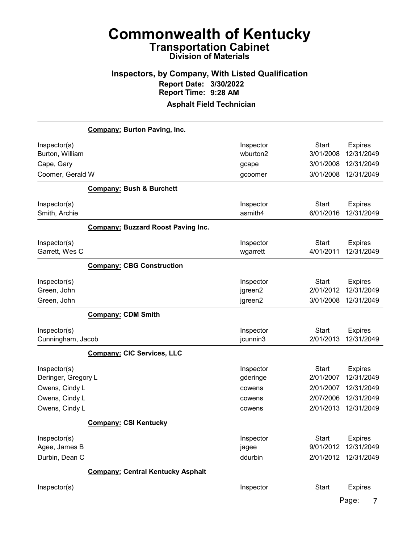# Inspectors, by Company, With Listed Qualification Report Date: 3/30/2022 Report Time: 9:28 AM

|                     | <b>Company: Burton Paving, Inc.</b>       |           |              |                |
|---------------------|-------------------------------------------|-----------|--------------|----------------|
| Inspector(s)        |                                           | Inspector | <b>Start</b> | <b>Expires</b> |
| Burton, William     |                                           | wburton2  | 3/01/2008    | 12/31/2049     |
| Cape, Gary          |                                           | gcape     | 3/01/2008    | 12/31/2049     |
| Coomer, Gerald W    |                                           | gcoomer   | 3/01/2008    | 12/31/2049     |
|                     | <b>Company: Bush &amp; Burchett</b>       |           |              |                |
| Inspector(s)        |                                           | Inspector | <b>Start</b> | <b>Expires</b> |
| Smith, Archie       |                                           | asmith4   | 6/01/2016    | 12/31/2049     |
|                     | <b>Company: Buzzard Roost Paving Inc.</b> |           |              |                |
| Inspector(s)        |                                           | Inspector | <b>Start</b> | <b>Expires</b> |
| Garrett, Wes C      |                                           | wgarrett  | 4/01/2011    | 12/31/2049     |
|                     | <b>Company: CBG Construction</b>          |           |              |                |
| Inspector(s)        |                                           | Inspector | <b>Start</b> | <b>Expires</b> |
| Green, John         |                                           | jgreen2   | 2/01/2012    | 12/31/2049     |
| Green, John         |                                           | jgreen2   | 3/01/2008    | 12/31/2049     |
|                     | <b>Company: CDM Smith</b>                 |           |              |                |
| Inspector(s)        |                                           | Inspector | <b>Start</b> | <b>Expires</b> |
| Cunningham, Jacob   |                                           | jcunnin3  | 2/01/2013    | 12/31/2049     |
|                     | <b>Company: CIC Services, LLC</b>         |           |              |                |
| Inspector(s)        |                                           | Inspector | Start        | <b>Expires</b> |
| Deringer, Gregory L |                                           | gderinge  | 2/01/2007    | 12/31/2049     |
| Owens, Cindy L      |                                           | cowens    | 2/01/2007    | 12/31/2049     |
| Owens, Cindy L      |                                           | cowens    | 2/07/2006    | 12/31/2049     |
| Owens, Cindy L      |                                           | cowens    | 2/01/2013    | 12/31/2049     |
|                     | <b>Company: CSI Kentucky</b>              |           |              |                |
| Inspector(s)        |                                           | Inspector | <b>Start</b> | <b>Expires</b> |
| Agee, James B       |                                           | jagee     | 9/01/2012    | 12/31/2049     |
| Durbin, Dean C      |                                           | ddurbin   | 2/01/2012    | 12/31/2049     |
|                     | <b>Company: Central Kentucky Asphalt</b>  |           |              |                |
| Inspector(s)        |                                           | Inspector | Start        | Expires        |
|                     |                                           |           |              | Page:<br>7     |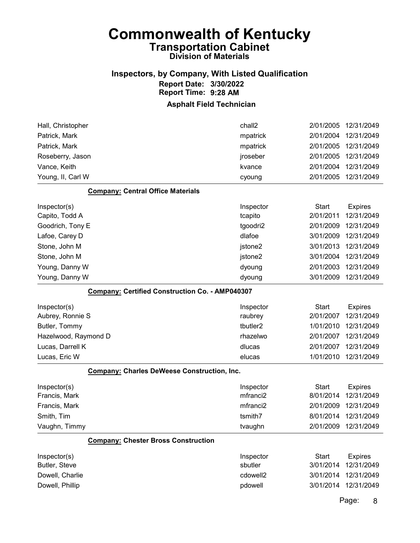### Inspectors, by Company, With Listed Qualification Report Date: 3/30/2022 Report Time: 9:28 AM

#### Asphalt Field Technician

| Hall, Christopher                                      | chall2               | 2/01/2005    | 12/31/2049           |
|--------------------------------------------------------|----------------------|--------------|----------------------|
| Patrick, Mark                                          | mpatrick             | 2/01/2004    | 12/31/2049           |
| Patrick, Mark                                          | mpatrick             | 2/01/2005    | 12/31/2049           |
| Roseberry, Jason                                       | jroseber             | 2/01/2005    | 12/31/2049           |
| Vance, Keith                                           | kvance               | 2/01/2004    | 12/31/2049           |
| Young, II, Carl W                                      | cyoung               | 2/01/2005    | 12/31/2049           |
| <b>Company: Central Office Materials</b>               |                      |              |                      |
| Inspector(s)                                           | Inspector            | <b>Start</b> | <b>Expires</b>       |
| Capito, Todd A                                         | tcapito              | 2/01/2011    | 12/31/2049           |
| Goodrich, Tony E                                       | tgoodri2             | 2/01/2009    | 12/31/2049           |
| Lafoe, Carey D                                         | dlafoe               | 3/01/2009    | 12/31/2049           |
| Stone, John M                                          | jstone2              | 3/01/2013    | 12/31/2049           |
| Stone, John M                                          | jstone2              | 3/01/2004    | 12/31/2049           |
| Young, Danny W                                         | dyoung               | 2/01/2003    | 12/31/2049           |
| Young, Danny W                                         | dyoung               | 3/01/2009    | 12/31/2049           |
| <b>Company: Certified Construction Co. - AMP040307</b> |                      |              |                      |
| Inspector(s)                                           | Inspector            | <b>Start</b> | <b>Expires</b>       |
| Aubrey, Ronnie S                                       | raubrey              | 2/01/2007    | 12/31/2049           |
| Butler, Tommy                                          | tbutler <sub>2</sub> | 1/01/2010    | 12/31/2049           |
| Hazelwood, Raymond D                                   | rhazelwo             | 2/01/2007    | 12/31/2049           |
| Lucas, Darrell K                                       | dlucas               | 2/01/2007    | 12/31/2049           |
| Lucas, Eric W                                          | elucas               | 1/01/2010    | 12/31/2049           |
| <b>Company: Charles DeWeese Construction, Inc.</b>     |                      |              |                      |
| Inspector(s)                                           | Inspector            | <b>Start</b> | <b>Expires</b>       |
| Francis, Mark                                          | mfranci2             | 8/01/2014    | 12/31/2049           |
| Francis, Mark                                          | mfranci2             | 2/01/2009    | 12/31/2049           |
| Smith, Tim                                             | tsmith7              | 8/01/2014    | 12/31/2049           |
| Vaughn, Timmy                                          | tvaughn              |              | 2/01/2009 12/31/2049 |
| <b>Company: Chester Bross Construction</b>             |                      |              |                      |
| Inspector(s)                                           | Inspector            | <b>Start</b> | <b>Expires</b>       |
| Butler, Steve                                          | sbutler              | 3/01/2014    | 12/31/2049           |
| Dowell, Charlie                                        | cdowell2             | 3/01/2014    | 12/31/2049           |
| Dowell, Phillip                                        | pdowell              | 3/01/2014    | 12/31/2049           |
|                                                        |                      |              |                      |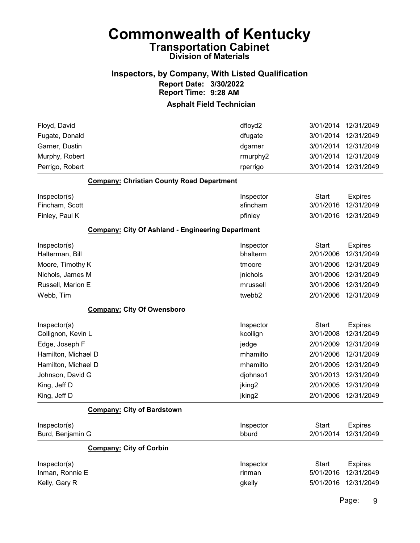#### Inspectors, by Company, With Listed Qualification Report Date: 3/30/2022 Report Time: 9:28 AM

#### Asphalt Field Technician

| Floyd, David                                             | dfloyd2            | 3/01/2014    | 12/31/2049           |
|----------------------------------------------------------|--------------------|--------------|----------------------|
| Fugate, Donald                                           | dfugate            | 3/01/2014    | 12/31/2049           |
| Garner, Dustin                                           | dgarner            | 3/01/2014    | 12/31/2049           |
| Murphy, Robert                                           | rmurphy2           | 3/01/2014    | 12/31/2049           |
| Perrigo, Robert                                          | rperrigo           | 3/01/2014    | 12/31/2049           |
| <b>Company: Christian County Road Department</b>         |                    |              |                      |
| Inspector(s)                                             | Inspector          | <b>Start</b> | <b>Expires</b>       |
| Fincham, Scott                                           | sfincham           | 3/01/2016    | 12/31/2049           |
| Finley, Paul K                                           | pfinley            | 3/01/2016    | 12/31/2049           |
| <b>Company: City Of Ashland - Engineering Department</b> |                    |              |                      |
| Inspector(s)                                             | Inspector          | <b>Start</b> | <b>Expires</b>       |
| Halterman, Bill                                          | bhalterm           | 2/01/2006    | 12/31/2049           |
| Moore, Timothy K                                         | tmoore             | 3/01/2006    | 12/31/2049           |
| Nichols, James M                                         | jnichols           | 3/01/2006    | 12/31/2049           |
| Russell, Marion E                                        | mrussell           | 3/01/2006    | 12/31/2049           |
| Webb, Tim                                                | twebb2             | 2/01/2006    | 12/31/2049           |
| <b>Company: City Of Owensboro</b>                        |                    |              |                      |
| Inspector(s)                                             | Inspector          | <b>Start</b> | <b>Expires</b>       |
| Collignon, Kevin L                                       | kcollign           | 3/01/2008    | 12/31/2049           |
| Edge, Joseph F                                           | jedge              | 2/01/2009    | 12/31/2049           |
| Hamilton, Michael D                                      | mhamilto           | 2/01/2006    | 12/31/2049           |
| Hamilton, Michael D                                      | mhamilto           | 2/01/2005    | 12/31/2049           |
| Johnson, David G                                         | djohnso1           | 3/01/2013    | 12/31/2049           |
| King, Jeff D                                             | jking <sub>2</sub> | 2/01/2005    | 12/31/2049           |
| King, Jeff D                                             | jking <sub>2</sub> | 2/01/2006    | 12/31/2049           |
| <b>Company: City of Bardstown</b>                        |                    |              |                      |
| Inspector(s)                                             | Inspector          | <b>Start</b> | <b>Expires</b>       |
| Burd, Benjamin G                                         | bburd              |              | 2/01/2014 12/31/2049 |
| <b>Company: City of Corbin</b>                           |                    |              |                      |
| Inspector(s)                                             | Inspector          | <b>Start</b> | <b>Expires</b>       |
| Inman, Ronnie E                                          | rinman             | 5/01/2016    | 12/31/2049           |
| Kelly, Gary R                                            | gkelly             | 5/01/2016    | 12/31/2049           |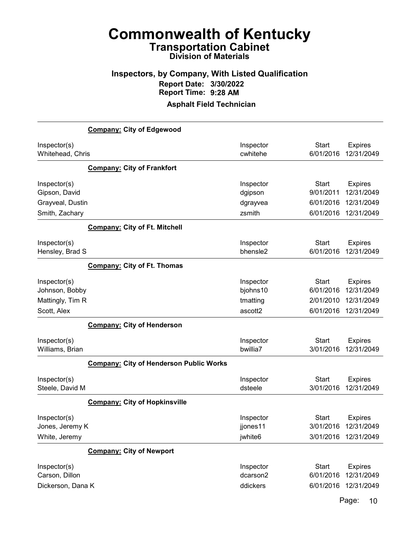### Inspectors, by Company, With Listed Qualification Report Date: 3/30/2022 Report Time: 9:28 AM

#### Asphalt Field Technician

|                                                                     | <b>Company: City of Edgewood</b>        |                                            |                                                     |                                                          |
|---------------------------------------------------------------------|-----------------------------------------|--------------------------------------------|-----------------------------------------------------|----------------------------------------------------------|
| Inspector(s)<br>Whitehead, Chris                                    |                                         | Inspector<br>cwhitehe                      | <b>Start</b><br>6/01/2016                           | <b>Expires</b><br>12/31/2049                             |
|                                                                     | <b>Company: City of Frankfort</b>       |                                            |                                                     |                                                          |
| Inspector(s)<br>Gipson, David<br>Grayveal, Dustin<br>Smith, Zachary |                                         | Inspector<br>dgipson<br>dgrayvea<br>zsmith | <b>Start</b><br>9/01/2011<br>6/01/2016<br>6/01/2016 | <b>Expires</b><br>12/31/2049<br>12/31/2049<br>12/31/2049 |
|                                                                     | <b>Company: City of Ft. Mitchell</b>    |                                            |                                                     |                                                          |
| Inspector(s)<br>Hensley, Brad S                                     |                                         | Inspector<br>bhensle2                      | <b>Start</b><br>6/01/2016                           | <b>Expires</b><br>12/31/2049                             |
|                                                                     | <b>Company: City of Ft. Thomas</b>      |                                            |                                                     |                                                          |
| Inspector(s)<br>Johnson, Bobby<br>Mattingly, Tim R                  |                                         | Inspector<br>bjohns10<br>tmatting          | <b>Start</b><br>6/01/2016<br>2/01/2010              | <b>Expires</b><br>12/31/2049<br>12/31/2049               |
| Scott, Alex                                                         |                                         | ascott2                                    | 6/01/2016                                           | 12/31/2049                                               |
| Inspector(s)<br>Williams, Brian                                     | <b>Company: City of Henderson</b>       | Inspector<br>bwillia7                      | <b>Start</b><br>3/01/2016                           | <b>Expires</b><br>12/31/2049                             |
|                                                                     | Company: City of Henderson Public Works |                                            |                                                     |                                                          |
| Inspector(s)<br>Steele, David M                                     |                                         | Inspector<br>dsteele                       | <b>Start</b><br>3/01/2016                           | <b>Expires</b><br>12/31/2049                             |
|                                                                     | <b>Company: City of Hopkinsville</b>    |                                            |                                                     |                                                          |
| Inspector(s)<br>Jones, Jeremy K<br>White, Jeremy                    |                                         | Inspector<br>jjones11<br>jwhite6           | <b>Start</b><br>3/01/2016                           | <b>Expires</b><br>12/31/2049<br>3/01/2016 12/31/2049     |
|                                                                     | <b>Company: City of Newport</b>         |                                            |                                                     |                                                          |
| Inspector(s)<br>Carson, Dillon<br>Dickerson, Dana K                 |                                         | Inspector<br>dcarson2<br>ddickers          | <b>Start</b><br>6/01/2016<br>6/01/2016              | <b>Expires</b><br>12/31/2049<br>12/31/2049               |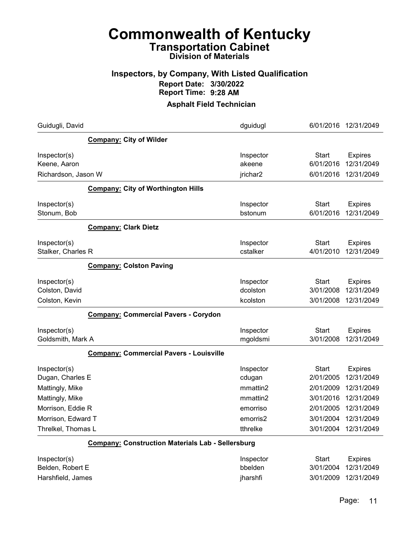#### Inspectors, by Company, With Listed Qualification Report Date: 3/30/2022 Report Time: 9:28 AM

#### Asphalt Field Technician

| Guidugli, David     |                                                          | dguidugl  | 6/01/2016    | 12/31/2049           |
|---------------------|----------------------------------------------------------|-----------|--------------|----------------------|
|                     | <b>Company: City of Wilder</b>                           |           |              |                      |
| Inspector(s)        |                                                          | Inspector | Start        | <b>Expires</b>       |
| Keene, Aaron        |                                                          | akeene    | 6/01/2016    | 12/31/2049           |
| Richardson, Jason W |                                                          | jrichar2  | 6/01/2016    | 12/31/2049           |
|                     | <b>Company: City of Worthington Hills</b>                |           |              |                      |
| Inspector(s)        |                                                          | Inspector | <b>Start</b> | <b>Expires</b>       |
| Stonum, Bob         |                                                          | bstonum   | 6/01/2016    | 12/31/2049           |
|                     | <b>Company: Clark Dietz</b>                              |           |              |                      |
| Inspector(s)        |                                                          | Inspector | <b>Start</b> | <b>Expires</b>       |
| Stalker, Charles R  |                                                          | cstalker  | 4/01/2010    | 12/31/2049           |
|                     | <b>Company: Colston Paving</b>                           |           |              |                      |
| Inspector(s)        |                                                          | Inspector | <b>Start</b> | <b>Expires</b>       |
| Colston, David      |                                                          | dcolston  | 3/01/2008    | 12/31/2049           |
| Colston, Kevin      |                                                          | kcolston  | 3/01/2008    | 12/31/2049           |
|                     | <b>Company: Commercial Pavers - Corydon</b>              |           |              |                      |
| Inspector(s)        |                                                          | Inspector | <b>Start</b> | <b>Expires</b>       |
| Goldsmith, Mark A   |                                                          | mgoldsmi  | 3/01/2008    | 12/31/2049           |
|                     | <b>Company: Commercial Pavers - Louisville</b>           |           |              |                      |
| Inspector(s)        |                                                          | Inspector | <b>Start</b> | <b>Expires</b>       |
| Dugan, Charles E    |                                                          | cdugan    | 2/01/2005    | 12/31/2049           |
| Mattingly, Mike     |                                                          | mmattin2  | 2/01/2009    | 12/31/2049           |
| Mattingly, Mike     |                                                          | mmattin2  | 3/01/2016    | 12/31/2049           |
| Morrison, Eddie R   |                                                          | emorriso  | 2/01/2005    | 12/31/2049           |
| Morrison, Edward T  |                                                          | emorris2  | 3/01/2004    | 12/31/2049           |
| Threlkel, Thomas L  |                                                          | tthrelke  |              | 3/01/2004 12/31/2049 |
|                     | <b>Company: Construction Materials Lab - Sellersburg</b> |           |              |                      |
| Inspector(s)        |                                                          | Inspector | <b>Start</b> | <b>Expires</b>       |
| Belden, Robert E    |                                                          | bbelden   | 3/01/2004    | 12/31/2049           |
| Harshfield, James   |                                                          | jharshfi  | 3/01/2009    | 12/31/2049           |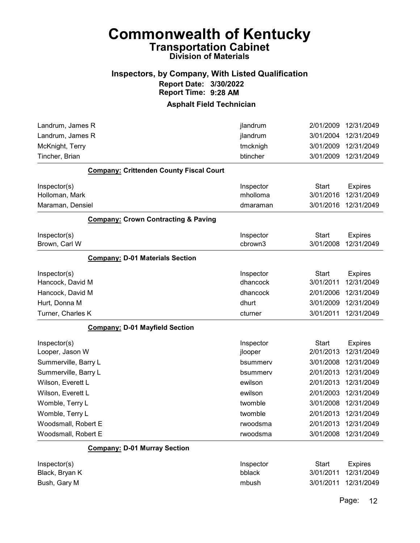#### Inspectors, by Company, With Listed Qualification Report Date: 3/30/2022 Report Time: 9:28 AM

#### Asphalt Field Technician

| Landrum, James R                               | jlandrum             | 2/01/2009                 | 12/31/2049                   |
|------------------------------------------------|----------------------|---------------------------|------------------------------|
| Landrum, James R                               | jlandrum             | 3/01/2004                 | 12/31/2049                   |
| McKnight, Terry                                | tmcknigh             | 3/01/2009                 | 12/31/2049                   |
| Tincher, Brian                                 | btincher             | 3/01/2009                 | 12/31/2049                   |
| <b>Company: Crittenden County Fiscal Court</b> |                      |                           |                              |
| Inspector(s)                                   | Inspector            | <b>Start</b>              | <b>Expires</b>               |
| Holloman, Mark                                 | mholloma             | 3/01/2016                 | 12/31/2049                   |
| Maraman, Densiel                               | dmaraman             | 3/01/2016                 | 12/31/2049                   |
| <b>Company: Crown Contracting &amp; Paving</b> |                      |                           |                              |
| Inspector(s)<br>Brown, Carl W                  | Inspector<br>cbrown3 | <b>Start</b><br>3/01/2008 | <b>Expires</b><br>12/31/2049 |
| <b>Company: D-01 Materials Section</b>         |                      |                           |                              |
| Inspector(s)                                   | Inspector            | <b>Start</b>              | <b>Expires</b>               |
| Hancock, David M                               | dhancock             | 3/01/2011                 | 12/31/2049                   |
| Hancock, David M                               | dhancock             | 2/01/2006                 | 12/31/2049                   |
| Hurt, Donna M                                  | dhurt                | 3/01/2009                 | 12/31/2049                   |
| Turner, Charles K                              | cturner              | 3/01/2011                 | 12/31/2049                   |
| <b>Company: D-01 Mayfield Section</b>          |                      |                           |                              |
| Inspector(s)                                   | Inspector            | <b>Start</b>              | <b>Expires</b>               |
| Looper, Jason W                                | jlooper              | 2/01/2013                 | 12/31/2049                   |
| Summerville, Barry L                           | bsummerv             | 3/01/2008                 | 12/31/2049                   |
| Summerville, Barry L                           | bsummerv             | 2/01/2013                 | 12/31/2049                   |
| Wilson, Everett L                              | ewilson              | 2/01/2013                 | 12/31/2049                   |
| Wilson, Everett L                              | ewilson              | 2/01/2003                 | 12/31/2049                   |
| Womble, Terry L                                | twomble              | 3/01/2008                 | 12/31/2049                   |
| Womble, Terry L                                | twomble              | 2/01/2013                 | 12/31/2049                   |
| Woodsmall, Robert E                            | rwoodsma             | 2/01/2013                 | 12/31/2049                   |
| Woodsmall, Robert E                            | rwoodsma             | 3/01/2008                 | 12/31/2049                   |
| <b>Company: D-01 Murray Section</b>            |                      |                           |                              |
| Inspector(s)                                   | Inspector            | <b>Start</b>              | <b>Expires</b>               |
| Black, Bryan K                                 | bblack               | 3/01/2011                 | 12/31/2049                   |
| Bush, Gary M                                   | mbush                | 3/01/2011                 | 12/31/2049                   |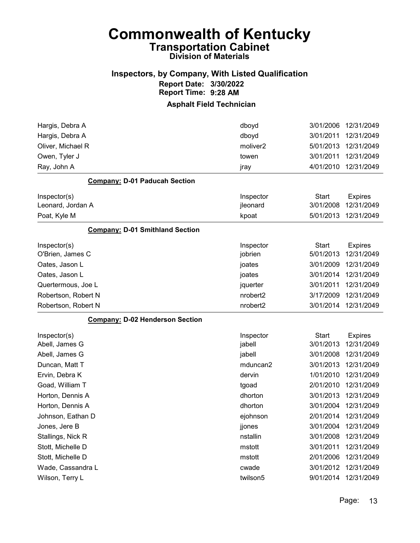### Inspectors, by Company, With Listed Qualification Report Date: 3/30/2022 Report Time: 9:28 AM

| Hargis, Debra A                        | dboyd                | 3/01/2006    | 12/31/2049     |
|----------------------------------------|----------------------|--------------|----------------|
| Hargis, Debra A                        | dboyd                | 3/01/2011    | 12/31/2049     |
| Oliver, Michael R                      | moliver <sub>2</sub> | 5/01/2013    | 12/31/2049     |
| Owen, Tyler J                          | towen                | 3/01/2011    | 12/31/2049     |
| Ray, John A                            | jray                 | 4/01/2010    | 12/31/2049     |
| <b>Company: D-01 Paducah Section</b>   |                      |              |                |
| Inspector(s)                           | Inspector            | <b>Start</b> | <b>Expires</b> |
| Leonard, Jordan A                      | jleonard             | 3/01/2008    | 12/31/2049     |
| Poat, Kyle M                           | kpoat                | 5/01/2013    | 12/31/2049     |
| <b>Company: D-01 Smithland Section</b> |                      |              |                |
| Inspector(s)                           | Inspector            | <b>Start</b> | <b>Expires</b> |
| O'Brien, James C                       | jobrien              | 5/01/2013    | 12/31/2049     |
| Oates, Jason L                         | joates               | 3/01/2009    | 12/31/2049     |
| Oates, Jason L                         | joates               | 3/01/2014    | 12/31/2049     |
| Quertermous, Joe L                     | jquerter             | 3/01/2011    | 12/31/2049     |
| Robertson, Robert N                    | nrobert2             | 3/17/2009    | 12/31/2049     |
| Robertson, Robert N                    | nrobert2             | 3/01/2014    | 12/31/2049     |
| <b>Company: D-02 Henderson Section</b> |                      |              |                |
| Inspector(s)                           | Inspector            | <b>Start</b> | <b>Expires</b> |
| Abell, James G                         | jabell               | 3/01/2013    | 12/31/2049     |
| Abell, James G                         | jabell               | 3/01/2008    | 12/31/2049     |
| Duncan, Matt T                         | mduncan2             | 3/01/2013    | 12/31/2049     |
| Ervin, Debra K                         | dervin               | 1/01/2010    | 12/31/2049     |
| Goad, William T                        | tgoad                | 2/01/2010    | 12/31/2049     |
| Horton, Dennis A                       | dhorton              | 3/01/2013    | 12/31/2049     |
| Horton, Dennis A                       | dhorton              | 3/01/2004    | 12/31/2049     |
| Johnson, Eathan D                      | ejohnson             | 2/01/2014    | 12/31/2049     |
| Jones, Jere B                          | jjones               | 3/01/2004    | 12/31/2049     |
| Stallings, Nick R                      | nstallin             | 3/01/2008    | 12/31/2049     |
| Stott, Michelle D                      | mstott               | 3/01/2011    | 12/31/2049     |
| Stott, Michelle D                      | mstott               | 2/01/2006    | 12/31/2049     |
| Wade, Cassandra L                      | cwade                | 3/01/2012    | 12/31/2049     |
| Wilson, Terry L                        | twilson5             | 9/01/2014    | 12/31/2049     |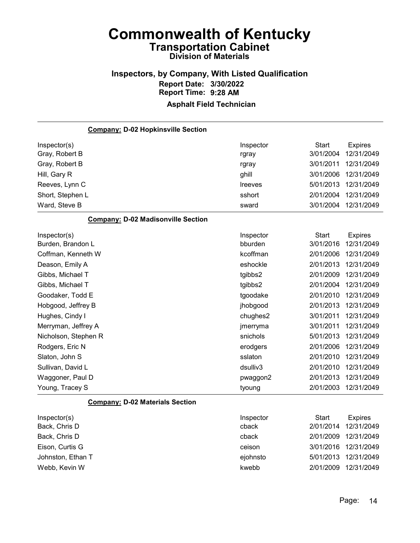# Inspectors, by Company, With Listed Qualification Report Date: 3/30/2022 Report Time: 9:28 AM

| <b>Company: D-02 Hopkinsville Section</b> |                |              |                |
|-------------------------------------------|----------------|--------------|----------------|
| Inspector(s)                              | Inspector      | <b>Start</b> | <b>Expires</b> |
| Gray, Robert B                            | rgray          | 3/01/2004    | 12/31/2049     |
| Gray, Robert B                            | rgray          | 3/01/2011    | 12/31/2049     |
| Hill, Gary R                              | ghill          | 3/01/2006    | 12/31/2049     |
| Reeves, Lynn C                            | <b>Ireeves</b> | 5/01/2013    | 12/31/2049     |
| Short, Stephen L                          | sshort         | 2/01/2004    | 12/31/2049     |
| Ward, Steve B                             | sward          | 3/01/2004    | 12/31/2049     |
| <b>Company: D-02 Madisonville Section</b> |                |              |                |
| Inspector(s)                              | Inspector      | Start        | <b>Expires</b> |
| Burden, Brandon L                         | bburden        | 3/01/2016    | 12/31/2049     |
| Coffman, Kenneth W                        | kcoffman       | 2/01/2006    | 12/31/2049     |
| Deason, Emily A                           | eshockle       | 2/01/2013    | 12/31/2049     |
| Gibbs, Michael T                          | tgibbs2        | 2/01/2009    | 12/31/2049     |
| Gibbs, Michael T                          | tgibbs2        | 2/01/2004    | 12/31/2049     |
| Goodaker, Todd E                          | tgoodake       | 2/01/2010    | 12/31/2049     |
| Hobgood, Jeffrey B                        | jhobgood       | 2/01/2013    | 12/31/2049     |
| Hughes, Cindy I                           | chughes2       | 3/01/2011    | 12/31/2049     |
| Merryman, Jeffrey A                       | jmerryma       | 3/01/2011    | 12/31/2049     |
| Nicholson, Stephen R                      | snichols       | 5/01/2013    | 12/31/2049     |
| Rodgers, Eric N                           | erodgers       | 2/01/2006    | 12/31/2049     |
| Slaton, John S                            | sslaton        | 2/01/2010    | 12/31/2049     |
| Sullivan, David L                         | dsulliv3       | 2/01/2010    | 12/31/2049     |
| Waggoner, Paul D                          | pwaggon2       | 2/01/2013    | 12/31/2049     |
| Young, Tracey S                           | tyoung         | 2/01/2003    | 12/31/2049     |
| <b>Company: D-02 Materials Section</b>    |                |              |                |
| Inspector(s)                              | Inspector      | <b>Start</b> | <b>Expires</b> |
| Back, Chris D                             | cback          | 2/01/2014    | 12/31/2049     |
| Back, Chris D                             | cback          | 2/01/2009    | 12/31/2049     |
| Eison, Curtis G                           | ceison         | 3/01/2016    | 12/31/2049     |
| Johnston, Ethan T                         | ejohnsto       | 5/01/2013    | 12/31/2049     |
| Webb, Kevin W                             | kwebb          | 2/01/2009    | 12/31/2049     |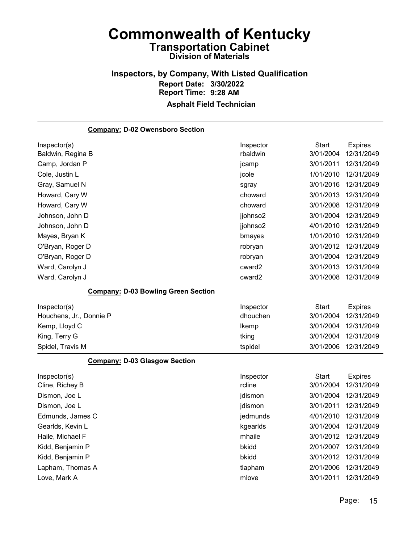#### Inspectors, by Company, With Listed Qualification Report Date: 3/30/2022 Report Time: 9:28 AM Asphalt Field Technician

# Company: D-02 Owensboro Section Inspector(s) **Inspector** Start Expires Baldwin, Regina B **Baldwin** 3/01/2004 12/31/2049 Camp, Jordan P jcamp 3/01/2011 12/31/2049 Cole, Justin L jcole 1/01/2010 12/31/2049 Gray, Samuel N sgray 3/01/2016 12/31/2049 Howard, Cary W choward 3/01/2013 12/31/2049 Howard, Cary W choward 3/01/2008 12/31/2049 Johnson, John D jjohnso2 3/01/2004 12/31/2049 Johnson, John D jjohnso2 4/01/2010 12/31/2049 Mayes, Bryan K bmayes 1/01/2010 12/31/2049 O'Bryan, Roger D robryan 3/01/2012 12/31/2049 O'Bryan, Roger D robryan 3/01/2004 12/31/2049 Ward, Carolyn J cward2 3/01/2013 12/31/2049 Ward, Carolyn J cward2 3/01/2008 12/31/2049 Company: D-03 Bowling Green Section

| Inspector(s)            | Inspector | Start     | Expires              |
|-------------------------|-----------|-----------|----------------------|
| Houchens, Jr., Donnie P | dhouchen  | 3/01/2004 | 12/31/2049           |
| Kemp, Lloyd C           | Ikemp     |           | 3/01/2004 12/31/2049 |
| King, Terry G           | tking     |           | 3/01/2004 12/31/2049 |
| Spidel, Travis M        | tspidel   |           | 3/01/2006 12/31/2049 |

#### Company: D-03 Glasgow Section

| Inspector(s)     | Inspector | Start     | <b>Expires</b> |
|------------------|-----------|-----------|----------------|
| Cline, Richey B  | rcline    | 3/01/2004 | 12/31/2049     |
| Dismon, Joe L    | jdismon   | 3/01/2004 | 12/31/2049     |
| Dismon, Joe L    | jdismon   | 3/01/2011 | 12/31/2049     |
| Edmunds, James C | jedmunds  | 4/01/2010 | 12/31/2049     |
| Gearlds, Kevin L | kgearlds  | 3/01/2004 | 12/31/2049     |
| Haile, Michael F | mhaile    | 3/01/2012 | 12/31/2049     |
| Kidd, Benjamin P | bkidd     | 2/01/2007 | 12/31/2049     |
| Kidd, Benjamin P | bkidd     | 3/01/2012 | 12/31/2049     |
| Lapham, Thomas A | tlapham   | 2/01/2006 | 12/31/2049     |
| Love, Mark A     | mlove     | 3/01/2011 | 12/31/2049     |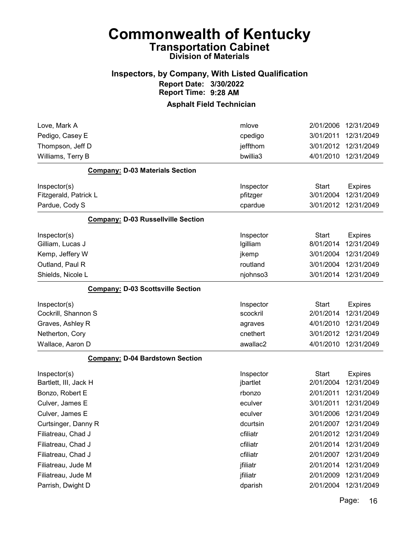#### Inspectors, by Company, With Listed Qualification Report Date: 3/30/2022 Report Time: 9:28 AM

#### Asphalt Field Technician

| Love, Mark A                              | mlove     | 2/01/2006    | 12/31/2049     |
|-------------------------------------------|-----------|--------------|----------------|
| Pedigo, Casey E                           | cpedigo   | 3/01/2011    | 12/31/2049     |
| Thompson, Jeff D                          | jeffthom  | 3/01/2012    | 12/31/2049     |
| Williams, Terry B                         | bwillia3  | 4/01/2010    | 12/31/2049     |
| <b>Company: D-03 Materials Section</b>    |           |              |                |
| Inspector(s)                              | Inspector | <b>Start</b> | <b>Expires</b> |
| Fitzgerald, Patrick L                     | pfitzger  | 3/01/2004    | 12/31/2049     |
| Pardue, Cody S                            | cpardue   | 3/01/2012    | 12/31/2049     |
| <b>Company: D-03 Russellville Section</b> |           |              |                |
| Inspector(s)                              | Inspector | Start        | <b>Expires</b> |
| Gilliam, Lucas J                          | Igilliam  | 8/01/2014    | 12/31/2049     |
| Kemp, Jeffery W                           | jkemp     | 3/01/2004    | 12/31/2049     |
| Outland, Paul R                           | routland  | 3/01/2004    | 12/31/2049     |
| Shields, Nicole L                         | njohnso3  | 3/01/2014    | 12/31/2049     |
| <b>Company: D-03 Scottsville Section</b>  |           |              |                |
| Inspector(s)                              | Inspector | <b>Start</b> | <b>Expires</b> |
| Cockrill, Shannon S                       | scockril  | 2/01/2014    | 12/31/2049     |
| Graves, Ashley R                          | agraves   | 4/01/2010    | 12/31/2049     |
| Netherton, Cory                           | cnethert  | 3/01/2012    | 12/31/2049     |
| Wallace, Aaron D                          | awallac2  | 4/01/2010    | 12/31/2049     |
| <b>Company: D-04 Bardstown Section</b>    |           |              |                |
| Inspector(s)                              | Inspector | <b>Start</b> | <b>Expires</b> |
| Bartlett, III, Jack H                     | jbartlet  | 2/01/2004    | 12/31/2049     |
| Bonzo, Robert E                           | rbonzo    | 2/01/2011    | 12/31/2049     |
| Culver, James E                           | eculver   | 3/01/2011    | 12/31/2049     |
| Culver, James E                           | eculver   | 3/01/2006    | 12/31/2049     |
| Curtsinger, Danny R                       | dcurtsin  | 2/01/2007    | 12/31/2049     |
| Filiatreau, Chad J                        | cfiliatr  | 2/01/2012    | 12/31/2049     |
| Filiatreau, Chad J                        | cfiliatr  | 2/01/2014    | 12/31/2049     |
| Filiatreau, Chad J                        | cfiliatr  | 2/01/2007    | 12/31/2049     |
| Filiatreau, Jude M                        | jfiliatr  | 2/01/2014    | 12/31/2049     |
| Filiatreau, Jude M                        | jfiliatr  | 2/01/2009    | 12/31/2049     |
| Parrish, Dwight D                         | dparish   | 2/01/2004    | 12/31/2049     |
|                                           |           |              |                |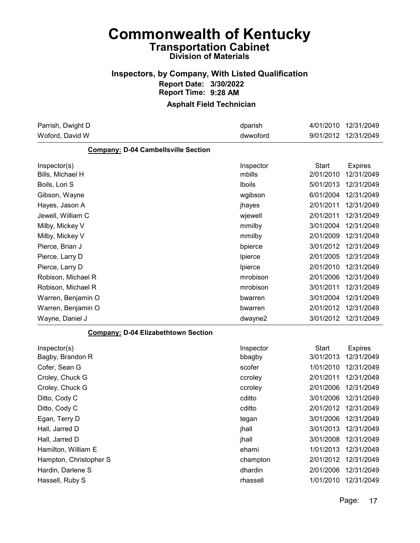### Inspectors, by Company, With Listed Qualification Report Date: 3/30/2022 Report Time: 9:28 AM

| Parrish, Dwight D                          | dparish   | 4/01/2010    | 12/31/2049     |
|--------------------------------------------|-----------|--------------|----------------|
| Woford, David W                            | dwwoford  | 9/01/2012    | 12/31/2049     |
| <b>Company: D-04 Cambellsville Section</b> |           |              |                |
| Inspector(s)                               | Inspector | <b>Start</b> | <b>Expires</b> |
| Bills, Michael H                           | mbills    | 2/01/2010    | 12/31/2049     |
| Boils, Lori S                              | Iboils    | 5/01/2013    | 12/31/2049     |
| Gibson, Wayne                              | wgibson   | 6/01/2004    | 12/31/2049     |
| Hayes, Jason A                             | jhayes    | 2/01/2011    | 12/31/2049     |
| Jewell, William C                          | wjewell   | 2/01/2011    | 12/31/2049     |
| Milby, Mickey V                            | mmilby    | 3/01/2004    | 12/31/2049     |
| Milby, Mickey V                            | mmilby    | 2/01/2009    | 12/31/2049     |
| Pierce, Brian J                            | bpierce   | 3/01/2012    | 12/31/2049     |
| Pierce, Larry D                            | Ipierce   | 2/01/2005    | 12/31/2049     |
| Pierce, Larry D                            | Ipierce   | 2/01/2010    | 12/31/2049     |
| Robison, Michael R                         | mrobison  | 2/01/2006    | 12/31/2049     |
| Robison, Michael R                         | mrobison  | 3/01/2011    | 12/31/2049     |
| Warren, Benjamin O                         | bwarren   | 3/01/2004    | 12/31/2049     |
| Warren, Benjamin O                         | bwarren   | 2/01/2012    | 12/31/2049     |
| Wayne, Daniel J                            | dwayne2   | 3/01/2012    | 12/31/2049     |
| <b>Company: D-04 Elizabethtown Section</b> |           |              |                |
| Inspector(s)                               | Inspector | <b>Start</b> | <b>Expires</b> |
| Bagby, Brandon R                           | bbagby    | 3/01/2013    | 12/31/2049     |
| Cofer, Sean G                              | scofer    | 1/01/2010    | 12/31/2049     |
| Croley, Chuck G                            | ccroley   | 2/01/2011    | 12/31/2049     |
| Croley, Chuck G                            | ccroley   | 2/01/2006    | 12/31/2049     |
| Ditto, Cody C                              | cditto    | 3/01/2006    | 12/31/2049     |
| Ditto, Cody C                              | cditto    | 2/01/2012    | 12/31/2049     |
| Egan, Terry D                              | tegan     | 3/01/2006    | 12/31/2049     |
| Hall, Jarred D                             | jhall     | 3/01/2013    | 12/31/2049     |
| Hall, Jarred D                             | jhall     | 3/01/2008    | 12/31/2049     |
| Hamilton, William E                        | ehami     | 1/01/2013    | 12/31/2049     |
| Hampton, Christopher S                     | champton  | 2/01/2012    | 12/31/2049     |
| Hardin, Darlene S                          | dhardin   | 2/01/2006    | 12/31/2049     |
| Hassell, Ruby S                            | rhassell  | 1/01/2010    | 12/31/2049     |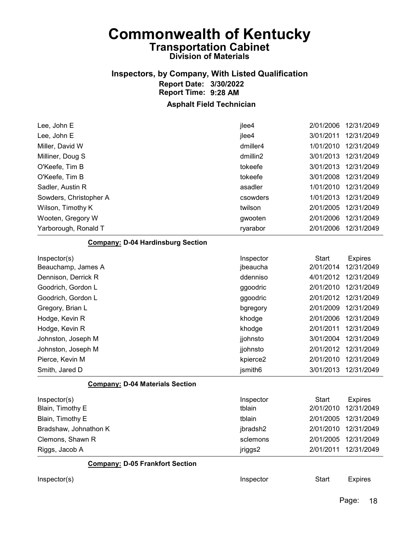## Inspectors, by Company, With Listed Qualification Report Date: 3/30/2022 Report Time: 9:28 AM

| Lee, John E                              | jlee4     | 2/01/2006    | 12/31/2049           |
|------------------------------------------|-----------|--------------|----------------------|
| Lee, John E                              | jlee4     | 3/01/2011    | 12/31/2049           |
| Miller, David W                          | dmiller4  | 1/01/2010    | 12/31/2049           |
| Milliner, Doug S                         | dmillin2  | 3/01/2013    | 12/31/2049           |
| O'Keefe, Tim B                           | tokeefe   | 3/01/2013    | 12/31/2049           |
| O'Keefe, Tim B                           | tokeefe   | 3/01/2008    | 12/31/2049           |
| Sadler, Austin R                         | asadler   | 1/01/2010    | 12/31/2049           |
| Sowders, Christopher A                   | csowders  | 1/01/2013    | 12/31/2049           |
| Wilson, Timothy K                        | twilson   | 2/01/2005    | 12/31/2049           |
| Wooten, Gregory W                        | gwooten   | 2/01/2006    | 12/31/2049           |
| Yarborough, Ronald T                     | ryarabor  | 2/01/2006    | 12/31/2049           |
| <b>Company: D-04 Hardinsburg Section</b> |           |              |                      |
| Inspector(s)                             | Inspector | <b>Start</b> | <b>Expires</b>       |
| Beauchamp, James A                       | jbeaucha  | 2/01/2014    | 12/31/2049           |
| Dennison, Derrick R                      | ddenniso  | 4/01/2012    | 12/31/2049           |
| Goodrich, Gordon L                       | ggoodric  | 2/01/2010    | 12/31/2049           |
| Goodrich, Gordon L                       | ggoodric  | 2/01/2012    | 12/31/2049           |
| Gregory, Brian L                         | bgregory  | 2/01/2009    | 12/31/2049           |
| Hodge, Kevin R                           | khodge    | 2/01/2006    | 12/31/2049           |
| Hodge, Kevin R                           | khodge    | 2/01/2011    | 12/31/2049           |
| Johnston, Joseph M                       | jjohnsto  | 3/01/2004    | 12/31/2049           |
| Johnston, Joseph M                       | jjohnsto  | 2/01/2012    | 12/31/2049           |
| Pierce, Kevin M                          | kpierce2  | 2/01/2010    | 12/31/2049           |
| Smith, Jared D                           | jsmith6   | 3/01/2013    | 12/31/2049           |
| <b>Company: D-04 Materials Section</b>   |           |              |                      |
| Inspector(s)                             | Inspector | <b>Start</b> | <b>Expires</b>       |
| Blain, Timothy E                         | tblain    | 2/01/2010    | 12/31/2049           |
| Blain, Timothy E                         | tblain    | 2/01/2005    | 12/31/2049           |
| Bradshaw, Johnathon K                    | jbradsh2  |              | 2/01/2010 12/31/2049 |
| Clemons, Shawn R                         | sclemons  | 2/01/2005    | 12/31/2049           |
| Riggs, Jacob A                           | jriggs2   | 2/01/2011    | 12/31/2049           |
| <b>Company: D-05 Frankfort Section</b>   |           |              |                      |
| Inspector(s)                             | Inspector | <b>Start</b> | <b>Expires</b>       |
|                                          |           |              |                      |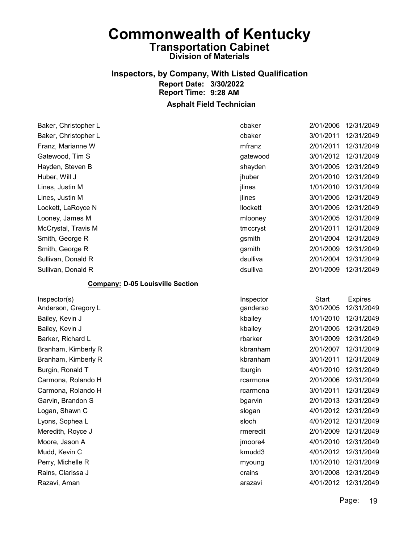# Inspectors, by Company, With Listed Qualification Report Date: 3/30/2022 Report Time: 9:28 AM

#### Asphalt Field Technician

| Baker, Christopher L | cbaker          | 2/01/2006 | 12/31/2049 |
|----------------------|-----------------|-----------|------------|
| Baker, Christopher L | cbaker          | 3/01/2011 | 12/31/2049 |
| Franz, Marianne W    | mfranz          | 2/01/2011 | 12/31/2049 |
| Gatewood, Tim S      | gatewood        | 3/01/2012 | 12/31/2049 |
| Hayden, Steven B     | shayden         | 3/01/2005 | 12/31/2049 |
| Huber, Will J        | jhuber          | 2/01/2010 | 12/31/2049 |
| Lines, Justin M      | jlines          | 1/01/2010 | 12/31/2049 |
| Lines, Justin M      | <b>ilines</b>   | 3/01/2005 | 12/31/2049 |
| Lockett, LaRoyce N   | <b>llockett</b> | 3/01/2005 | 12/31/2049 |
| Looney, James M      | mlooney         | 3/01/2005 | 12/31/2049 |
| McCrystal, Travis M  | tmccryst        | 2/01/2011 | 12/31/2049 |
| Smith, George R      | gsmith          | 2/01/2004 | 12/31/2049 |
| Smith, George R      | gsmith          | 2/01/2009 | 12/31/2049 |
| Sullivan, Donald R   | dsulliva        | 2/01/2004 | 12/31/2049 |
| Sullivan, Donald R   | dsulliva        | 2/01/2009 | 12/31/2049 |
|                      |                 |           |            |

#### Company: D-05 Louisville Section

| Inspector(s)        |
|---------------------|
| Anderson, Gregory L |
| Bailey, Kevin J     |
| Bailey, Kevin J     |
| Barker, Richard L   |
| Branham, Kimberly R |
| Branham, Kimberly R |
| Burgin, Ronald T    |
| Carmona, Rolando H  |
| Carmona, Rolando H  |
| Garvin, Brandon S   |
| Logan, Shawn C      |
| Lyons, Sophea L     |
| Meredith, Royce J   |
| Moore, Jason A      |
| Mudd, Kevin C       |
| Perry, Michelle R   |
| Rains, Clarissa J   |
| Razavi Aman         |

| Inspector(s)        | Inspector | <b>Start</b> | <b>Expires</b> |
|---------------------|-----------|--------------|----------------|
| Anderson, Gregory L | ganderso  | 3/01/2005    | 12/31/2049     |
| Bailey, Kevin J     | kbailey   | 1/01/2010    | 12/31/2049     |
| Bailey, Kevin J     | kbailey   | 2/01/2005    | 12/31/2049     |
| Barker, Richard L   | rbarker   | 3/01/2009    | 12/31/2049     |
| Branham, Kimberly R | kbranham  | 2/01/2007    | 12/31/2049     |
| Branham, Kimberly R | kbranham  | 3/01/2011    | 12/31/2049     |
| Burgin, Ronald T    | tburgin   | 4/01/2010    | 12/31/2049     |
| Carmona, Rolando H  | rcarmona  | 2/01/2006    | 12/31/2049     |
| Carmona, Rolando H  | rcarmona  | 3/01/2011    | 12/31/2049     |
| Garvin, Brandon S   | bgarvin   | 2/01/2013    | 12/31/2049     |
| Logan, Shawn C      | slogan    | 4/01/2012    | 12/31/2049     |
| Lyons, Sophea L     | sloch     | 4/01/2012    | 12/31/2049     |
| Meredith, Royce J   | rmeredit  | 2/01/2009    | 12/31/2049     |
| Moore, Jason A      | jmoore4   | 4/01/2010    | 12/31/2049     |
| Mudd, Kevin C       | kmudd3    | 4/01/2012    | 12/31/2049     |
| Perry, Michelle R   | myoung    | 1/01/2010    | 12/31/2049     |
| Rains, Clarissa J   | crains    | 3/01/2008    | 12/31/2049     |
| Razavi, Aman        | arazavi   | 4/01/2012    | 12/31/2049     |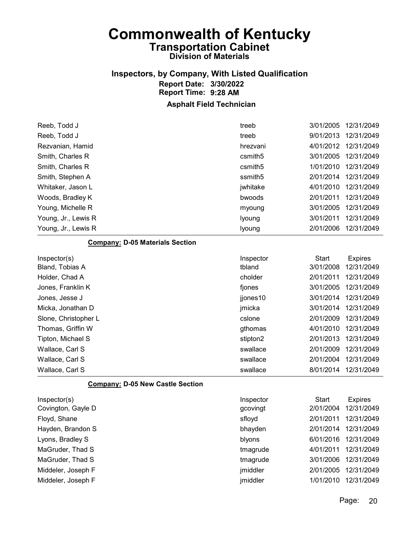# Inspectors, by Company, With Listed Qualification Report Date: 3/30/2022 Report Time: 9:28 AM

#### Asphalt Field Technician

| 9/01/2013<br>12/31/2049<br>Reeb, Todd J<br>treeb<br>4/01/2012<br>12/31/2049<br>Rezvanian, Hamid<br>hrezvani<br>Smith, Charles R<br>3/01/2005<br>12/31/2049<br>csmith <sub>5</sub><br>1/01/2010<br>12/31/2049<br>Smith, Charles R<br>csmith <sub>5</sub><br>2/01/2014<br>ssmith5<br>12/31/2049<br>Smith, Stephen A<br>4/01/2010<br>12/31/2049<br>jwhitake<br>Whitaker, Jason L<br>2/01/2011<br>12/31/2049<br>bwoods<br>Woods, Bradley K<br>3/01/2005<br>12/31/2049<br>Young, Michelle R<br>myoung<br>3/01/2011<br>12/31/2049<br>Young, Jr., Lewis R<br>lyoung<br>2/01/2006<br>12/31/2049<br>Young, Jr., Lewis R<br>lyoung<br><b>Company: D-05 Materials Section</b><br>Inspector<br><b>Start</b><br>Inspector(s)<br><b>Expires</b><br>tbland<br>3/01/2008<br>12/31/2049<br>Bland, Tobias A<br>2/01/2011<br>Holder, Chad A<br>cholder<br>12/31/2049<br>12/31/2049<br>3/01/2005<br>Jones, Franklin K<br>fjones |
|-------------------------------------------------------------------------------------------------------------------------------------------------------------------------------------------------------------------------------------------------------------------------------------------------------------------------------------------------------------------------------------------------------------------------------------------------------------------------------------------------------------------------------------------------------------------------------------------------------------------------------------------------------------------------------------------------------------------------------------------------------------------------------------------------------------------------------------------------------------------------------------------------------------|
|                                                                                                                                                                                                                                                                                                                                                                                                                                                                                                                                                                                                                                                                                                                                                                                                                                                                                                             |
|                                                                                                                                                                                                                                                                                                                                                                                                                                                                                                                                                                                                                                                                                                                                                                                                                                                                                                             |
|                                                                                                                                                                                                                                                                                                                                                                                                                                                                                                                                                                                                                                                                                                                                                                                                                                                                                                             |
|                                                                                                                                                                                                                                                                                                                                                                                                                                                                                                                                                                                                                                                                                                                                                                                                                                                                                                             |
|                                                                                                                                                                                                                                                                                                                                                                                                                                                                                                                                                                                                                                                                                                                                                                                                                                                                                                             |
|                                                                                                                                                                                                                                                                                                                                                                                                                                                                                                                                                                                                                                                                                                                                                                                                                                                                                                             |
|                                                                                                                                                                                                                                                                                                                                                                                                                                                                                                                                                                                                                                                                                                                                                                                                                                                                                                             |
|                                                                                                                                                                                                                                                                                                                                                                                                                                                                                                                                                                                                                                                                                                                                                                                                                                                                                                             |
|                                                                                                                                                                                                                                                                                                                                                                                                                                                                                                                                                                                                                                                                                                                                                                                                                                                                                                             |
|                                                                                                                                                                                                                                                                                                                                                                                                                                                                                                                                                                                                                                                                                                                                                                                                                                                                                                             |
|                                                                                                                                                                                                                                                                                                                                                                                                                                                                                                                                                                                                                                                                                                                                                                                                                                                                                                             |
|                                                                                                                                                                                                                                                                                                                                                                                                                                                                                                                                                                                                                                                                                                                                                                                                                                                                                                             |
|                                                                                                                                                                                                                                                                                                                                                                                                                                                                                                                                                                                                                                                                                                                                                                                                                                                                                                             |
|                                                                                                                                                                                                                                                                                                                                                                                                                                                                                                                                                                                                                                                                                                                                                                                                                                                                                                             |
|                                                                                                                                                                                                                                                                                                                                                                                                                                                                                                                                                                                                                                                                                                                                                                                                                                                                                                             |
| 3/01/2014<br>12/31/2049<br>Jones, Jesse J<br>jjones10                                                                                                                                                                                                                                                                                                                                                                                                                                                                                                                                                                                                                                                                                                                                                                                                                                                       |
| 3/01/2014<br>12/31/2049<br>Micka, Jonathan D<br>jmicka                                                                                                                                                                                                                                                                                                                                                                                                                                                                                                                                                                                                                                                                                                                                                                                                                                                      |
| 2/01/2009<br>12/31/2049<br>Slone, Christopher L<br>cslone                                                                                                                                                                                                                                                                                                                                                                                                                                                                                                                                                                                                                                                                                                                                                                                                                                                   |
| 4/01/2010<br>12/31/2049<br>Thomas, Griffin W<br>gthomas                                                                                                                                                                                                                                                                                                                                                                                                                                                                                                                                                                                                                                                                                                                                                                                                                                                     |
| 2/01/2013<br>12/31/2049<br>Tipton, Michael S<br>stipton2                                                                                                                                                                                                                                                                                                                                                                                                                                                                                                                                                                                                                                                                                                                                                                                                                                                    |
| 2/01/2009<br>12/31/2049<br>Wallace, Carl S<br>swallace                                                                                                                                                                                                                                                                                                                                                                                                                                                                                                                                                                                                                                                                                                                                                                                                                                                      |
| 2/01/2004<br>12/31/2049<br>Wallace, Carl S<br>swallace                                                                                                                                                                                                                                                                                                                                                                                                                                                                                                                                                                                                                                                                                                                                                                                                                                                      |
| swallace<br>8/01/2014<br>12/31/2049<br>Wallace, Carl S                                                                                                                                                                                                                                                                                                                                                                                                                                                                                                                                                                                                                                                                                                                                                                                                                                                      |

#### Company: D-05 New Castle Section

| Inspector(s)       | Inspector | Start     | <b>Expires</b> |
|--------------------|-----------|-----------|----------------|
| Covington, Gayle D | gcovingt  | 2/01/2004 | 12/31/2049     |
| Floyd, Shane       | sfloyd    | 2/01/2011 | 12/31/2049     |
| Hayden, Brandon S  | bhayden   | 2/01/2014 | 12/31/2049     |
| Lyons, Bradley S   | blyons    | 6/01/2016 | 12/31/2049     |
| MaGruder, Thad S   | tmagrude  | 4/01/2011 | 12/31/2049     |
| MaGruder, Thad S   | tmagrude  | 3/01/2006 | 12/31/2049     |
| Middeler, Joseph F | jmiddler  | 2/01/2005 | 12/31/2049     |
| Middeler, Joseph F | jmiddler  | 1/01/2010 | 12/31/2049     |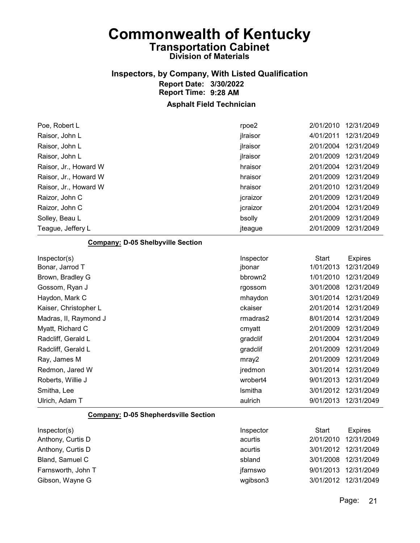### Inspectors, by Company, With Listed Qualification Report Date: 3/30/2022 Report Time: 9:28 AM

Asphalt Field Technician

| Poe, Robert L                               | rpoe2     | 2/01/2010    | 12/31/2049     |
|---------------------------------------------|-----------|--------------|----------------|
| Raisor, John L                              | jlraisor  | 4/01/2011    | 12/31/2049     |
| Raisor, John L                              | jlraisor  | 2/01/2004    | 12/31/2049     |
| Raisor, John L                              | jlraisor  | 2/01/2009    | 12/31/2049     |
| Raisor, Jr., Howard W                       | hraisor   | 2/01/2004    | 12/31/2049     |
| Raisor, Jr., Howard W                       | hraisor   | 2/01/2009    | 12/31/2049     |
| Raisor, Jr., Howard W                       | hraisor   | 2/01/2010    | 12/31/2049     |
| Raizor, John C                              | jcraizor  | 2/01/2009    | 12/31/2049     |
| Raizor, John C                              | jcraizor  | 2/01/2004    | 12/31/2049     |
| Solley, Beau L                              | bsolly    | 2/01/2009    | 12/31/2049     |
| Teague, Jeffery L                           | jteague   | 2/01/2009    | 12/31/2049     |
| <b>Company: D-05 Shelbyville Section</b>    |           |              |                |
| Inspector(s)                                | Inspector | <b>Start</b> | <b>Expires</b> |
| Bonar, Jarrod T                             | jbonar    | 1/01/2013    | 12/31/2049     |
| Brown, Bradley G                            | bbrown2   | 1/01/2010    | 12/31/2049     |
| Gossom, Ryan J                              | rgossom   | 3/01/2008    | 12/31/2049     |
| Haydon, Mark C                              | mhaydon   | 3/01/2014    | 12/31/2049     |
| Kaiser, Christopher L                       | ckaiser   | 2/01/2014    | 12/31/2049     |
| Madras, II, Raymond J                       | rmadras2  | 8/01/2014    | 12/31/2049     |
| Myatt, Richard C                            | cmyatt    | 2/01/2009    | 12/31/2049     |
| Radcliff, Gerald L                          | gradclif  | 2/01/2004    | 12/31/2049     |
| Radcliff, Gerald L                          | gradclif  | 2/01/2009    | 12/31/2049     |
| Ray, James M                                | mray2     | 2/01/2009    | 12/31/2049     |
| Redmon, Jared W                             | jredmon   | 3/01/2014    | 12/31/2049     |
| Roberts, Willie J                           | wrobert4  | 9/01/2013    | 12/31/2049     |
| Smitha, Lee                                 | Ismitha   | 3/01/2012    | 12/31/2049     |
| Ulrich, Adam T                              | aulrich   | 9/01/2013    | 12/31/2049     |
| <b>Company: D-05 Shepherdsville Section</b> |           |              |                |
| Inspector(s)                                | Inspector | <b>Start</b> | <b>Expires</b> |
| Anthony, Curtis D                           | acurtis   | 2/01/2010    | 12/31/2049     |
| Anthony, Curtis D                           | acurtis   | 3/01/2012    | 12/31/2049     |

Bland, Samuel C 6 and 500 spland 3/01/2008 12/31/2049

Farnsworth, John T **implementary and Contract Contract Contract Contract Contract Contract Contract Contract Contract Contract Contract Contract Contract Contract Contract Contract Contract Contract Contract Contract Contr** Gibson, Wayne G <br>
and Contact Contact Contact Contact Contact Contact Contact Contact Contact Contact Contact Contact Contact Contact Contact Contact Contact Contact Contact Contact Contact Contact Contact Contact Contact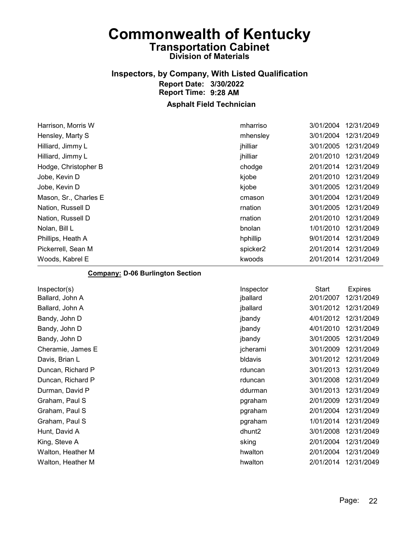### Inspectors, by Company, With Listed Qualification Report Date: 3/30/2022 Report Time: 9:28 AM

#### Asphalt Field Technician

| Harrison, Morris W    | mharriso | 3/01/2004 | 12/31/2049 |
|-----------------------|----------|-----------|------------|
| Hensley, Marty S      | mhensley | 3/01/2004 | 12/31/2049 |
| Hilliard, Jimmy L     | jhilliar | 3/01/2005 | 12/31/2049 |
| Hilliard, Jimmy L     | jhilliar | 2/01/2010 | 12/31/2049 |
| Hodge, Christopher B  | chodge   | 2/01/2014 | 12/31/2049 |
| Jobe, Kevin D         | kjobe    | 2/01/2010 | 12/31/2049 |
| Jobe, Kevin D         | kjobe    | 3/01/2005 | 12/31/2049 |
| Mason, Sr., Charles E | cmason   | 3/01/2004 | 12/31/2049 |
| Nation, Russell D     | rnation  | 3/01/2005 | 12/31/2049 |
| Nation, Russell D     | rnation  | 2/01/2010 | 12/31/2049 |
| Nolan, Bill L         | bnolan   | 1/01/2010 | 12/31/2049 |
| Phillips, Heath A     | hphillip | 9/01/2014 | 12/31/2049 |
| Pickerrell, Sean M    | spicker2 | 2/01/2014 | 12/31/2049 |
| Woods, Kabrel E       | kwoods   | 2/01/2014 | 12/31/2049 |

#### Company: D-06 Burlington Section

| Inspector          | <b>Start</b> | <b>Expires</b> |
|--------------------|--------------|----------------|
| jballard           | 2/01/2007    | 12/31/2049     |
| jballard           | 3/01/2012    | 12/31/2049     |
| jbandy             | 4/01/2012    | 12/31/2049     |
| jbandy             | 4/01/2010    | 12/31/2049     |
| jbandy             | 3/01/2005    | 12/31/2049     |
| jcherami           | 3/01/2009    | 12/31/2049     |
| bldavis            | 3/01/2012    | 12/31/2049     |
| rduncan            | 3/01/2013    | 12/31/2049     |
| rduncan            | 3/01/2008    | 12/31/2049     |
| ddurman            | 3/01/2013    | 12/31/2049     |
| pgraham            | 2/01/2009    | 12/31/2049     |
| pgraham            | 2/01/2004    | 12/31/2049     |
| pgraham            | 1/01/2014    | 12/31/2049     |
| dhunt <sub>2</sub> | 3/01/2008    | 12/31/2049     |
| sking              | 2/01/2004    | 12/31/2049     |
| hwalton            | 2/01/2004    | 12/31/2049     |
| hwalton            | 2/01/2014    | 12/31/2049     |
|                    |              |                |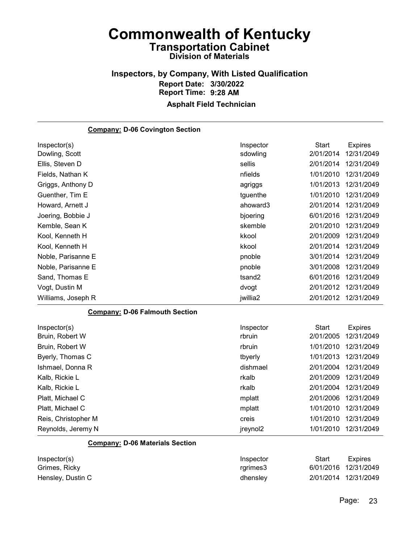#### Inspectors, by Company, With Listed Qualification Report Date: 3/30/2022 Report Time: 9:28 AM Asphalt Field Technician

### Company: D-06 Covington Section Inspector(s) **Inspector** Start Expires Dowling, Scott sdowling 2/01/2014 12/31/2049 Ellis, Steven D sellis 2/01/2014 12/31/2049 Fields, Nathan K nfields 1/01/2010 12/31/2049 Griggs, Anthony D **agriggs** 1/01/2013 12/31/2049 Guenther, Tim E tguenthe the type that the type the type the type that the 1/01/2010 12/31/2049 Howard, Arnett J ahoward3 2/01/2014 12/31/2049 Joering, Bobbie J bjoering 6/01/2016 12/31/2049 Kemble, Sean K skemble 2/01/2010 12/31/2049 Kool, Kenneth H kkool 2/01/2009 12/31/2049 Kool, Kenneth H kkool 2/01/2014 12/31/2049 Noble, Parisanne E pnoble 3/01/2014 12/31/2049 Noble, Parisanne E pnoble 3/01/2008 12/31/2049 Sand, Thomas E tsand2 6/01/2016 12/31/2049 Vogt, Dustin M dvogt 2/01/2012 12/31/2049 Williams, Joseph R jwillia2 2/01/2012 12/31/2049 Company: D-06 Falmouth Section Inspector(s) **Inspector** Start Expires Bruin, Robert W rbruin 2/01/2005 12/31/2049 Bruin, Robert W rbruin 1/01/2010 12/31/2049 Byerly, Thomas C **the CONFINGUARY CONSUMER** TO the three to the three to the three to the to the to the to the to the to the to the to the to the to the to the to the to the to the to the to the to the to the to the to the Ishmael, Donna R dishmael 2/01/2004 12/31/2049 Kalb, Rickie L rkalb 2/01/2009 12/31/2049 Kalb, Rickie L rkalb 2/01/2004 12/31/2049 Platt, Michael C mplatt 2/01/2006 12/31/2049 Platt, Michael C mplatt 1/01/2010 12/31/2049 Reis, Christopher M creis 1/01/2010 12/31/2049 Reynolds, Jeremy N jreynol2 1/01/2010 12/31/2049

| Inspector(s)      | Inspector | Start | Expires              |
|-------------------|-----------|-------|----------------------|
| Grimes, Ricky     | rarimes3  |       | 6/01/2016 12/31/2049 |
| Hensley, Dustin C | dhensley  |       | 2/01/2014 12/31/2049 |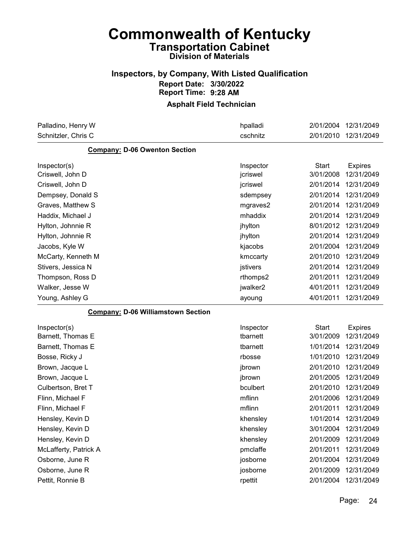### Inspectors, by Company, With Listed Qualification Report Date: 3/30/2022 Report Time: 9:28 AM

| Palladino, Henry W                        | hpalladi  | 2/01/2004    | 12/31/2049     |
|-------------------------------------------|-----------|--------------|----------------|
| Schnitzler, Chris C                       | cschnitz  | 2/01/2010    | 12/31/2049     |
| <b>Company: D-06 Owenton Section</b>      |           |              |                |
| Inspector(s)                              | Inspector | <b>Start</b> | <b>Expires</b> |
| Criswell, John D                          | jcriswel  | 3/01/2008    | 12/31/2049     |
| Criswell, John D                          | jcriswel  | 2/01/2014    | 12/31/2049     |
| Dempsey, Donald S                         | sdempsey  | 2/01/2014    | 12/31/2049     |
| Graves, Matthew S                         | mgraves2  | 2/01/2014    | 12/31/2049     |
| Haddix, Michael J                         | mhaddix   | 2/01/2014    | 12/31/2049     |
| Hylton, Johnnie R                         | jhylton   | 8/01/2012    | 12/31/2049     |
| Hylton, Johnnie R                         | jhylton   | 2/01/2014    | 12/31/2049     |
| Jacobs, Kyle W                            | kjacobs   | 2/01/2004    | 12/31/2049     |
| McCarty, Kenneth M                        | kmccarty  | 2/01/2010    | 12/31/2049     |
| Stivers, Jessica N                        | jstivers  | 2/01/2014    | 12/31/2049     |
| Thompson, Ross D                          | rthomps2  | 2/01/2011    | 12/31/2049     |
| Walker, Jesse W                           | jwalker2  | 4/01/2011    | 12/31/2049     |
| Young, Ashley G                           | ayoung    | 4/01/2011    | 12/31/2049     |
| <b>Company: D-06 Williamstown Section</b> |           |              |                |
| Inspector(s)                              | Inspector | <b>Start</b> | <b>Expires</b> |
| Barnett, Thomas E                         | tbarnett  | 3/01/2009    | 12/31/2049     |
| Barnett, Thomas E                         | tbarnett  | 1/01/2014    | 12/31/2049     |
| Bosse, Ricky J                            | rbosse    | 1/01/2010    | 12/31/2049     |
| Brown, Jacque L                           | jbrown    | 2/01/2010    | 12/31/2049     |
| Brown, Jacque L                           | jbrown    | 2/01/2005    | 12/31/2049     |
| Culbertson, Bret T                        | bculbert  | 2/01/2010    | 12/31/2049     |
| Flinn, Michael F                          | mflinn    | 2/01/2006    | 12/31/2049     |
| Flinn, Michael F                          | mflinn    | 2/01/2011    | 12/31/2049     |
| Hensley, Kevin D                          | khensley  | 1/01/2014    | 12/31/2049     |
| Hensley, Kevin D                          | khensley  | 3/01/2004    | 12/31/2049     |
| Hensley, Kevin D                          | khensley  | 2/01/2009    | 12/31/2049     |
| McLafferty, Patrick A                     | pmclaffe  | 2/01/2011    | 12/31/2049     |
| Osborne, June R                           | josborne  | 2/01/2004    | 12/31/2049     |
| Osborne, June R                           |           |              |                |
|                                           | josborne  | 2/01/2009    | 12/31/2049     |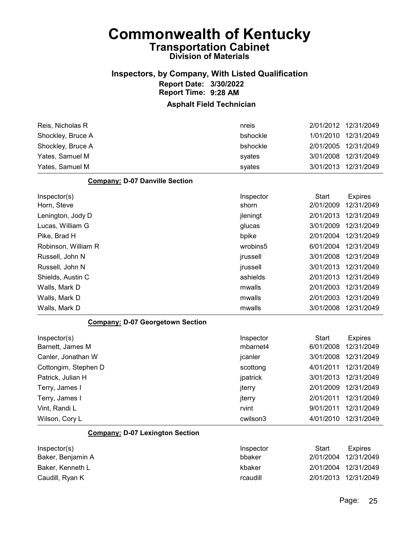### Inspectors, by Company, With Listed Qualification Report Date: 3/30/2022 Report Time: 9:28 AM

| Reis, Nicholas R                        | nreis     | 2/01/2012              | 12/31/2049               |
|-----------------------------------------|-----------|------------------------|--------------------------|
|                                         |           |                        |                          |
| Shockley, Bruce A                       | bshockle  | 1/01/2010              | 12/31/2049               |
| Shockley, Bruce A                       | bshockle  | 2/01/2005              | 12/31/2049               |
| Yates, Samuel M                         | syates    | 3/01/2008              | 12/31/2049               |
| Yates, Samuel M                         | syates    | 3/01/2013              | 12/31/2049               |
| <b>Company: D-07 Danville Section</b>   |           |                        |                          |
| Inspector(s)                            | Inspector | <b>Start</b>           | <b>Expires</b>           |
| Horn, Steve                             | shorn     | 2/01/2009              | 12/31/2049               |
| Lenington, Jody D                       | jleningt  | 2/01/2013              | 12/31/2049               |
| Lucas, William G                        | glucas    | 3/01/2009              | 12/31/2049               |
| Pike, Brad H                            | bpike     | 2/01/2004              | 12/31/2049               |
| Robinson, William R                     | wrobins5  | 6/01/2004              | 12/31/2049               |
| Russell, John N                         | jrussell  | 3/01/2008              | 12/31/2049               |
| Russell, John N                         | jrussell  | 3/01/2013              | 12/31/2049               |
| Shields, Austin C                       | ashields  | 2/01/2013              | 12/31/2049               |
| Walls, Mark D                           | mwalls    | 2/01/2003              | 12/31/2049               |
| Walls, Mark D                           | mwalls    | 2/01/2003              | 12/31/2049               |
| Walls, Mark D                           | mwalls    | 3/01/2008              | 12/31/2049               |
| <b>Company: D-07 Georgetown Section</b> |           |                        |                          |
| Inspector(s)                            | Inspector | <b>Start</b>           | <b>Expires</b>           |
| Barnett, James M                        | mbarnet4  | 6/01/2008              | 12/31/2049               |
| Canler, Jonathan W                      | jcanler   | 3/01/2008              | 12/31/2049               |
| Cottongim, Stephen D                    | scottong  | 4/01/2011              | 12/31/2049               |
| Patrick, Julian H                       | jpatrick  | 3/01/2013              | 12/31/2049               |
| Terry, James I                          | jterry    | 2/01/2009              | 12/31/2049               |
| Terry, James I                          | jterry    | 2/01/2011              | 12/31/2049               |
| Vint, Randi L                           | rvint     | 9/01/2011              | 12/31/2049               |
| Wilson, Cory L                          | cwilson3  | 4/01/2010              | 12/31/2049               |
| <b>Company: D-07 Lexington Section</b>  |           |                        |                          |
| Inspector(s)                            | Inspector | <b>Start</b>           | <b>Expires</b>           |
| Baker, Benjamin A                       | bbaker    | 2/01/2004              | 12/31/2049               |
| Baker, Kenneth L                        |           |                        |                          |
|                                         | kbaker    |                        |                          |
| Caudill, Ryan K                         | rcaudill  | 2/01/2004<br>2/01/2013 | 12/31/2049<br>12/31/2049 |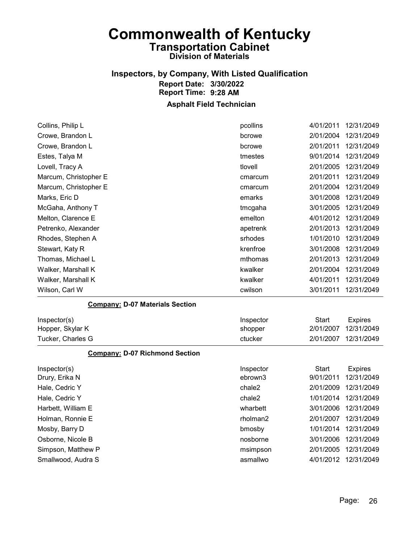### Inspectors, by Company, With Listed Qualification Report Date: 3/30/2022 Report Time: 9:28 AM

| Collins, Philip L                      | pcollins  | 4/01/2011    | 12/31/2049     |
|----------------------------------------|-----------|--------------|----------------|
| Crowe, Brandon L                       | bcrowe    | 2/01/2004    | 12/31/2049     |
| Crowe, Brandon L                       | bcrowe    | 2/01/2011    | 12/31/2049     |
| Estes, Talya M                         | tmestes   | 9/01/2014    | 12/31/2049     |
| Lovell, Tracy A                        | tlovell   | 2/01/2005    | 12/31/2049     |
| Marcum, Christopher E                  | cmarcum   | 2/01/2011    | 12/31/2049     |
| Marcum, Christopher E                  | cmarcum   | 2/01/2004    | 12/31/2049     |
| Marks, Eric D                          | emarks    | 3/01/2008    | 12/31/2049     |
| McGaha, Anthony T                      | tmcgaha   | 3/01/2005    | 12/31/2049     |
| Melton, Clarence E                     | emelton   | 4/01/2012    | 12/31/2049     |
| Petrenko, Alexander                    | apetrenk  | 2/01/2013    | 12/31/2049     |
| Rhodes, Stephen A                      | srhodes   | 1/01/2010    | 12/31/2049     |
| Stewart, Katy R                        | krenfroe  | 3/01/2008    | 12/31/2049     |
| Thomas, Michael L                      | mthomas   | 2/01/2013    | 12/31/2049     |
| Walker, Marshall K                     | kwalker   | 2/01/2004    | 12/31/2049     |
| Walker, Marshall K                     | kwalker   | 4/01/2011    | 12/31/2049     |
| Wilson, Carl W                         | cwilson   | 3/01/2011    | 12/31/2049     |
| <b>Company: D-07 Materials Section</b> |           |              |                |
| Inspector(s)                           | Inspector | <b>Start</b> | <b>Expires</b> |
| Hopper, Skylar K                       | shopper   | 2/01/2007    | 12/31/2049     |
| Tucker, Charles G                      | ctucker   | 2/01/2007    | 12/31/2049     |
| <b>Company: D-07 Richmond Section</b>  |           |              |                |
| Inspector(s)                           | Inspector | <b>Start</b> | <b>Expires</b> |
| Drury, Erika N                         | ebrown3   | 9/01/2011    | 12/31/2049     |
| Hale, Cedric Y                         | chale2    | 2/01/2009    | 12/31/2049     |
| Hale, Cedric Y                         | chale2    | 1/01/2014    | 12/31/2049     |
| Harbett, William E                     | wharbett  | 3/01/2006    | 12/31/2049     |
| Holman, Ronnie E                       | rholman2  | 2/01/2007    | 12/31/2049     |
| Mosby, Barry D                         | bmosby    | 1/01/2014    | 12/31/2049     |
| Osborne, Nicole B                      | nosborne  | 3/01/2006    | 12/31/2049     |
| Simpson, Matthew P                     | msimpson  | 2/01/2005    | 12/31/2049     |
| Smallwood, Audra S                     | asmallwo  | 4/01/2012    | 12/31/2049     |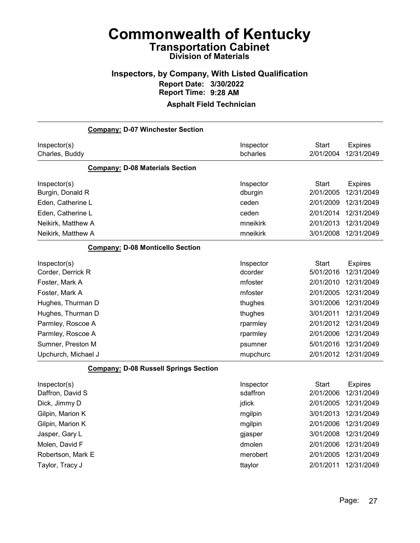### Inspectors, by Company, With Listed Qualification Report Date: 3/30/2022 Report Time: 9:28 AM

| <b>Company: D-07 Winchester Section</b>      |                       |                           |                              |
|----------------------------------------------|-----------------------|---------------------------|------------------------------|
| Inspector(s)<br>Charles, Buddy               | Inspector<br>bcharles | <b>Start</b><br>2/01/2004 | <b>Expires</b><br>12/31/2049 |
| <b>Company: D-08 Materials Section</b>       |                       |                           |                              |
| Inspector(s)<br>Burgin, Donald R             | Inspector<br>dburgin  | <b>Start</b><br>2/01/2005 | <b>Expires</b><br>12/31/2049 |
| Eden, Catherine L                            | ceden                 | 2/01/2009                 | 12/31/2049                   |
| Eden, Catherine L                            | ceden                 | 2/01/2014                 | 12/31/2049                   |
| Neikirk, Matthew A                           | mneikirk              | 2/01/2013                 | 12/31/2049                   |
| Neikirk, Matthew A                           | mneikirk              | 3/01/2008                 | 12/31/2049                   |
| <b>Company: D-08 Monticello Section</b>      |                       |                           |                              |
| Inspector(s)<br>Corder, Derrick R            | Inspector<br>dcorder  | <b>Start</b><br>5/01/2016 | <b>Expires</b><br>12/31/2049 |
| Foster, Mark A                               | mfoster               | 2/01/2010                 | 12/31/2049                   |
| Foster, Mark A                               | mfoster               | 2/01/2005                 | 12/31/2049                   |
| Hughes, Thurman D                            | thughes               | 3/01/2006                 | 12/31/2049                   |
| Hughes, Thurman D                            | thughes               | 3/01/2011                 | 12/31/2049                   |
| Parmley, Roscoe A                            | rparmley              | 2/01/2012                 | 12/31/2049                   |
| Parmley, Roscoe A                            | rparmley              | 2/01/2006                 | 12/31/2049                   |
| Sumner, Preston M                            | psumner               | 5/01/2016                 | 12/31/2049                   |
| Upchurch, Michael J                          | mupchurc              | 2/01/2012                 | 12/31/2049                   |
| <b>Company: D-08 Russell Springs Section</b> |                       |                           |                              |
| Inspector(s)                                 | Inspector             | <b>Start</b>              | <b>Expires</b>               |
| Daffron, David S                             | sdaffron              | 2/01/2006                 | 12/31/2049                   |
| Dick, Jimmy D                                | jdick                 | 2/01/2005                 | 12/31/2049                   |
| Gilpin, Marion K                             | mgilpin               | 3/01/2013                 | 12/31/2049                   |
| Gilpin, Marion K                             | mgilpin               | 2/01/2006                 | 12/31/2049                   |
| Jasper, Gary L                               | gjasper               | 3/01/2008                 | 12/31/2049                   |
| Molen, David F                               | dmolen                | 2/01/2006                 | 12/31/2049                   |
| Robertson, Mark E                            | merobert              | 2/01/2005                 | 12/31/2049                   |
| Taylor, Tracy J                              | ttaylor               | 2/01/2011                 | 12/31/2049                   |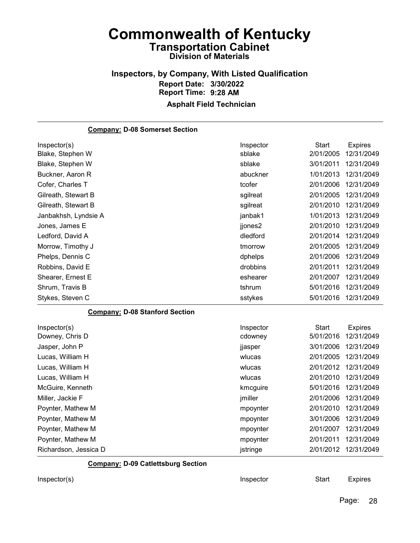#### Inspectors, by Company, With Listed Qualification Report Date: 3/30/2022 Report Time: 9:28 AM Asphalt Field Technician

### Company: D-08 Somerset Section Inspector(s) **Inspector** Start Expires Blake, Stephen W sblake 2/01/2005 12/31/2049 Blake, Stephen W sblake 3/01/2011 12/31/2049 Buckner, Aaron R abuckner 1/01/2013 12/31/2049 Cofer, Charles T **Cofer 2/01/2006** 12/31/2049 Gilreath, Stewart B **Superint Contract Contract Contract Contract Contract Contract Contract Contract Contract Contract Contract Contract Contract Contract Contract Contract Contract Contract Contract Contract Contract Con** Gilreath, Stewart B **Superint Contract Contract Contract Contract Contract Contract Contract Contract Contract Contract Contract Contract Contract Contract Contract Contract Contract Contract Contract Contract Contract Con** Janbakhsh, Lyndsie A janbak1 1/01/2013 12/31/2049 Jones, James E jjones2 2/01/2010 12/31/2049 Ledford, David A dledford 2/01/2014 12/31/2049 Morrow, Timothy J tmorrow 2/01/2005 12/31/2049 Phelps, Dennis C dphelps 2/01/2006 12/31/2049 Robbins, David E drobbins 2/01/2011 12/31/2049 Shearer, Ernest E eshearer 2/01/2007 12/31/2049 Shrum, Travis B tshrum 5/01/2016 12/31/2049 Stykes, Steven C sstykes 5/01/2016 12/31/2049 Company: D-08 Stanford Section Inspector(s) **Inspector** Start Expires Downey, Chris D cdowney 5/01/2016 12/31/2049 Jasper, John P jjasper 3/01/2006 12/31/2049 Lucas, William H wlucas 2/01/2005 12/31/2049 Lucas, William H wlucas 2/01/2012 12/31/2049 Lucas, William H wlucas 2/01/2010 12/31/2049 McGuire, Kenneth kmcguire 5/01/2016 12/31/2049 Miller, Jackie F jmiller 2/01/2006 12/31/2049 Poynter, Mathew M mpoynter 2/01/2010 12/31/2049 Poynter, Mathew M mpoynter 3/01/2006 12/31/2049 Poynter, Mathew M mpoynter 2/01/2007 12/31/2049 Poynter, Mathew M mpoynter 2/01/2011 12/31/2049 Richardson, Jessica D istringe 2/01/2012 12/31/2049

Company: D-09 Catlettsburg Section

Inspector(s) **Inspector** Start Expires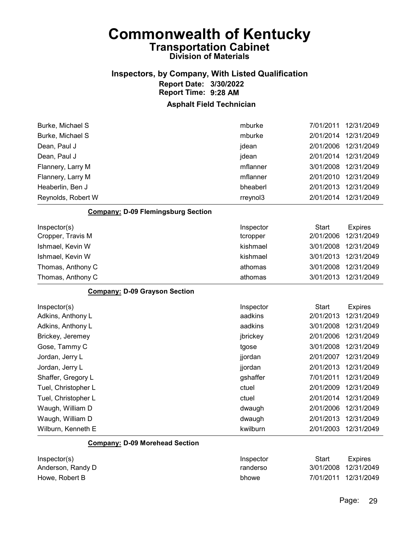### Inspectors, by Company, With Listed Qualification Report Date: 3/30/2022 Report Time: 9:28 AM

#### Asphalt Field Technician

| Reynolds, Robert W | rreynol3 | 2/01/2014 | 12/31/2049           |
|--------------------|----------|-----------|----------------------|
| Heaberlin, Ben J   | bheaberl | 2/01/2013 | 12/31/2049           |
| Flannery, Larry M  | mflanner | 2/01/2010 | 12/31/2049           |
| Flannery, Larry M  | mflanner |           | 3/01/2008 12/31/2049 |
| Dean, Paul J       | jdean    | 2/01/2014 | 12/31/2049           |
| Dean, Paul J       | jdean    | 2/01/2006 | 12/31/2049           |
| Burke, Michael S   | mburke   | 2/01/2014 | 12/31/2049           |
| Burke, Michael S   | mburke   | 7/01/2011 | 12/31/2049           |

#### Company: D-09 Flemingsburg Section

| Inspector(s)<br>Cropper, Travis M | Inspector<br>tcropper | Start<br>2/01/2006 | Expires<br>12/31/2049 |
|-----------------------------------|-----------------------|--------------------|-----------------------|
| Ishmael, Kevin W                  | kishmael              | 3/01/2008          | 12/31/2049            |
| Ishmael, Kevin W                  | kishmael              | 3/01/2013          | 12/31/2049            |
| Thomas, Anthony C                 | athomas               | 3/01/2008          | 12/31/2049            |
| Thomas, Anthony C                 | athomas               | 3/01/2013          | 12/31/2049            |

#### Company: D-09 Grayson Section

| Inspector(s)        | Inspector | Start     | <b>Expires</b> |
|---------------------|-----------|-----------|----------------|
| Adkins, Anthony L   | aadkins   | 2/01/2013 | 12/31/2049     |
| Adkins, Anthony L   | aadkins   | 3/01/2008 | 12/31/2049     |
| Brickey, Jeremey    | jbrickey  | 2/01/2006 | 12/31/2049     |
| Gose, Tammy C       | tgose     | 3/01/2008 | 12/31/2049     |
| Jordan, Jerry L     | jjordan   | 2/01/2007 | 12/31/2049     |
| Jordan, Jerry L     | jjordan   | 2/01/2013 | 12/31/2049     |
| Shaffer, Gregory L  | gshaffer  | 7/01/2011 | 12/31/2049     |
| Tuel, Christopher L | ctuel     | 2/01/2009 | 12/31/2049     |
| Tuel, Christopher L | ctuel     | 2/01/2014 | 12/31/2049     |
| Waugh, William D    | dwaugh    | 2/01/2006 | 12/31/2049     |
| Waugh, William D    | dwaugh    | 2/01/2013 | 12/31/2049     |
| Wilburn, Kenneth E  | kwilburn  | 2/01/2003 | 12/31/2049     |

#### Company: D-09 Morehead Section

| Inspector(s)      | Inspector | Start                | Expires |
|-------------------|-----------|----------------------|---------|
| Anderson, Randy D | randerso  | 3/01/2008 12/31/2049 |         |
| Howe, Robert B    | bhowe     | 7/01/2011 12/31/2049 |         |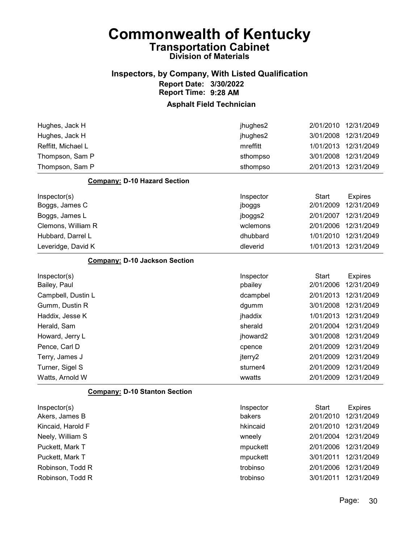### Inspectors, by Company, With Listed Qualification Report Date: 3/30/2022 Report Time: 9:28 AM

| Hughes, Jack H                       | jhughes2  | 2/01/2010    | 12/31/2049     |
|--------------------------------------|-----------|--------------|----------------|
| Hughes, Jack H                       | jhughes2  | 3/01/2008    | 12/31/2049     |
| Reffitt, Michael L                   | mreffitt  | 1/01/2013    | 12/31/2049     |
| Thompson, Sam P                      | sthompso  | 3/01/2008    | 12/31/2049     |
| Thompson, Sam P                      | sthompso  | 2/01/2013    | 12/31/2049     |
| <b>Company: D-10 Hazard Section</b>  |           |              |                |
| Inspector(s)                         | Inspector | <b>Start</b> | <b>Expires</b> |
| Boggs, James C                       | jboggs    | 2/01/2009    | 12/31/2049     |
| Boggs, James L                       | jboggs2   | 2/01/2007    | 12/31/2049     |
| Clemons, William R                   | wclemons  | 2/01/2006    | 12/31/2049     |
| Hubbard, Darrel L                    | dhubbard  | 1/01/2010    | 12/31/2049     |
| Leveridge, David K                   | dleverid  | 1/01/2013    | 12/31/2049     |
| <b>Company: D-10 Jackson Section</b> |           |              |                |
| Inspector(s)                         | Inspector | <b>Start</b> | <b>Expires</b> |
| Bailey, Paul                         | pbailey   | 2/01/2006    | 12/31/2049     |
| Campbell, Dustin L                   | dcampbel  | 2/01/2013    | 12/31/2049     |
| Gumm, Dustin R                       | dgumm     | 3/01/2008    | 12/31/2049     |
| Haddix, Jesse K                      | jhaddix   | 1/01/2013    | 12/31/2049     |
| Herald, Sam                          | sherald   | 2/01/2004    | 12/31/2049     |
| Howard, Jerry L                      | jhoward2  | 3/01/2008    | 12/31/2049     |
| Pence, Carl D                        | cpence    | 2/01/2009    | 12/31/2049     |
| Terry, James J                       | jterry2   | 2/01/2009    | 12/31/2049     |
| Turner, Sigel S                      | sturner4  | 2/01/2009    | 12/31/2049     |
| Watts, Arnold W                      | wwatts    | 2/01/2009    | 12/31/2049     |
| <b>Company: D-10 Stanton Section</b> |           |              |                |
| Inspector(s)                         | Inspector | <b>Start</b> | <b>Expires</b> |
| Akers, James B                       | bakers    | 2/01/2010    | 12/31/2049     |
| Kincaid, Harold F                    | hkincaid  | 2/01/2010    | 12/31/2049     |
| Neely, William S                     | wneely    | 2/01/2004    | 12/31/2049     |
| Puckett, Mark T                      | mpuckett  | 2/01/2006    | 12/31/2049     |
| Puckett, Mark T                      | mpuckett  | 3/01/2011    | 12/31/2049     |
| Robinson, Todd R                     | trobinso  | 2/01/2006    | 12/31/2049     |
| Robinson, Todd R                     | trobinso  | 3/01/2011    | 12/31/2049     |
|                                      |           |              |                |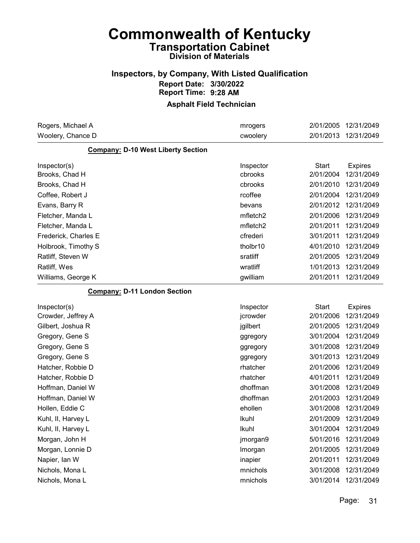### Inspectors, by Company, With Listed Qualification Report Date: 3/30/2022 Report Time: 9:28 AM

| Rogers, Michael A                         | mrogers   | 2/01/2005    | 12/31/2049     |
|-------------------------------------------|-----------|--------------|----------------|
| Woolery, Chance D                         | cwoolery  | 2/01/2013    | 12/31/2049     |
| <b>Company: D-10 West Liberty Section</b> |           |              |                |
| Inspector(s)                              | Inspector | <b>Start</b> | <b>Expires</b> |
| Brooks, Chad H                            | cbrooks   | 2/01/2004    | 12/31/2049     |
| Brooks, Chad H                            | cbrooks   | 2/01/2010    | 12/31/2049     |
| Coffee, Robert J                          | rcoffee   | 2/01/2004    | 12/31/2049     |
| Evans, Barry R                            | bevans    | 2/01/2012    | 12/31/2049     |
| Fletcher, Manda L                         | mfletch2  | 2/01/2006    | 12/31/2049     |
| Fletcher, Manda L                         | mfletch2  | 2/01/2011    | 12/31/2049     |
| Frederick, Charles E                      | cfrederi  | 3/01/2011    | 12/31/2049     |
| Holbrook, Timothy S                       | tholbr10  | 4/01/2010    | 12/31/2049     |
| Ratliff, Steven W                         | sratliff  | 2/01/2005    | 12/31/2049     |
| Ratliff, Wes                              | wratliff  | 1/01/2013    | 12/31/2049     |
| Williams, George K                        | gwilliam  | 2/01/2011    | 12/31/2049     |
| <b>Company: D-11 London Section</b>       |           |              |                |
| Inspector(s)                              | Inspector | <b>Start</b> | <b>Expires</b> |
| Crowder, Jeffrey A                        | jcrowder  | 2/01/2006    | 12/31/2049     |
| Gilbert, Joshua R                         | jgilbert  | 2/01/2005    | 12/31/2049     |
| Gregory, Gene S                           | ggregory  | 3/01/2004    | 12/31/2049     |
| Gregory, Gene S                           | ggregory  | 3/01/2008    | 12/31/2049     |
| Gregory, Gene S                           | ggregory  | 3/01/2013    | 12/31/2049     |
| Hatcher, Robbie D                         | rhatcher  | 2/01/2006    | 12/31/2049     |
| Hatcher, Robbie D                         | rhatcher  | 4/01/2011    | 12/31/2049     |
| Hoffman, Daniel W                         | dhoffman  | 3/01/2008    | 12/31/2049     |
| Hoffman, Daniel W                         | dhoffman  | 2/01/2003    | 12/31/2049     |
| Hollen, Eddie C                           | ehollen   | 3/01/2008    | 12/31/2049     |
| Kuhl, II, Harvey L                        | Ikuhl     | 2/01/2009    | 12/31/2049     |
| Kuhl, II, Harvey L                        | Ikuhl     | 3/01/2004    | 12/31/2049     |
| Morgan, John H                            | jmorgan9  | 5/01/2016    | 12/31/2049     |
|                                           |           |              |                |
| Morgan, Lonnie D                          | Imorgan   | 2/01/2005    | 12/31/2049     |
| Napier, Ian W                             | inapier   | 2/01/2011    | 12/31/2049     |
| Nichols, Mona L                           | mnichols  | 3/01/2008    | 12/31/2049     |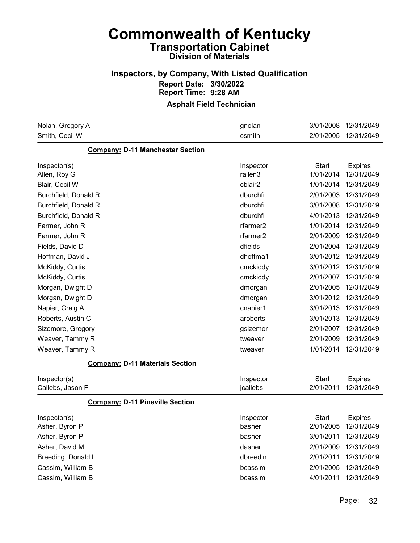### Inspectors, by Company, With Listed Qualification Report Date: 3/30/2022 Report Time: 9:28 AM

| Nolan, Gregory A                        | gnolan               | 3/01/2008    | 12/31/2049     |
|-----------------------------------------|----------------------|--------------|----------------|
| Smith, Cecil W                          | csmith               | 2/01/2005    | 12/31/2049     |
| <b>Company: D-11 Manchester Section</b> |                      |              |                |
| Inspector(s)                            | Inspector            | <b>Start</b> | <b>Expires</b> |
| Allen, Roy G                            | rallen3              | 1/01/2014    | 12/31/2049     |
| Blair, Cecil W                          | cblair2              | 1/01/2014    | 12/31/2049     |
| Burchfield, Donald R                    | dburchfi             | 2/01/2003    | 12/31/2049     |
| Burchfield, Donald R                    | dburchfi             | 3/01/2008    | 12/31/2049     |
| Burchfield, Donald R                    | dburchfi             | 4/01/2013    | 12/31/2049     |
| Farmer, John R                          | rfarmer2             | 1/01/2014    | 12/31/2049     |
| Farmer, John R                          | rfarmer <sub>2</sub> | 2/01/2009    | 12/31/2049     |
| Fields, David D                         | dfields              | 2/01/2004    | 12/31/2049     |
| Hoffman, David J                        | dhoffma1             | 3/01/2012    | 12/31/2049     |
| McKiddy, Curtis                         | cmckiddy             | 3/01/2012    | 12/31/2049     |
| McKiddy, Curtis                         | cmckiddy             | 2/01/2007    | 12/31/2049     |
| Morgan, Dwight D                        | dmorgan              | 2/01/2005    | 12/31/2049     |
| Morgan, Dwight D                        | dmorgan              | 3/01/2012    | 12/31/2049     |
| Napier, Craig A                         | cnapier1             | 3/01/2013    | 12/31/2049     |
| Roberts, Austin C                       | aroberts             | 3/01/2013    | 12/31/2049     |
| Sizemore, Gregory                       | gsizemor             | 2/01/2007    | 12/31/2049     |
| Weaver, Tammy R                         | tweaver              | 2/01/2009    | 12/31/2049     |
| Weaver, Tammy R                         | tweaver              | 1/01/2014    | 12/31/2049     |
| <b>Company: D-11 Materials Section</b>  |                      |              |                |
| Inspector(s)                            | Inspector            | <b>Start</b> | <b>Expires</b> |
| Callebs, Jason P                        | jcallebs             | 2/01/2011    | 12/31/2049     |
| <b>Company: D-11 Pineville Section</b>  |                      |              |                |
| Inspector(s)                            | Inspector            | Start        | <b>Expires</b> |
| Asher, Byron P                          | basher               | 2/01/2005    | 12/31/2049     |
| Asher, Byron P                          | basher               | 3/01/2011    | 12/31/2049     |
| Asher, David M                          | dasher               | 2/01/2009    | 12/31/2049     |
| Breeding, Donald L                      | dbreedin             | 2/01/2011    | 12/31/2049     |
| Cassim, William B                       | bcassim              | 2/01/2005    | 12/31/2049     |
| Cassim, William B                       | bcassim              | 4/01/2011    | 12/31/2049     |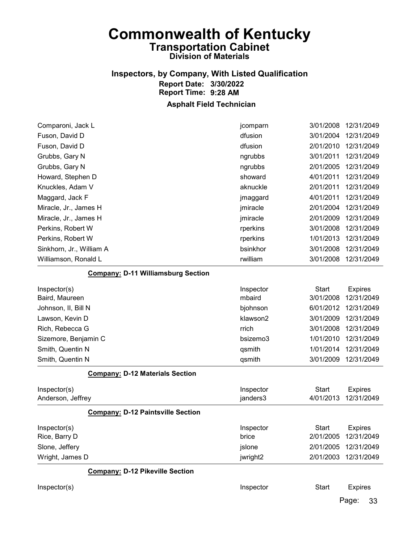### Inspectors, by Company, With Listed Qualification Report Date: 3/30/2022 Report Time: 9:28 AM

#### Asphalt Field Technician

| Comparoni, Jack L                         | jcomparn  | 3/01/2008    | 12/31/2049     |
|-------------------------------------------|-----------|--------------|----------------|
| Fuson, David D                            | dfusion   | 3/01/2004    | 12/31/2049     |
| Fuson, David D                            | dfusion   | 2/01/2010    | 12/31/2049     |
| Grubbs, Gary N                            | ngrubbs   | 3/01/2011    | 12/31/2049     |
| Grubbs, Gary N                            | ngrubbs   | 2/01/2005    | 12/31/2049     |
| Howard, Stephen D                         | showard   | 4/01/2011    | 12/31/2049     |
| Knuckles, Adam V                          | aknuckle  | 2/01/2011    | 12/31/2049     |
| Maggard, Jack F                           | jmaggard  | 4/01/2011    | 12/31/2049     |
| Miracle, Jr., James H                     | jmiracle  | 2/01/2004    | 12/31/2049     |
| Miracle, Jr., James H                     | jmiracle  | 2/01/2009    | 12/31/2049     |
| Perkins, Robert W                         | rperkins  | 3/01/2008    | 12/31/2049     |
| Perkins, Robert W                         | rperkins  | 1/01/2013    | 12/31/2049     |
| Sinkhorn, Jr., William A                  | bsinkhor  | 3/01/2008    | 12/31/2049     |
| Williamson, Ronald L                      | rwilliam  | 3/01/2008    | 12/31/2049     |
| <b>Company: D-11 Williamsburg Section</b> |           |              |                |
| Inspector(s)                              | Inspector | <b>Start</b> | <b>Expires</b> |
| Baird, Maureen                            | mbaird    | 3/01/2008    | 12/31/2049     |
| Johnson, II, Bill N                       | bjohnson  | 6/01/2012    | 12/31/2049     |
| Lawson, Kevin D                           | klawson2  | 3/01/2009    | 12/31/2049     |
| Rich, Rebecca G                           | rrich     | 3/01/2008    | 12/31/2049     |
| Sizemore, Benjamin C                      | bsizemo3  | 1/01/2010    | 12/31/2049     |
| Smith, Quentin N                          | qsmith    | 1/01/2014    | 12/31/2049     |

#### Company: D-12 Materials Section

| Inspector(s)<br>Anderson, Jeffrey        | Inspector<br>janders3 | Start<br>4/01/2013 | <b>Expires</b><br>12/31/2049 |
|------------------------------------------|-----------------------|--------------------|------------------------------|
| <b>Company: D-12 Paintsville Section</b> |                       |                    |                              |
| Inspector(s)                             | Inspector             | Start              | <b>Expires</b>               |
| Rice, Barry D                            | brice                 | 2/01/2005          | 12/31/2049                   |
| Slone, Jeffery                           | jslone                | 2/01/2005          | 12/31/2049                   |
| Wright, James D                          | jwright2              | 2/01/2003          | 12/31/2049                   |

Smith, Quentin N<br>
assembly controlled a set of the set of the set of the set of the set of the set of the set of the set of the set of the set of the set of the set of the set of the set of the set of the set of the set of

#### Company: D-12 Pikeville Section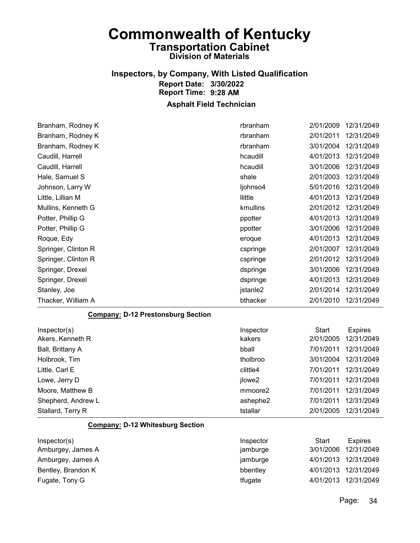# Inspectors, by Company, With Listed Qualification Report Date: 3/30/2022 Report Time: 9:28 AM

| Branham, Rodney K                         | rbranham  | 2/01/2009    | 12/31/2049     |
|-------------------------------------------|-----------|--------------|----------------|
| Branham, Rodney K                         | rbranham  | 2/01/2011    | 12/31/2049     |
| Branham, Rodney K                         | rbranham  | 3/01/2004    | 12/31/2049     |
| Caudill, Harrell                          | hcaudill  | 4/01/2013    | 12/31/2049     |
| Caudill, Harrell                          | hcaudill  | 3/01/2006    | 12/31/2049     |
| Hale, Samuel S                            | shale     | 2/01/2003    | 12/31/2049     |
| Johnson, Larry W                          | ljohnso4  | 5/01/2016    | 12/31/2049     |
| Little, Lillian M                         | llittle   | 4/01/2013    | 12/31/2049     |
| Mullins, Kenneth G                        | kmullins  | 2/01/2012    | 12/31/2049     |
| Potter, Phillip G                         | ppotter   | 4/01/2013    | 12/31/2049     |
| Potter, Phillip G                         | ppotter   | 3/01/2006    | 12/31/2049     |
| Roque, Edy                                | eroque    | 4/01/2013    | 12/31/2049     |
| Springer, Clinton R                       | cspringe  | 2/01/2007    | 12/31/2049     |
| Springer, Clinton R                       | cspringe  | 2/01/2012    | 12/31/2049     |
| Springer, Drexel                          | dspringe  | 3/01/2006    | 12/31/2049     |
| Springer, Drexel                          | dspringe  | 4/01/2013    | 12/31/2049     |
| Stanley, Joe                              | jstanle2  | 2/01/2014    | 12/31/2049     |
| Thacker, William A                        | bthacker  | 2/01/2010    | 12/31/2049     |
|                                           |           |              |                |
| <b>Company: D-12 Prestonsburg Section</b> |           |              |                |
| Inspector(s)                              | Inspector | Start        | <b>Expires</b> |
| Akers, Kenneth R                          | kakers    | 2/01/2005    | 12/31/2049     |
| Ball, Brittany A                          | bball     | 7/01/2011    | 12/31/2049     |
| Holbrook, Tim                             | tholbroo  | 3/01/2004    | 12/31/2049     |
| Little, Carl E                            | clittle4  | 7/01/2011    | 12/31/2049     |
| Lowe, Jerry D                             | jlowe2    | 7/01/2011    | 12/31/2049     |
| Moore, Matthew B                          | mmoore2   | 7/01/2011    | 12/31/2049     |
| Shepherd, Andrew L                        | ashephe2  | 7/01/2011    | 12/31/2049     |
| Stallard, Terry R                         | tstallar  | 2/01/2005    | 12/31/2049     |
| <b>Company: D-12 Whitesburg Section</b>   |           |              |                |
| Inspector(s)                              | Inspector | <b>Start</b> | <b>Expires</b> |
| Amburgey, James A                         | jamburge  | 3/01/2006    | 12/31/2049     |
| Amburgey, James A                         | jamburge  | 4/01/2013    | 12/31/2049     |
| Bentley, Brandon K                        | bbentley  | 4/01/2013    | 12/31/2049     |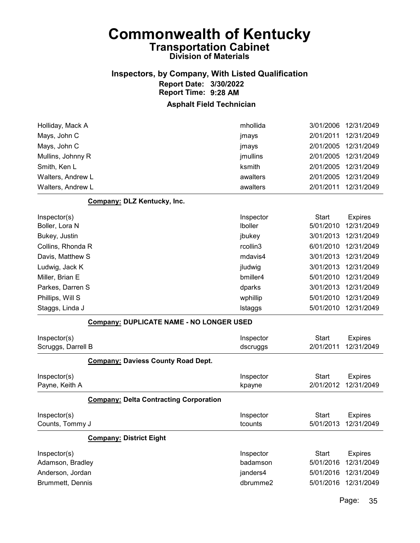### Inspectors, by Company, With Listed Qualification Report Date: 3/30/2022 Report Time: 9:28 AM

#### Asphalt Field Technician

| Walters, Andrew L | awalters | 2/01/2011 | 12/31/2049           |
|-------------------|----------|-----------|----------------------|
| Walters, Andrew L | awalters |           | 2/01/2005 12/31/2049 |
| Smith, Ken L      | ksmith   |           | 2/01/2005 12/31/2049 |
| Mullins, Johnny R | jmullins |           | 2/01/2005 12/31/2049 |
| Mays, John C      | jmays    |           | 2/01/2005 12/31/2049 |
| Mays, John C      | jmays    | 2/01/2011 | 12/31/2049           |
| Holliday, Mack A  | mhollida |           | 3/01/2006 12/31/2049 |
|                   |          |           |                      |

#### Company: DLZ Kentucky, Inc.

| Inspector(s)      | Inspector      | Start     | <b>Expires</b> |
|-------------------|----------------|-----------|----------------|
| Boller, Lora N    | <b>Iboller</b> | 5/01/2010 | 12/31/2049     |
| Bukey, Justin     | jbukey         | 3/01/2013 | 12/31/2049     |
| Collins, Rhonda R | rcollin3       | 6/01/2010 | 12/31/2049     |
| Davis, Matthew S  | mdavis4        | 3/01/2013 | 12/31/2049     |
| Ludwig, Jack K    | jludwig        | 3/01/2013 | 12/31/2049     |
| Miller, Brian E   | bmiller4       | 5/01/2010 | 12/31/2049     |
| Parkes, Darren S  | dparks         | 3/01/2013 | 12/31/2049     |
| Phillips, Will S  | wphillip       | 5/01/2010 | 12/31/2049     |
| Staggs, Linda J   | Istaggs        | 5/01/2010 | 12/31/2049     |

#### Company: DUPLICATE NAME - NO LONGER USED

|                         | 00111pd113. Doi: LIOMTE MAME - NO LONOLIN 00LD |           |              |                |
|-------------------------|------------------------------------------------|-----------|--------------|----------------|
| Inspector(s)            |                                                | Inspector | Start        | <b>Expires</b> |
| Scruggs, Darrell B      |                                                | dscruggs  | 2/01/2011    | 12/31/2049     |
|                         | <b>Company: Daviess County Road Dept.</b>      |           |              |                |
| Inspector(s)            |                                                | Inspector | Start        | Expires        |
| Payne, Keith A          |                                                | kpayne    | 2/01/2012    | 12/31/2049     |
|                         | <b>Company: Delta Contracting Corporation</b>  |           |              |                |
| Inspector(s)            |                                                | Inspector | Start        | Expires        |
| Counts, Tommy J         |                                                | tcounts   | 5/01/2013    | 12/31/2049     |
|                         | <b>Company: District Eight</b>                 |           |              |                |
| Inspector(s)            |                                                | Inspector | <b>Start</b> | <b>Expires</b> |
| Adamson, Bradley        |                                                | badamson  | 5/01/2016    | 12/31/2049     |
| Anderson, Jordan        |                                                | janders4  | 5/01/2016    | 12/31/2049     |
| <b>Brummett, Dennis</b> |                                                | dbrumme2  | 5/01/2016    | 12/31/2049     |
|                         |                                                |           |              |                |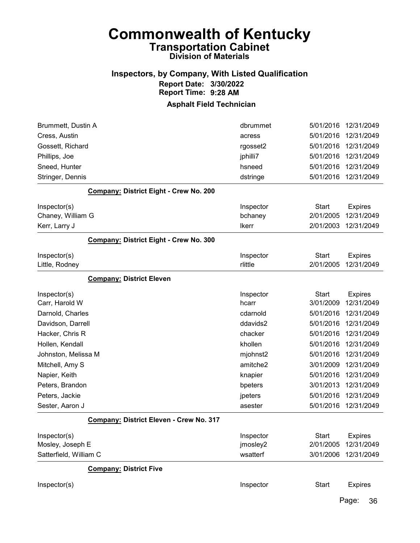### Inspectors, by Company, With Listed Qualification Report Date: 3/30/2022 Report Time: 9:28 AM

#### Asphalt Field Technician

| Brummett, Dustin A                      | dbrummet     | 5/01/2016    | 12/31/2049     |
|-----------------------------------------|--------------|--------------|----------------|
| Cress, Austin                           | acress       | 5/01/2016    | 12/31/2049     |
| Gossett, Richard                        | rgosset2     | 5/01/2016    | 12/31/2049     |
| Phillips, Joe                           | jphilli7     | 5/01/2016    | 12/31/2049     |
| Sneed, Hunter                           | hsneed       | 5/01/2016    | 12/31/2049     |
| Stringer, Dennis                        | dstringe     | 5/01/2016    | 12/31/2049     |
| Company: District Eight - Crew No. 200  |              |              |                |
| Inspector(s)                            | Inspector    | <b>Start</b> | <b>Expires</b> |
| Chaney, William G                       | bchaney      | 2/01/2005    | 12/31/2049     |
| Kerr, Larry J                           | <b>Ikerr</b> | 2/01/2003    | 12/31/2049     |
| Company: District Eight - Crew No. 300  |              |              |                |
| Inspector(s)                            | Inspector    | <b>Start</b> | <b>Expires</b> |
| Little, Rodney                          | rlittle      | 2/01/2005    | 12/31/2049     |
| <b>Company: District Eleven</b>         |              |              |                |
| Inspector(s)                            | Inspector    | <b>Start</b> | <b>Expires</b> |
| Carr, Harold W                          | hcarr        | 3/01/2009    | 12/31/2049     |
| Darnold, Charles                        | cdarnold     | 5/01/2016    | 12/31/2049     |
| Davidson, Darrell                       | ddavids2     | 5/01/2016    | 12/31/2049     |
| Hacker, Chris R                         | chacker      | 5/01/2016    | 12/31/2049     |
| Hollen, Kendall                         | khollen      | 5/01/2016    | 12/31/2049     |
| Johnston, Melissa M                     | mjohnst2     | 5/01/2016    | 12/31/2049     |
| Mitchell, Amy S                         | amitche2     | 3/01/2009    | 12/31/2049     |
| Napier, Keith                           | knapier      | 5/01/2016    | 12/31/2049     |
| Peters, Brandon                         | bpeters      | 3/01/2013    | 12/31/2049     |
| Peters, Jackie                          | jpeters      | 5/01/2016    | 12/31/2049     |
| Sester, Aaron J                         | asester      | 5/01/2016    | 12/31/2049     |
| Company: District Eleven - Crew No. 317 |              |              |                |
| Inspector(s)                            | Inspector    | <b>Start</b> | <b>Expires</b> |
| Mosley, Joseph E                        | jmosley2     | 2/01/2005    | 12/31/2049     |
| Satterfield, William C                  | wsatterf     | 3/01/2006    | 12/31/2049     |
| <b>Company: District Five</b>           |              |              |                |
| Inspector(s)                            | Inspector    | <b>Start</b> | <b>Expires</b> |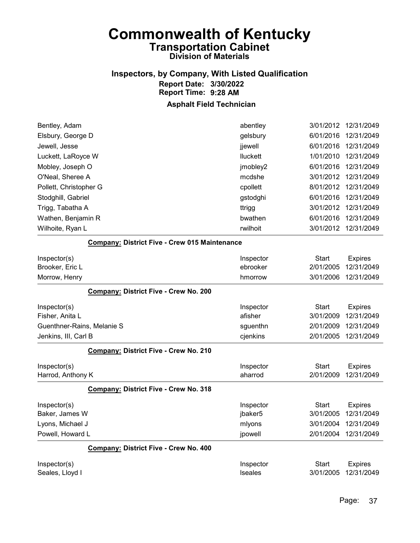# Inspectors, by Company, With Listed Qualification Report Date: 3/30/2022 Report Time: 9:28 AM

| Bentley, Adam                   |                                                      | abentley                    | 3/01/2012          | 12/31/2049                   |
|---------------------------------|------------------------------------------------------|-----------------------------|--------------------|------------------------------|
| Elsbury, George D               |                                                      | gelsbury                    | 6/01/2016          | 12/31/2049                   |
| Jewell, Jesse                   |                                                      | jjewell                     | 6/01/2016          | 12/31/2049                   |
| Luckett, LaRoyce W              |                                                      | lluckett                    | 1/01/2010          | 12/31/2049                   |
| Mobley, Joseph O                |                                                      | jmobley2                    | 6/01/2016          | 12/31/2049                   |
| O'Neal, Sheree A                |                                                      | mcdshe                      | 3/01/2012          | 12/31/2049                   |
| Pollett, Christopher G          |                                                      | cpollett                    | 8/01/2012          | 12/31/2049                   |
| Stodghill, Gabriel              |                                                      | gstodghi                    | 6/01/2016          | 12/31/2049                   |
| Trigg, Tabatha A                |                                                      | ttrigg                      | 3/01/2012          | 12/31/2049                   |
| Wathen, Benjamin R              |                                                      | bwathen                     | 6/01/2016          | 12/31/2049                   |
| Wilhoite, Ryan L                |                                                      | rwilhoit                    | 3/01/2012          | 12/31/2049                   |
|                                 | <b>Company: District Five - Crew 015 Maintenance</b> |                             |                    |                              |
| Inspector(s)                    |                                                      | Inspector                   | Start              | <b>Expires</b>               |
| Brooker, Eric L                 |                                                      | ebrooker                    | 2/01/2005          | 12/31/2049                   |
| Morrow, Henry                   |                                                      | hmorrow                     | 3/01/2006          | 12/31/2049                   |
|                                 | Company: District Five - Crew No. 200                |                             |                    |                              |
| Inspector(s)                    |                                                      | Inspector                   | <b>Start</b>       | <b>Expires</b>               |
| Fisher, Anita L                 |                                                      | afisher                     | 3/01/2009          | 12/31/2049                   |
| Guenthner-Rains, Melanie S      |                                                      | sguenthn                    | 2/01/2009          | 12/31/2049                   |
| Jenkins, III, Carl B            |                                                      | cjenkins                    | 2/01/2005          | 12/31/2049                   |
|                                 | Company: District Five - Crew No. 210                |                             |                    |                              |
| Inspector(s)                    |                                                      | Inspector                   | <b>Start</b>       | <b>Expires</b>               |
| Harrod, Anthony K               |                                                      | aharrod                     | 2/01/2009          | 12/31/2049                   |
|                                 | Company: District Five - Crew No. 318                |                             |                    |                              |
| Inspector(s)                    |                                                      | Inspector                   | Start              | <b>Expires</b>               |
| Baker, James W                  |                                                      | jbaker5                     | 3/01/2005          | 12/31/2049                   |
| Lyons, Michael J                |                                                      | mlyons                      | 3/01/2004          | 12/31/2049                   |
| Powell, Howard L                |                                                      | jpowell                     | 2/01/2004          | 12/31/2049                   |
|                                 | Company: District Five - Crew No. 400                |                             |                    |                              |
|                                 |                                                      |                             |                    |                              |
| Inspector(s)<br>Seales, Lloyd I |                                                      | Inspector<br><b>Iseales</b> | Start<br>3/01/2005 | <b>Expires</b><br>12/31/2049 |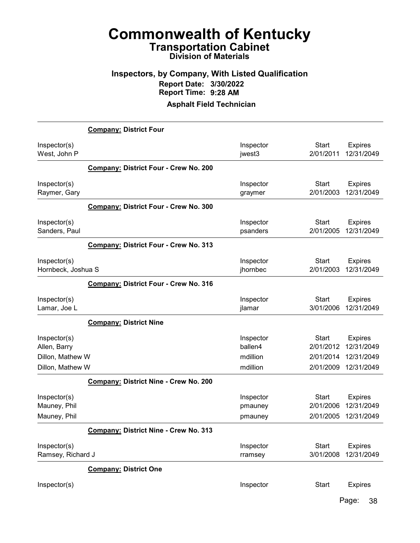### Inspectors, by Company, With Listed Qualification Report Date: 3/30/2022 Report Time: 9:28 AM

#### Asphalt Field Technician

|                                                  | <b>Company: District Four</b>                |                                  |                                        |                                            |
|--------------------------------------------------|----------------------------------------------|----------------------------------|----------------------------------------|--------------------------------------------|
| Inspector(s)<br>West, John P                     |                                              | Inspector<br>jwest3              | <b>Start</b><br>2/01/2011              | <b>Expires</b><br>12/31/2049               |
|                                                  | <b>Company: District Four - Crew No. 200</b> |                                  |                                        |                                            |
| Inspector(s)<br>Raymer, Gary                     |                                              | Inspector<br>graymer             | <b>Start</b><br>2/01/2003              | <b>Expires</b><br>12/31/2049               |
|                                                  | Company: District Four - Crew No. 300        |                                  |                                        |                                            |
| Inspector(s)<br>Sanders, Paul                    |                                              | Inspector<br>psanders            | <b>Start</b><br>2/01/2005              | <b>Expires</b><br>12/31/2049               |
|                                                  | <b>Company: District Four - Crew No. 313</b> |                                  |                                        |                                            |
| Inspector(s)<br>Hornbeck, Joshua S               |                                              | Inspector<br>jhornbec            | <b>Start</b><br>2/01/2003              | <b>Expires</b><br>12/31/2049               |
|                                                  | <b>Company: District Four - Crew No. 316</b> |                                  |                                        |                                            |
| Inspector(s)<br>Lamar, Joe L                     |                                              | Inspector<br>jlamar              | <b>Start</b><br>3/01/2006              | <b>Expires</b><br>12/31/2049               |
|                                                  | <b>Company: District Nine</b>                |                                  |                                        |                                            |
| Inspector(s)<br>Allen, Barry<br>Dillon, Mathew W |                                              | Inspector<br>ballen4<br>mdillion | <b>Start</b><br>2/01/2012<br>2/01/2014 | <b>Expires</b><br>12/31/2049<br>12/31/2049 |
| Dillon, Mathew W                                 | <b>Company: District Nine - Crew No. 200</b> | mdillion                         | 2/01/2009                              | 12/31/2049                                 |
| Inspector(s)<br>Mauney, Phil<br>Mauney, Phil     |                                              | Inspector<br>pmauney<br>pmauney  | <b>Start</b><br>2/01/2006<br>2/01/2005 | <b>Expires</b><br>12/31/2049<br>12/31/2049 |
|                                                  | Company: District Nine - Crew No. 313        |                                  |                                        |                                            |
| Inspector(s)<br>Ramsey, Richard J                |                                              | Inspector<br>rramsey             | <b>Start</b><br>3/01/2008              | <b>Expires</b><br>12/31/2049               |
|                                                  | <b>Company: District One</b>                 |                                  |                                        |                                            |
| Inspector(s)                                     |                                              | Inspector                        | <b>Start</b>                           | <b>Expires</b>                             |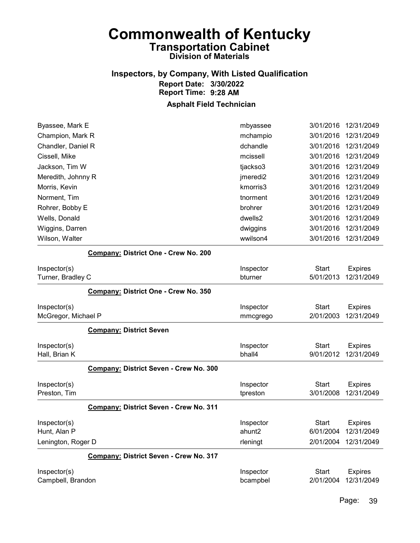# Inspectors, by Company, With Listed Qualification Report Date: 3/30/2022 Report Time: 9:28 AM

| mchampio                               | 3/01/2016                            | 12/31/2049     |
|----------------------------------------|--------------------------------------|----------------|
| dchandle                               | 3/01/2016                            | 12/31/2049     |
| mcissell                               | 3/01/2016                            | 12/31/2049     |
| tjackso3                               | 3/01/2016                            | 12/31/2049     |
| jmeredi2                               | 3/01/2016                            | 12/31/2049     |
| kmorris3                               | 3/01/2016                            | 12/31/2049     |
| tnorment                               | 3/01/2016                            | 12/31/2049     |
| brohrer                                | 3/01/2016                            | 12/31/2049     |
| dwells2                                | 3/01/2016                            | 12/31/2049     |
| dwiggins                               | 3/01/2016                            | 12/31/2049     |
| wwilson4                               | 3/01/2016                            | 12/31/2049     |
|                                        |                                      |                |
| Inspector                              | <b>Start</b>                         | <b>Expires</b> |
| bturner                                | 5/01/2013                            | 12/31/2049     |
|                                        |                                      |                |
| Company: District One - Crew No. 350   |                                      |                |
| Inspector                              | <b>Start</b>                         | <b>Expires</b> |
| mmcgrego                               | 2/01/2003                            | 12/31/2049     |
|                                        |                                      |                |
| Inspector                              | Start                                | <b>Expires</b> |
| bhall4                                 | 9/01/2012                            | 12/31/2049     |
| Company: District Seven - Crew No. 300 |                                      |                |
| Inspector                              | <b>Start</b>                         | <b>Expires</b> |
| tpreston                               | 3/01/2008                            | 12/31/2049     |
| Company: District Seven - Crew No. 311 |                                      |                |
| Inspector                              | <b>Start</b>                         | <b>Expires</b> |
| ahunt2                                 | 6/01/2004                            | 12/31/2049     |
| rleningt                               | 2/01/2004                            | 12/31/2049     |
| Company: District Seven - Crew No. 317 |                                      |                |
| Inspector                              | <b>Start</b>                         | <b>Expires</b> |
|                                        | Company: District One - Crew No. 200 |                |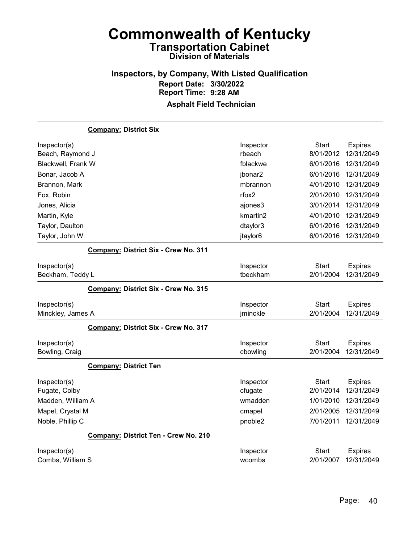# Inspectors, by Company, With Listed Qualification Report Date: 3/30/2022 Report Time: 9:28 AM

|                    | <b>Company: District Six</b>                |           |              |                |
|--------------------|---------------------------------------------|-----------|--------------|----------------|
| Inspector(s)       |                                             | Inspector | <b>Start</b> | <b>Expires</b> |
| Beach, Raymond J   |                                             | rbeach    | 8/01/2012    | 12/31/2049     |
| Blackwell, Frank W |                                             | fblackwe  | 6/01/2016    | 12/31/2049     |
| Bonar, Jacob A     |                                             | jbonar2   | 6/01/2016    | 12/31/2049     |
| Brannon, Mark      |                                             | mbrannon  | 4/01/2010    | 12/31/2049     |
| Fox, Robin         |                                             | rfox2     | 2/01/2010    | 12/31/2049     |
| Jones, Alicia      |                                             | ajones3   | 3/01/2014    | 12/31/2049     |
| Martin, Kyle       |                                             | kmartin2  | 4/01/2010    | 12/31/2049     |
| Taylor, Daulton    |                                             | dtaylor3  | 6/01/2016    | 12/31/2049     |
| Taylor, John W     |                                             | jtaylor6  | 6/01/2016    | 12/31/2049     |
|                    | Company: District Six - Crew No. 311        |           |              |                |
| Inspector(s)       |                                             | Inspector | <b>Start</b> | <b>Expires</b> |
| Beckham, Teddy L   |                                             | tbeckham  | 2/01/2004    | 12/31/2049     |
|                    | <b>Company: District Six - Crew No. 315</b> |           |              |                |
|                    |                                             |           |              |                |
| Inspector(s)       |                                             | Inspector | <b>Start</b> | <b>Expires</b> |
| Minckley, James A  |                                             | jminckle  | 2/01/2004    | 12/31/2049     |
|                    | <b>Company: District Six - Crew No. 317</b> |           |              |                |
| Inspector(s)       |                                             | Inspector | <b>Start</b> | <b>Expires</b> |
| Bowling, Craig     |                                             | cbowling  | 2/01/2004    | 12/31/2049     |
|                    | <b>Company: District Ten</b>                |           |              |                |
| Inspector(s)       |                                             | Inspector | Start        | <b>Expires</b> |
| Fugate, Colby      |                                             | cfugate   | 2/01/2014    | 12/31/2049     |
| Madden, William A  |                                             | wmadden   | 1/01/2010    | 12/31/2049     |
| Mapel, Crystal M   |                                             | cmapel    | 2/01/2005    | 12/31/2049     |
| Noble, Phillip C   |                                             | pnoble2   | 7/01/2011    | 12/31/2049     |
|                    | Company: District Ten - Crew No. 210        |           |              |                |
| Inspector(s)       |                                             | Inspector | <b>Start</b> | <b>Expires</b> |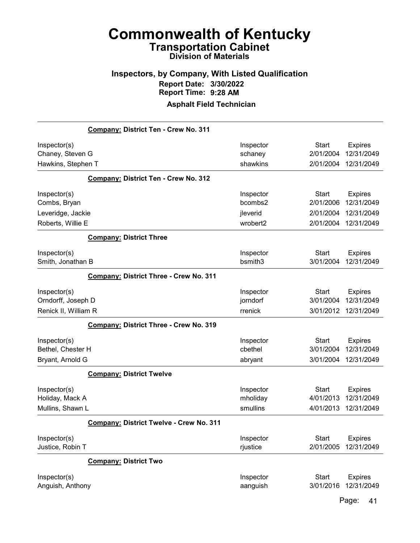# Inspectors, by Company, With Listed Qualification Report Date: 3/30/2022 Report Time: 9:28 AM

### Asphalt Field Technician

|                      | Company: District Ten - Crew No. 311          |           |              |                |
|----------------------|-----------------------------------------------|-----------|--------------|----------------|
| Inspector(s)         |                                               | Inspector | <b>Start</b> | <b>Expires</b> |
| Chaney, Steven G     |                                               | schaney   | 2/01/2004    | 12/31/2049     |
| Hawkins, Stephen T   |                                               | shawkins  | 2/01/2004    | 12/31/2049     |
|                      | Company: District Ten - Crew No. 312          |           |              |                |
| Inspector(s)         |                                               | Inspector | Start        | <b>Expires</b> |
| Combs, Bryan         |                                               | bcombs2   | 2/01/2006    | 12/31/2049     |
| Leveridge, Jackie    |                                               | jleverid  | 2/01/2004    | 12/31/2049     |
| Roberts, Willie E    |                                               | wrobert2  | 2/01/2004    | 12/31/2049     |
|                      | <b>Company: District Three</b>                |           |              |                |
| Inspector(s)         |                                               | Inspector | <b>Start</b> | <b>Expires</b> |
| Smith, Jonathan B    |                                               | bsmith3   | 3/01/2004    | 12/31/2049     |
|                      | <b>Company: District Three - Crew No. 311</b> |           |              |                |
| Inspector(s)         |                                               | Inspector | <b>Start</b> | <b>Expires</b> |
| Orndorff, Joseph D   |                                               | jorndorf  | 3/01/2004    | 12/31/2049     |
| Renick II, William R |                                               | rrenick   | 3/01/2012    | 12/31/2049     |
|                      | <b>Company: District Three - Crew No. 319</b> |           |              |                |
| Inspector(s)         |                                               | Inspector | <b>Start</b> | <b>Expires</b> |
| Bethel, Chester H    |                                               | cbethel   | 3/01/2004    | 12/31/2049     |
| Bryant, Arnold G     |                                               | abryant   | 3/01/2004    | 12/31/2049     |
|                      | <b>Company: District Twelve</b>               |           |              |                |
| Inspector(s)         |                                               | Inspector | <b>Start</b> | <b>Expires</b> |
| Holiday, Mack A      |                                               | mholiday  | 4/01/2013    | 12/31/2049     |
| Mullins, Shawn L     |                                               | smullins  | 4/01/2013    | 12/31/2049     |
|                      | Company: District Twelve - Crew No. 311       |           |              |                |
| Inspector(s)         |                                               | Inspector | <b>Start</b> | <b>Expires</b> |
| Justice, Robin T     |                                               | rjustice  | 2/01/2005    | 12/31/2049     |
|                      | <b>Company: District Two</b>                  |           |              |                |
| Inspector(s)         |                                               | Inspector | Start        | <b>Expires</b> |
| Anguish, Anthony     |                                               | aanguish  | 3/01/2016    | 12/31/2049     |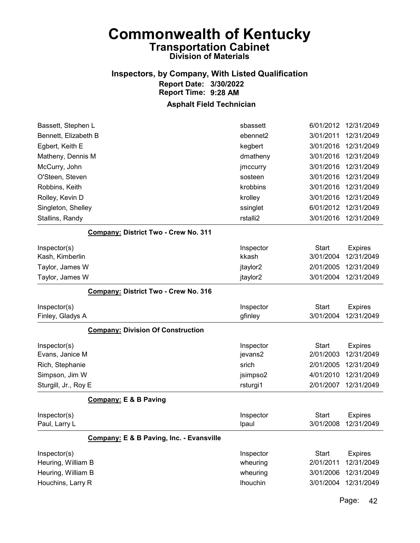# Inspectors, by Company, With Listed Qualification Report Date: 3/30/2022 Report Time: 9:28 AM

### Asphalt Field Technician

| Bassett, Stephen L                          | sbassett           | 6/01/2012                 | 12/31/2049                   |
|---------------------------------------------|--------------------|---------------------------|------------------------------|
| Bennett, Elizabeth B                        | ebennet2           | 3/01/2011                 | 12/31/2049                   |
| Egbert, Keith E                             | kegbert            | 3/01/2016                 | 12/31/2049                   |
| Matheny, Dennis M                           | dmatheny           | 3/01/2016                 | 12/31/2049                   |
| McCurry, John                               | jmccurry           | 3/01/2016                 | 12/31/2049                   |
| O'Steen, Steven                             | sosteen            | 3/01/2016                 | 12/31/2049                   |
| Robbins, Keith                              | krobbins           | 3/01/2016                 | 12/31/2049                   |
| Rolley, Kevin D                             | krolley            | 3/01/2016                 | 12/31/2049                   |
| Singleton, Shelley                          | ssinglet           | 6/01/2012                 | 12/31/2049                   |
| Stallins, Randy                             | rstalli2           | 3/01/2016                 | 12/31/2049                   |
| <b>Company: District Two - Crew No. 311</b> |                    |                           |                              |
| Inspector(s)                                | Inspector          | <b>Start</b>              | <b>Expires</b>               |
| Kash, Kimberlin                             | kkash              | 3/01/2004                 | 12/31/2049                   |
| Taylor, James W                             | jtaylor2           | 2/01/2005                 | 12/31/2049                   |
| Taylor, James W                             | jtaylor2           | 3/01/2004                 | 12/31/2049                   |
| Company: District Two - Crew No. 316        |                    |                           |                              |
| Inspector(s)                                | Inspector          | <b>Start</b>              | <b>Expires</b>               |
| Finley, Gladys A                            | gfinley            | 3/01/2004                 | 12/31/2049                   |
| <b>Company: Division Of Construction</b>    |                    |                           |                              |
| Inspector(s)                                | Inspector          | <b>Start</b>              | <b>Expires</b>               |
| Evans, Janice M                             | jevans2            | 2/01/2003                 | 12/31/2049                   |
| Rich, Stephanie                             | srich              | 2/01/2005                 | 12/31/2049                   |
| Simpson, Jim W                              | jsimpso2           | 4/01/2010                 | 12/31/2049                   |
| Sturgill, Jr., Roy E                        | rsturgi1           | 2/01/2007                 | 12/31/2049                   |
| <b>Company: E &amp; B Paving</b>            |                    |                           |                              |
| Inspector(s)<br>Paul, Larry L               | Inspector<br>Ipaul | <b>Start</b><br>3/01/2008 | <b>Expires</b><br>12/31/2049 |
| Company: E & B Paving, Inc. - Evansville    |                    |                           |                              |
| Inspector(s)                                | Inspector          | <b>Start</b>              | <b>Expires</b>               |
| Heuring, William B                          | wheuring           | 2/01/2011                 | 12/31/2049                   |
| Heuring, William B                          | wheuring           | 3/01/2006                 | 12/31/2049                   |
| Houchins, Larry R                           | <b>Ihouchin</b>    | 3/01/2004                 | 12/31/2049                   |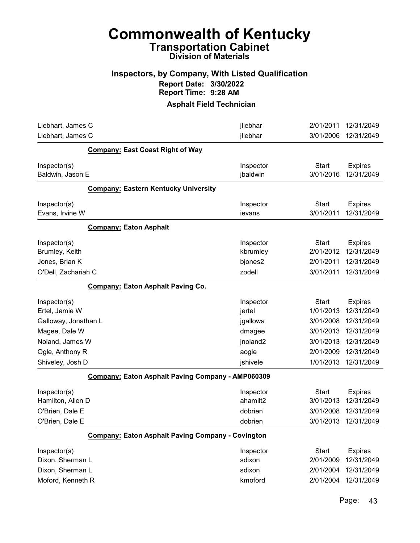# Commonwealth of Kentucky Transportation Cabinet

# Division of Materials

### Inspectors, by Company, With Listed Qualification Report Date: 3/30/2022 Report Time: 9:28 AM

| Liebhart, James C                                                         | jliebhar                                                 | 2/01/2011                                           | 12/31/2049                                               |
|---------------------------------------------------------------------------|----------------------------------------------------------|-----------------------------------------------------|----------------------------------------------------------|
| Liebhart, James C                                                         | jliebhar                                                 | 3/01/2006                                           | 12/31/2049                                               |
| <b>Company: East Coast Right of Way</b>                                   |                                                          |                                                     |                                                          |
| Inspector(s)<br>Baldwin, Jason E                                          | Inspector<br>jbaldwin                                    | <b>Start</b><br>3/01/2016                           | <b>Expires</b><br>12/31/2049                             |
| <b>Company: Eastern Kentucky University</b>                               |                                                          |                                                     |                                                          |
| Inspector(s)<br>Evans, Irvine W                                           | Inspector<br>ievans                                      | <b>Start</b><br>3/01/2011                           | <b>Expires</b><br>12/31/2049                             |
| <b>Company: Eaton Asphalt</b>                                             |                                                          |                                                     |                                                          |
| Inspector(s)<br>Brumley, Keith                                            | Inspector<br>kbrumley                                    | <b>Start</b><br>2/01/2012                           | <b>Expires</b><br>12/31/2049                             |
| Jones, Brian K                                                            | bjones2                                                  | 2/01/2011                                           | 12/31/2049                                               |
| O'Dell, Zachariah C                                                       | zodell                                                   | 3/01/2011                                           | 12/31/2049                                               |
| <b>Company: Eaton Asphalt Paving Co.</b>                                  |                                                          |                                                     |                                                          |
| Inspector(s)<br>Ertel, Jamie W                                            | Inspector<br>jertel                                      | <b>Start</b><br>1/01/2013                           | <b>Expires</b><br>12/31/2049                             |
| Galloway, Jonathan L                                                      | jgallowa                                                 | 3/01/2008                                           | 12/31/2049                                               |
| Magee, Dale W                                                             | dmagee                                                   | 3/01/2013                                           | 12/31/2049                                               |
| Noland, James W                                                           | jnoland2                                                 | 3/01/2013                                           | 12/31/2049                                               |
| Ogle, Anthony R                                                           | aogle                                                    | 2/01/2009                                           | 12/31/2049                                               |
| Shiveley, Josh D                                                          | jshivele                                                 | 1/01/2013                                           | 12/31/2049                                               |
|                                                                           | <b>Company: Eaton Asphalt Paving Company - AMP060309</b> |                                                     |                                                          |
| Inspector(s)<br>Hamilton, Allen D<br>O'Brien, Dale E<br>O'Brien, Dale E   | Inspector<br>ahamilt2<br>dobrien<br>dobrien              | <b>Start</b><br>3/01/2013<br>3/01/2008<br>3/01/2013 | <b>Expires</b><br>12/31/2049<br>12/31/2049<br>12/31/2049 |
| Company: Eaton Asphalt Paving Company - Covington                         |                                                          |                                                     |                                                          |
| Inspector(s)<br>Dixon, Sherman L<br>Dixon, Sherman L<br>Moford, Kenneth R | Inspector<br>sdixon<br>sdixon<br>kmoford                 | <b>Start</b><br>2/01/2009<br>2/01/2004<br>2/01/2004 | <b>Expires</b><br>12/31/2049<br>12/31/2049<br>12/31/2049 |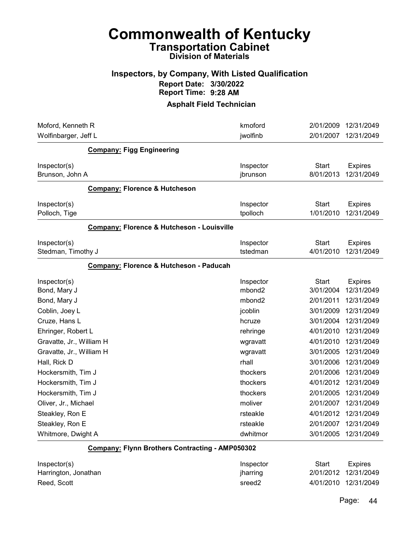# Commonwealth of Kentucky Transportation Cabinet

# Division of Materials

### Inspectors, by Company, With Listed Qualification Report Date: 3/30/2022 Report Time: 9:28 AM

Asphalt Field Technician

| kmoford            | 2/01/2009    | 12/31/2049             |
|--------------------|--------------|------------------------|
|                    |              | 12/31/2049             |
|                    |              |                        |
| Inspector          | <b>Start</b> | <b>Expires</b>         |
| jbrunson           | 8/01/2013    | 12/31/2049             |
|                    |              |                        |
| Inspector          | <b>Start</b> | <b>Expires</b>         |
| tpolloch           |              | 12/31/2049             |
|                    |              |                        |
| Inspector          | <b>Start</b> | <b>Expires</b>         |
| tstedman           | 4/01/2010    | 12/31/2049             |
|                    |              |                        |
| Inspector          | <b>Start</b> | <b>Expires</b>         |
| mbond <sub>2</sub> | 3/01/2004    | 12/31/2049             |
| mbond <sub>2</sub> | 2/01/2011    | 12/31/2049             |
| jcoblin            | 3/01/2009    | 12/31/2049             |
| hcruze             | 3/01/2004    | 12/31/2049             |
| rehringe           | 4/01/2010    | 12/31/2049             |
| wgravatt           | 4/01/2010    | 12/31/2049             |
| wgravatt           | 3/01/2005    | 12/31/2049             |
| rhall              | 3/01/2006    | 12/31/2049             |
| thockers           | 2/01/2006    | 12/31/2049             |
| thockers           | 4/01/2012    | 12/31/2049             |
| thockers           | 2/01/2005    | 12/31/2049             |
| moliver            | 2/01/2007    | 12/31/2049             |
| rsteakle           | 4/01/2012    | 12/31/2049             |
| rsteakle           | 2/01/2007    | 12/31/2049             |
| dwhitmor           | 3/01/2005    | 12/31/2049             |
|                    | jwolfinb     | 2/01/2007<br>1/01/2010 |

#### Company: Flynn Brothers Contracting - AMP050302

| Inspector(s)         | Inspector          | Start | Expires              |
|----------------------|--------------------|-------|----------------------|
| Harrington, Jonathan | jharring           |       | 2/01/2012 12/31/2049 |
| Reed, Scott          | sreed <sub>2</sub> |       | 4/01/2010 12/31/2049 |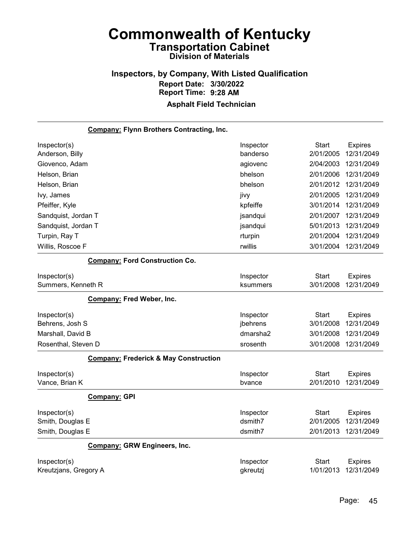# Inspectors, by Company, With Listed Qualification Report Date: 3/30/2022 Report Time: 9:28 AM

| <b>Company: Flynn Brothers Contracting, Inc.</b> |           |           |                |
|--------------------------------------------------|-----------|-----------|----------------|
| Inspector(s)                                     | Inspector | Start     | <b>Expires</b> |
| Anderson, Billy                                  | banderso  | 2/01/2005 | 12/31/2049     |
| Giovenco, Adam                                   | agiovenc  | 2/04/2003 | 12/31/2049     |
| Helson, Brian                                    | bhelson   | 2/01/2006 | 12/31/2049     |
| Helson, Brian                                    | bhelson   | 2/01/2012 | 12/31/2049     |
| lvy, James                                       | jivy      | 2/01/2005 | 12/31/2049     |
| Pfeiffer, Kyle                                   | kpfeiffe  | 3/01/2014 | 12/31/2049     |
| Sandquist, Jordan T                              | jsandqui  | 2/01/2007 | 12/31/2049     |
| Sandquist, Jordan T                              | jsandqui  | 5/01/2013 | 12/31/2049     |
| Turpin, Ray T                                    | rturpin   | 2/01/2004 | 12/31/2049     |
| Willis, Roscoe F                                 | rwillis   | 3/01/2004 | 12/31/2049     |
| <b>Company: Ford Construction Co.</b>            |           |           |                |
| Inspector(s)                                     | Inspector | Start     | <b>Expires</b> |
| Summers, Kenneth R                               | ksummers  | 3/01/2008 | 12/31/2049     |
| <b>Company: Fred Weber, Inc.</b>                 |           |           |                |
| Inspector(s)                                     | Inspector | Start     | <b>Expires</b> |
| Behrens, Josh S                                  | jbehrens  | 3/01/2008 | 12/31/2049     |
| Marshall, David B                                | dmarsha2  | 3/01/2008 | 12/31/2049     |
| Rosenthal, Steven D                              | srosenth  | 3/01/2008 | 12/31/2049     |
| <b>Company: Frederick &amp; May Construction</b> |           |           |                |
| Inspector(s)                                     | Inspector | Start     | <b>Expires</b> |
| Vance, Brian K                                   | bvance    | 2/01/2010 | 12/31/2049     |
| <b>Company: GPI</b>                              |           |           |                |
| Inspector(s)                                     | Inspector | Start     | <b>Expires</b> |
| Smith, Douglas E                                 | dsmith7   | 2/01/2005 | 12/31/2049     |
| Smith, Douglas E                                 | dsmith7   | 2/01/2013 | 12/31/2049     |
| <b>Company: GRW Engineers, Inc.</b>              |           |           |                |
| Inspector(s)                                     | Inspector | Start     | <b>Expires</b> |
| Kreutzjans, Gregory A                            | gkreutzj  | 1/01/2013 | 12/31/2049     |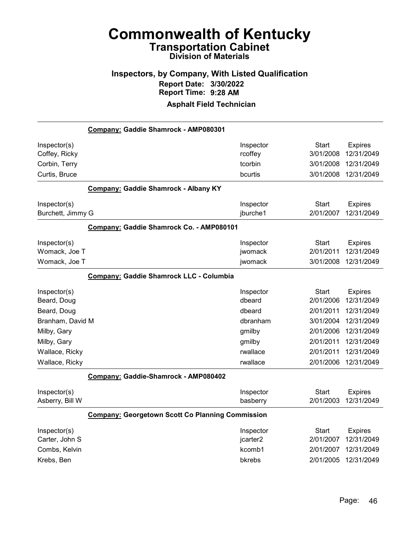# Inspectors, by Company, With Listed Qualification Report Date: 3/30/2022 Report Time: 9:28 AM

|                   | Company: Gaddie Shamrock - AMP080301                    |           |              |                |
|-------------------|---------------------------------------------------------|-----------|--------------|----------------|
| Inspector(s)      |                                                         | Inspector | Start        | <b>Expires</b> |
| Coffey, Ricky     |                                                         | rcoffey   | 3/01/2008    | 12/31/2049     |
| Corbin, Terry     |                                                         | tcorbin   | 3/01/2008    | 12/31/2049     |
| Curtis, Bruce     |                                                         | bcurtis   | 3/01/2008    | 12/31/2049     |
|                   | <b>Company: Gaddie Shamrock - Albany KY</b>             |           |              |                |
| Inspector(s)      |                                                         | Inspector | Start        | <b>Expires</b> |
| Burchett, Jimmy G |                                                         | jburche1  | 2/01/2007    | 12/31/2049     |
|                   | Company: Gaddie Shamrock Co. - AMP080101                |           |              |                |
| Inspector(s)      |                                                         | Inspector | Start        | <b>Expires</b> |
| Womack, Joe T     |                                                         | jwomack   | 2/01/2011    | 12/31/2049     |
| Womack, Joe T     |                                                         | jwomack   | 3/01/2008    | 12/31/2049     |
|                   | Company: Gaddie Shamrock LLC - Columbia                 |           |              |                |
| Inspector(s)      |                                                         | Inspector | <b>Start</b> | <b>Expires</b> |
| Beard, Doug       |                                                         | dbeard    | 2/01/2006    | 12/31/2049     |
| Beard, Doug       |                                                         | dbeard    | 2/01/2011    | 12/31/2049     |
| Branham, David M  |                                                         | dbranham  | 3/01/2004    | 12/31/2049     |
| Milby, Gary       |                                                         | gmilby    | 2/01/2006    | 12/31/2049     |
| Milby, Gary       |                                                         | gmilby    | 2/01/2011    | 12/31/2049     |
| Wallace, Ricky    |                                                         | rwallace  | 2/01/2011    | 12/31/2049     |
| Wallace, Ricky    |                                                         | rwallace  | 2/01/2006    | 12/31/2049     |
|                   | Company: Gaddie-Shamrock - AMP080402                    |           |              |                |
| Inspector(s)      |                                                         | Inspector | <b>Start</b> | <b>Expires</b> |
| Asberry, Bill W   |                                                         | basberry  | 2/01/2003    | 12/31/2049     |
|                   | <b>Company: Georgetown Scott Co Planning Commission</b> |           |              |                |
| Inspector(s)      |                                                         | Inspector | Start        | <b>Expires</b> |
| Carter, John S    |                                                         | jcarter2  | 2/01/2007    | 12/31/2049     |
| Combs, Kelvin     |                                                         | kcomb1    | 2/01/2007    | 12/31/2049     |
| Krebs, Ben        |                                                         | bkrebs    | 2/01/2005    | 12/31/2049     |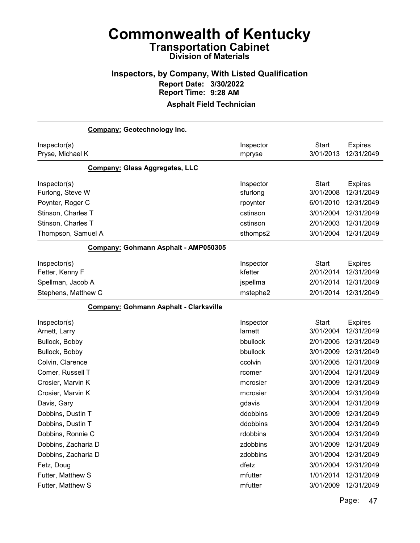### Inspectors, by Company, With Listed Qualification Report Date: 3/30/2022 Report Time: 9:28 AM Asphalt Field Technician

Company: Geotechnology Inc. Inspector(s) **Inspector** Start Expires Pryse, Michael K mpryse 3/01/2013 12/31/2049 Company: Glass Aggregates, LLC Inspector(s) **Inspector** Start Expires Furlong, Steve W sfurlong 3/01/2008 12/31/2049 Poynter, Roger C **Poynter** 6/01/2010 12/31/2049 Stinson, Charles T cstinson 3/01/2004 12/31/2049 Stinson, Charles T cstinson 2/01/2003 12/31/2049 Thompson, Samuel A sthomps2 3/01/2004 12/31/2049 Company: Gohmann Asphalt - AMP050305 Inspector(s) **Inspector** Start Expires Fetter, Kenny F kfetter 2/01/2014 12/31/2049 Spellman, Jacob A jspellma 2/01/2014 12/31/2049 Stephens, Matthew C mstephe2 2/01/2014 12/31/2049 Company: Gohmann Asphalt - Clarksville Inspector(s) **Inspector** Start Expires Arnett, Larry **and Community 2012 12/31/2014** 12/31/2049 and Larnett 3/01/2004 12/31/2049 Bullock, Bobby bbullock 2/01/2005 12/31/2049 Bullock, Bobby bbullock 3/01/2009 12/31/2049 Colvin, Clarence ccolvin 3/01/2005 12/31/2049 Comer, Russell T rcomer 3/01/2004 12/31/2049 Crosier, Marvin K mcrosier 3/01/2009 12/31/2049 Crosier, Marvin K mcrosier 3/01/2004 12/31/2049 Davis, Gary gdavis 3/01/2004 12/31/2049 Dobbins, Dustin T ddobbins 3/01/2009 12/31/2049 Dobbins, Dustin T ddobbins 3/01/2004 12/31/2049 Dobbins, Ronnie C rdobbins 3/01/2004 12/31/2049 Dobbins, Zacharia D zdobbins 3/01/2009 12/31/2049 Dobbins, Zacharia D zdobbins 3/01/2004 12/31/2049 Fetz, Doug dfetz 3/01/2004 12/31/2049 Futter, Matthew S mfutter 1/01/2014 12/31/2049 Futter, Matthew S mfutter 3/01/2009 12/31/2049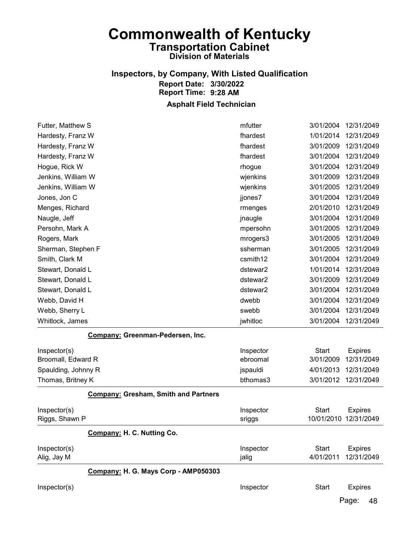# Inspectors, by Company, With Listed Qualification Report Date: 3/30/2022 Report Time: 9:28 AM

### Asphalt Field Technician

| Futter, Matthew S                    | mfutter   | 3/01/2004    | 12/31/2049     |
|--------------------------------------|-----------|--------------|----------------|
| Hardesty, Franz W                    | fhardest  | 1/01/2014    | 12/31/2049     |
| Hardesty, Franz W                    | fhardest  | 3/01/2009    | 12/31/2049     |
| Hardesty, Franz W                    | fhardest  | 3/01/2004    | 12/31/2049     |
| Hogue, Rick W                        | rhogue    | 3/01/2004    | 12/31/2049     |
| Jenkins, William W                   | wjenkins  | 3/01/2009    | 12/31/2049     |
| Jenkins, William W                   | wjenkins  | 3/01/2005    | 12/31/2049     |
| Jones, Jon C                         | jjones7   | 3/01/2004    | 12/31/2049     |
| Menges, Richard                      | rmenges   | 2/01/2010    | 12/31/2049     |
| Naugle, Jeff                         | jnaugle   | 3/01/2004    | 12/31/2049     |
| Persohn, Mark A                      | mpersohn  | 3/01/2005    | 12/31/2049     |
| Rogers, Mark                         | mrogers3  | 3/01/2005    | 12/31/2049     |
| Sherman, Stephen F                   | ssherman  | 3/01/2005    | 12/31/2049     |
| Smith, Clark M                       | csmith12  | 3/01/2004    | 12/31/2049     |
| Stewart, Donald L                    | dstewar2  | 1/01/2014    | 12/31/2049     |
| Stewart, Donald L                    | dstewar2  | 3/01/2009    | 12/31/2049     |
| Stewart, Donald L                    | dstewar2  | 3/01/2004    | 12/31/2049     |
| Webb, David H                        | dwebb     | 3/01/2004    | 12/31/2049     |
| Webb, Sherry L                       | swebb     | 3/01/2004    | 12/31/2049     |
| Whitlock, James                      | jwhitloc  | 3/01/2004    | 12/31/2049     |
| Company: Greenman-Pedersen, Inc.     |           |              |                |
| Inspector(s)                         | Inspector | <b>Start</b> | <b>Expires</b> |
| Broomall, Edward R                   | ebroomal  | 3/01/2009    | 12/31/2049     |
| Spaulding, Johnny R                  | jspauldi  | 4/01/2013    | 12/31/2049     |
| Thomas, Britney K                    | bthomas3  | 3/01/2012    | 12/31/2049     |
| Company: Gresham, Smith and Partners |           |              |                |
| Inspector(s)                         | Inspector | <b>Start</b> | <b>Expires</b> |
| Riggs, Shawn P                       | sriggs    | 10/01/2010   | 12/31/2049     |
| Company: H. C. Nutting Co.           |           |              |                |
| Inspector(s)                         | Inspector | <b>Start</b> | <b>Expires</b> |
| Alig, Jay M                          | jalig     | 4/01/2011    | 12/31/2049     |
| Company: H. G. Mays Corp - AMP050303 |           |              |                |
| Inspector(s)                         | Inspector | <b>Start</b> | <b>Expires</b> |
|                                      |           |              |                |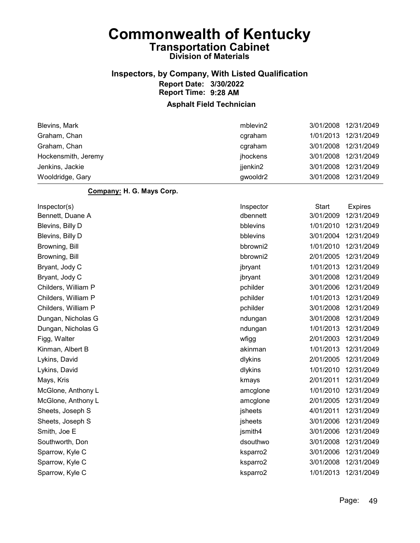### Inspectors, by Company, With Listed Qualification Report Date: 3/30/2022 Report Time: 9:28 AM

### Asphalt Field Technician

| Blevins, Mark       | mblevin2 |           | 3/01/2008 12/31/2049 |
|---------------------|----------|-----------|----------------------|
| Graham, Chan        | cqraham  | 1/01/2013 | 12/31/2049           |
| Graham, Chan        | cqraham  |           | 3/01/2008 12/31/2049 |
| Hockensmith, Jeremy | jhockens |           | 3/01/2008 12/31/2049 |
| Jenkins, Jackie     | jjenkin2 | 3/01/2008 | 12/31/2049           |
| Wooldridge, Gary    | gwooldr2 | 3/01/2008 | 12/31/2049           |

#### Company: H. G. Mays Corp.

| Inspector(s)        | Inspector | <b>Start</b> | <b>Expires</b> |
|---------------------|-----------|--------------|----------------|
| Bennett, Duane A    | dbennett  | 3/01/2009    | 12/31/2049     |
| Blevins, Billy D    | bblevins  | 1/01/2010    | 12/31/2049     |
| Blevins, Billy D    | bblevins  | 3/01/2004    | 12/31/2049     |
| Browning, Bill      | bbrowni2  | 1/01/2010    | 12/31/2049     |
| Browning, Bill      | bbrowni2  | 2/01/2005    | 12/31/2049     |
| Bryant, Jody C      | jbryant   | 1/01/2013    | 12/31/2049     |
| Bryant, Jody C      | jbryant   | 3/01/2008    | 12/31/2049     |
| Childers, William P | pchilder  | 3/01/2006    | 12/31/2049     |
| Childers, William P | pchilder  | 1/01/2013    | 12/31/2049     |
| Childers, William P | pchilder  | 3/01/2008    | 12/31/2049     |
| Dungan, Nicholas G  | ndungan   | 3/01/2008    | 12/31/2049     |
| Dungan, Nicholas G  | ndungan   | 1/01/2013    | 12/31/2049     |
| Figg, Walter        | wfigg     | 2/01/2003    | 12/31/2049     |
| Kinman, Albert B    | akinman   | 1/01/2013    | 12/31/2049     |
| Lykins, David       | dlykins   | 2/01/2005    | 12/31/2049     |
| Lykins, David       | dlykins   | 1/01/2010    | 12/31/2049     |
| Mays, Kris          | kmays     | 2/01/2011    | 12/31/2049     |
| McGlone, Anthony L  | amcglone  | 1/01/2010    | 12/31/2049     |
| McGlone, Anthony L  | amcglone  | 2/01/2005    | 12/31/2049     |
| Sheets, Joseph S    | jsheets   | 4/01/2011    | 12/31/2049     |
| Sheets, Joseph S    | jsheets   | 3/01/2006    | 12/31/2049     |
| Smith, Joe E        | jsmith4   | 3/01/2006    | 12/31/2049     |
| Southworth, Don     | dsouthwo  | 3/01/2008    | 12/31/2049     |
| Sparrow, Kyle C     | ksparro2  | 3/01/2006    | 12/31/2049     |
| Sparrow, Kyle C     | ksparro2  | 3/01/2008    | 12/31/2049     |
| Sparrow, Kyle C     | ksparro2  | 1/01/2013    | 12/31/2049     |
|                     |           |              |                |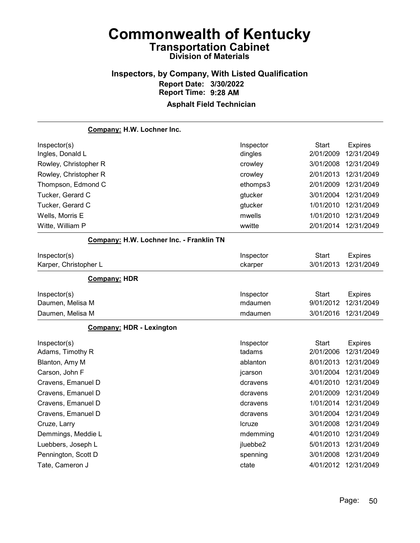### Inspectors, by Company, With Listed Qualification Report Date: 3/30/2022 Report Time: 9:28 AM Asphalt Field Technician

# Company: H.W. Lochner Inc. Inspector(s) **Inspector** Start Expires Ingles, Donald L dingles 2/01/2009 12/31/2049 Rowley, Christopher R crowley 3/01/2008 12/31/2049 Rowley, Christopher R crowley 2/01/2013 12/31/2049 Thompson, Edmond C ethomps3 2/01/2009 12/31/2049 Tucker, Gerard C gtucker 3/01/2004 12/31/2049 Tucker, Gerard C gtucker 1/01/2010 12/31/2049 Wells, Morris E mwells 1/01/2010 12/31/2049 Witte, William P wwitte 2/01/2014 12/31/2049 Company: H.W. Lochner Inc. - Franklin TN Inspector(s) **Inspector** Start Expires Karper, Christopher L ckarper 3/01/2013 12/31/2049 Company: HDR Inspector(s) **Inspector** Start Expires Daumen, Melisa M mdaumen 9/01/2012 12/31/2049 Daumen, Melisa M mdaumen 3/01/2016 12/31/2049 Company: HDR - Lexington Inspector(s) **Inspector** Start Expires Adams, Timothy R **Adams** 2/01/2006 12/31/2049 Blanton, Amy M ablanton 8/01/2013 12/31/2049 Carson, John F jcarson 3/01/2004 12/31/2049 Cravens, Emanuel D dcravens 4/01/2010 12/31/2049 Cravens, Emanuel D dcravens 2/01/2009 12/31/2049 Cravens, Emanuel D dcravens 1/01/2014 12/31/2049 Cravens, Emanuel D dcravens 3/01/2004 12/31/2049 Cruze, Larry lcruze 3/01/2008 12/31/2049 Demmings, Meddie L mdemming 4/01/2010 12/31/2049 Luebbers, Joseph L jluebbe2 5/01/2013 12/31/2049 Pennington, Scott D spenning 3/01/2008 12/31/2049 Tate, Cameron J ctate 4/01/2012 12/31/2049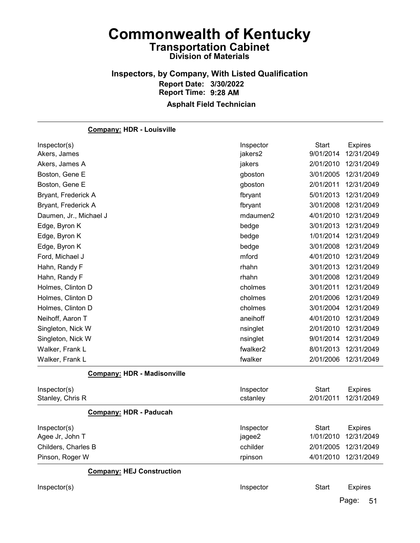### Inspectors, by Company, With Listed Qualification Report Date: 3/30/2022 Report Time: 9:28 AM Asphalt Field Technician

| <b>Company: HDR - Louisville</b>   |           |              |                |
|------------------------------------|-----------|--------------|----------------|
| Inspector(s)                       | Inspector | <b>Start</b> | <b>Expires</b> |
| Akers, James                       | jakers2   | 9/01/2014    | 12/31/2049     |
| Akers, James A                     | jakers    | 2/01/2010    | 12/31/2049     |
| Boston, Gene E                     | gboston   | 3/01/2005    | 12/31/2049     |
| Boston, Gene E                     | gboston   | 2/01/2011    | 12/31/2049     |
| Bryant, Frederick A                | fbryant   | 5/01/2013    | 12/31/2049     |
| Bryant, Frederick A                | fbryant   | 3/01/2008    | 12/31/2049     |
| Daumen, Jr., Michael J             | mdaumen2  | 4/01/2010    | 12/31/2049     |
| Edge, Byron K                      | bedge     | 3/01/2013    | 12/31/2049     |
| Edge, Byron K                      | bedge     | 1/01/2014    | 12/31/2049     |
| Edge, Byron K                      | bedge     | 3/01/2008    | 12/31/2049     |
| Ford, Michael J                    | mford     | 4/01/2010    | 12/31/2049     |
| Hahn, Randy F                      | rhahn     | 3/01/2013    | 12/31/2049     |
| Hahn, Randy F                      | rhahn     | 3/01/2008    | 12/31/2049     |
| Holmes, Clinton D                  | cholmes   | 3/01/2011    | 12/31/2049     |
| Holmes, Clinton D                  | cholmes   | 2/01/2006    | 12/31/2049     |
| Holmes, Clinton D                  | cholmes   | 3/01/2004    | 12/31/2049     |
| Neihoff, Aaron T                   | aneihoff  | 4/01/2010    | 12/31/2049     |
| Singleton, Nick W                  | nsinglet  | 2/01/2010    | 12/31/2049     |
| Singleton, Nick W                  | nsinglet  | 9/01/2014    | 12/31/2049     |
| Walker, Frank L                    | fwalker2  | 8/01/2013    | 12/31/2049     |
| Walker, Frank L                    | fwalker   | 2/01/2006    | 12/31/2049     |
| <b>Company: HDR - Madisonville</b> |           |              |                |
| Inspector(s)                       | Inspector | <b>Start</b> | <b>Expires</b> |
| Stanley, Chris R                   | cstanley  | 2/01/2011    | 12/31/2049     |
| <b>Company: HDR - Paducah</b>      |           |              |                |
| Inspector(s)                       | Inspector | <b>Start</b> | <b>Expires</b> |
| Agee Jr, John T                    | jagee2    | 1/01/2010    | 12/31/2049     |
| Childers, Charles B                | cchilder  | 2/01/2005    | 12/31/2049     |
| Pinson, Roger W                    | rpinson   | 4/01/2010    | 12/31/2049     |
| <b>Company: HEJ Construction</b>   |           |              |                |
| Inspector(s)                       | Inspector | <b>Start</b> | <b>Expires</b> |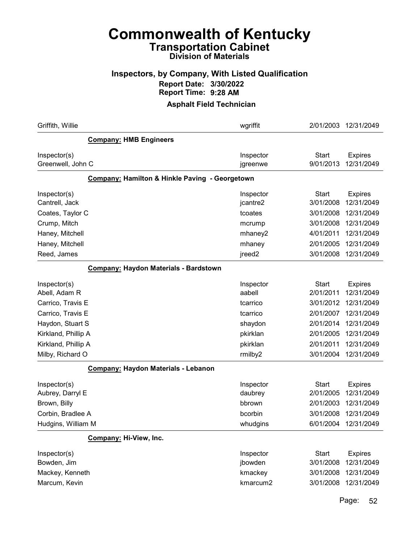### Inspectors, by Company, With Listed Qualification Report Date: 3/30/2022 Report Time: 9:28 AM

#### Asphalt Field Technician

| Griffith, Willie                                                                            |                                                | wgriffit                                              | 2/01/2003                                                        | 12/31/2049                                                             |
|---------------------------------------------------------------------------------------------|------------------------------------------------|-------------------------------------------------------|------------------------------------------------------------------|------------------------------------------------------------------------|
|                                                                                             | <b>Company: HMB Engineers</b>                  |                                                       |                                                                  |                                                                        |
| Inspector(s)<br>Greenwell, John C                                                           |                                                | Inspector<br>jgreenwe                                 | <b>Start</b><br>9/01/2013                                        | <b>Expires</b><br>12/31/2049                                           |
|                                                                                             | Company: Hamilton & Hinkle Paving - Georgetown |                                                       |                                                                  |                                                                        |
| Inspector(s)<br>Cantrell, Jack                                                              |                                                | Inspector<br>jcantre2                                 | <b>Start</b><br>3/01/2008                                        | <b>Expires</b><br>12/31/2049                                           |
| Coates, Taylor C                                                                            |                                                | tcoates                                               | 3/01/2008                                                        | 12/31/2049                                                             |
| Crump, Mitch                                                                                |                                                | mcrump                                                | 3/01/2008                                                        | 12/31/2049                                                             |
| Haney, Mitchell                                                                             |                                                | mhaney2                                               | 4/01/2011                                                        | 12/31/2049                                                             |
| Haney, Mitchell                                                                             |                                                | mhaney                                                | 2/01/2005                                                        | 12/31/2049                                                             |
| Reed, James                                                                                 |                                                | jreed <sub>2</sub>                                    | 3/01/2008                                                        | 12/31/2049                                                             |
|                                                                                             | Company: Haydon Materials - Bardstown          |                                                       |                                                                  |                                                                        |
| Inspector(s)<br>Abell, Adam R                                                               |                                                | Inspector<br>aabell                                   | Start<br>2/01/2011                                               | <b>Expires</b><br>12/31/2049                                           |
| Carrico, Travis E                                                                           |                                                | tcarrico                                              | 3/01/2012                                                        | 12/31/2049                                                             |
| Carrico, Travis E                                                                           |                                                | tcarrico                                              | 2/01/2007                                                        | 12/31/2049                                                             |
| Haydon, Stuart S                                                                            |                                                | shaydon                                               | 2/01/2014                                                        | 12/31/2049                                                             |
| Kirkland, Phillip A                                                                         |                                                | pkirklan                                              | 2/01/2005                                                        | 12/31/2049                                                             |
| Kirkland, Phillip A                                                                         |                                                | pkirklan                                              | 2/01/2011                                                        | 12/31/2049                                                             |
| Milby, Richard O                                                                            |                                                | rmilby2                                               | 3/01/2004                                                        | 12/31/2049                                                             |
|                                                                                             | Company: Haydon Materials - Lebanon            |                                                       |                                                                  |                                                                        |
| Inspector(s)<br>Aubrey, Darryl E<br>Brown, Billy<br>Corbin, Bradlee A<br>Hudgins, William M |                                                | Inspector<br>daubrey<br>bbrown<br>bcorbin<br>whudgins | <b>Start</b><br>2/01/2005<br>2/01/2003<br>3/01/2008<br>6/01/2004 | <b>Expires</b><br>12/31/2049<br>12/31/2049<br>12/31/2049<br>12/31/2049 |
|                                                                                             | Company: Hi-View, Inc.                         |                                                       |                                                                  |                                                                        |
| Inspector(s)<br>Bowden, Jim<br>Mackey, Kenneth<br>Marcum, Kevin                             |                                                | Inspector<br>jbowden<br>kmackey<br>kmarcum2           | <b>Start</b><br>3/01/2008<br>3/01/2008<br>3/01/2008              | <b>Expires</b><br>12/31/2049<br>12/31/2049<br>12/31/2049               |
|                                                                                             |                                                |                                                       |                                                                  |                                                                        |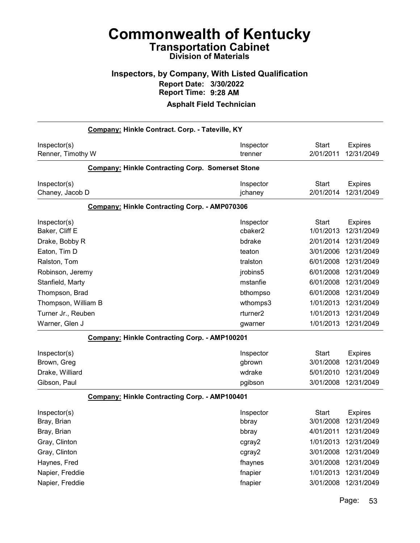### Inspectors, by Company, With Listed Qualification Report Date: 3/30/2022 Report Time: 9:28 AM

#### Asphalt Field Technician

| Company: Hinkle Contract. Corp. - Tateville, KY |                                                         |           |              |                |
|-------------------------------------------------|---------------------------------------------------------|-----------|--------------|----------------|
| Inspector(s)                                    |                                                         | Inspector | <b>Start</b> | <b>Expires</b> |
| Renner, Timothy W                               |                                                         | trenner   | 2/01/2011    | 12/31/2049     |
|                                                 | <b>Company: Hinkle Contracting Corp. Somerset Stone</b> |           |              |                |
| Inspector(s)                                    |                                                         | Inspector | <b>Start</b> | <b>Expires</b> |
| Chaney, Jacob D                                 |                                                         | jchaney   | 2/01/2014    | 12/31/2049     |
|                                                 | Company: Hinkle Contracting Corp. - AMP070306           |           |              |                |
| Inspector(s)                                    |                                                         | Inspector | <b>Start</b> | <b>Expires</b> |
| Baker, Cliff E                                  |                                                         | cbaker2   | 1/01/2013    | 12/31/2049     |
| Drake, Bobby R                                  |                                                         | bdrake    | 2/01/2014    | 12/31/2049     |
| Eaton, Tim D                                    |                                                         | teaton    | 3/01/2006    | 12/31/2049     |
| Ralston, Tom                                    |                                                         | tralston  | 6/01/2008    | 12/31/2049     |
| Robinson, Jeremy                                |                                                         | jrobins5  | 6/01/2008    | 12/31/2049     |
| Stanfield, Marty                                |                                                         | mstanfie  | 6/01/2008    | 12/31/2049     |
| Thompson, Brad                                  |                                                         | bthompso  | 6/01/2008    | 12/31/2049     |
| Thompson, William B                             |                                                         | wthomps3  | 1/01/2013    | 12/31/2049     |
| Turner Jr., Reuben                              |                                                         | rturner2  | 1/01/2013    | 12/31/2049     |
| Warner, Glen J                                  |                                                         | gwarner   | 1/01/2013    | 12/31/2049     |
|                                                 | Company: Hinkle Contracting Corp. - AMP100201           |           |              |                |
| Inspector(s)                                    |                                                         | Inspector | <b>Start</b> | <b>Expires</b> |
| Brown, Greg                                     |                                                         | gbrown    | 3/01/2008    | 12/31/2049     |
| Drake, Williard                                 |                                                         | wdrake    | 5/01/2010    | 12/31/2049     |
| Gibson, Paul                                    |                                                         | pgibson   | 3/01/2008    | 12/31/2049     |
|                                                 | Company: Hinkle Contracting Corp. - AMP100401           |           |              |                |
| Inspector(s)                                    |                                                         | Inspector | <b>Start</b> | <b>Expires</b> |
| Bray, Brian                                     |                                                         | bbray     | 3/01/2008    | 12/31/2049     |
| Bray, Brian                                     |                                                         | bbray     | 4/01/2011    | 12/31/2049     |
| Gray, Clinton                                   |                                                         | cgray2    | 1/01/2013    | 12/31/2049     |
| Gray, Clinton                                   |                                                         | cgray2    | 3/01/2008    | 12/31/2049     |
| Haynes, Fred                                    |                                                         | fhaynes   | 3/01/2008    | 12/31/2049     |
| Napier, Freddie                                 |                                                         | fnapier   | 1/01/2013    | 12/31/2049     |
| Napier, Freddie                                 |                                                         | fnapier   | 3/01/2008    | 12/31/2049     |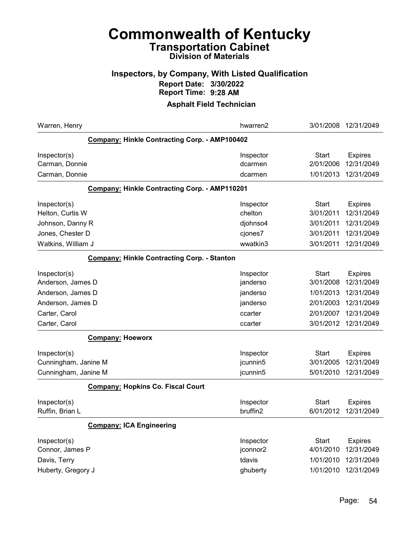### Inspectors, by Company, With Listed Qualification Report Date: 3/30/2022 Report Time: 9:28 AM

| Warren, Henry                                        | hwarren2  | 3/01/2008    | 12/31/2049     |
|------------------------------------------------------|-----------|--------------|----------------|
| Company: Hinkle Contracting Corp. - AMP100402        |           |              |                |
| Inspector(s)                                         | Inspector | <b>Start</b> | <b>Expires</b> |
| Carman, Donnie                                       | dcarmen   | 2/01/2006    | 12/31/2049     |
| Carman, Donnie                                       | dcarmen   | 1/01/2013    | 12/31/2049     |
| <b>Company: Hinkle Contracting Corp. - AMP110201</b> |           |              |                |
| Inspector(s)                                         | Inspector | Start        | <b>Expires</b> |
| Helton, Curtis W                                     | chelton   | 3/01/2011    | 12/31/2049     |
| Johnson, Danny R                                     | djohnso4  | 3/01/2011    | 12/31/2049     |
| Jones, Chester D                                     | cjones7   | 3/01/2011    | 12/31/2049     |
| Watkins, William J                                   | wwatkin3  | 3/01/2011    | 12/31/2049     |
| <b>Company: Hinkle Contracting Corp. - Stanton</b>   |           |              |                |
| Inspector(s)                                         | Inspector | <b>Start</b> | <b>Expires</b> |
| Anderson, James D                                    | janderso  | 3/01/2008    | 12/31/2049     |
| Anderson, James D                                    | janderso  | 1/01/2013    | 12/31/2049     |
| Anderson, James D                                    | janderso  | 2/01/2003    | 12/31/2049     |
| Carter, Carol                                        | ccarter   | 2/01/2007    | 12/31/2049     |
| Carter, Carol                                        | ccarter   | 3/01/2012    | 12/31/2049     |
| <b>Company: Hoeworx</b>                              |           |              |                |
| Inspector(s)                                         | Inspector | Start        | <b>Expires</b> |
| Cunningham, Janine M                                 | jcunnin5  | 3/01/2005    | 12/31/2049     |
| Cunningham, Janine M                                 | jcunnin5  | 5/01/2010    | 12/31/2049     |
| <b>Company: Hopkins Co. Fiscal Court</b>             |           |              |                |
| Inspector(s)                                         | Inspector | Start        | <b>Expires</b> |
| Ruffin, Brian L                                      | bruffin2  | 6/01/2012    | 12/31/2049     |
| <b>Company: ICA Engineering</b>                      |           |              |                |
| Inspector(s)                                         | Inspector | Start        | <b>Expires</b> |
| Connor, James P                                      | jconnor2  | 4/01/2010    | 12/31/2049     |
| Davis, Terry                                         | tdavis    | 1/01/2010    | 12/31/2049     |
| Huberty, Gregory J                                   | ghuberty  | 1/01/2010    | 12/31/2049     |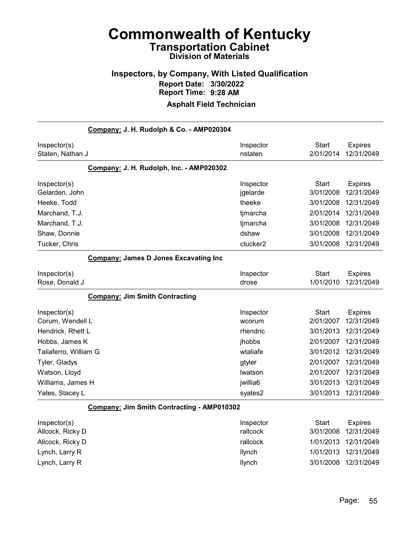### Inspectors, by Company, With Listed Qualification Report Date: 3/30/2022 Report Time: 9:28 AM

|                                  | Company: J. H. Rudolph & Co. - AMP020304     |                       |                           |                              |
|----------------------------------|----------------------------------------------|-----------------------|---------------------------|------------------------------|
| Inspector(s)<br>Staten, Nathan J |                                              | Inspector<br>nstaten  | Start<br>2/01/2014        | <b>Expires</b><br>12/31/2049 |
|                                  | Company: J. H. Rudolph, Inc. - AMP020302     |                       |                           |                              |
| Inspector(s)<br>Gelarden, John   |                                              | Inspector<br>jgelarde | <b>Start</b><br>3/01/2008 | <b>Expires</b><br>12/31/2049 |
| Heeke, Todd                      |                                              | theeke                | 3/01/2008                 | 12/31/2049                   |
| Marchand, T.J.                   |                                              | timarcha              | 2/01/2014                 | 12/31/2049                   |
| Marchand, T.J.                   |                                              | timarcha              | 3/01/2008                 | 12/31/2049                   |
| Shaw, Donnie                     |                                              | dshaw                 | 3/01/2008                 | 12/31/2049                   |
| Tucker, Chris                    |                                              | ctucker <sub>2</sub>  | 3/01/2008                 | 12/31/2049                   |
|                                  | <b>Company: James D Jones Excavating Inc</b> |                       |                           |                              |
| Inspector(s)<br>Rose, Donald J   |                                              | Inspector<br>drose    | Start<br>1/01/2010        | <b>Expires</b><br>12/31/2049 |
|                                  | <b>Company: Jim Smith Contracting</b>        |                       |                           |                              |
| Inspector(s)<br>Corum, Wendell L |                                              | Inspector<br>wcorum   | <b>Start</b><br>2/01/2007 | <b>Expires</b><br>12/31/2049 |
| Hendrick, Rhett L                |                                              | rhendric              | 3/01/2013                 | 12/31/2049                   |
| Hobbs, James K                   |                                              | jhobbs                | 2/01/2007                 | 12/31/2049                   |
| Taliaferro, William G            |                                              | wtaliafe              | 3/01/2012                 | 12/31/2049                   |
| Tyler, Gladys                    |                                              | gtyler                | 2/01/2007                 | 12/31/2049                   |
| Watson, Lloyd                    |                                              | Iwatson               | 2/01/2007                 | 12/31/2049                   |
| Williams, James H                |                                              | jwillia6              | 3/01/2013                 | 12/31/2049                   |
| Yates, Stacey L                  |                                              | syates2               | 3/01/2013                 | 12/31/2049                   |
|                                  | Company: Jim Smith Contracting - AMP010302   |                       |                           |                              |
| Inspector(s)<br>Allcock, Ricky D |                                              | Inspector<br>rallcock | <b>Start</b><br>3/01/2008 | <b>Expires</b><br>12/31/2049 |
| Allcock, Ricky D                 |                                              | rallcock              | 1/01/2013                 | 12/31/2049                   |
| Lynch, Larry R                   |                                              | llynch                | 1/01/2013                 | 12/31/2049                   |
| Lynch, Larry R                   |                                              | llynch                | 3/01/2008                 | 12/31/2049                   |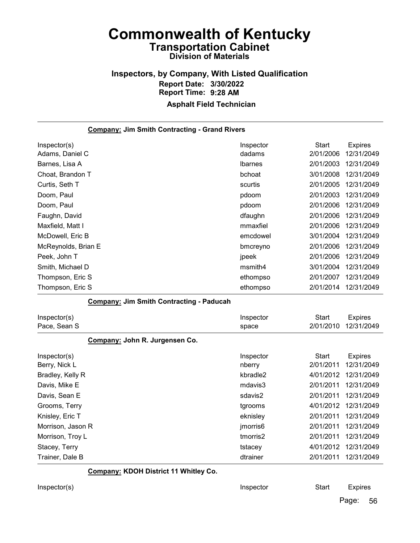# Inspectors, by Company, With Listed Qualification Report Date: 3/30/2022 Report Time: 9:28 AM

### Asphalt Field Technician

| <b>Company: Jim Smith Contracting - Grand Rivers</b> |                     |                           |                              |
|------------------------------------------------------|---------------------|---------------------------|------------------------------|
| Inspector(s)                                         | Inspector           | <b>Start</b>              | <b>Expires</b>               |
| Adams, Daniel C                                      | dadams              | 2/01/2006                 | 12/31/2049                   |
| Barnes, Lisa A                                       | <b>Ibarnes</b>      | 2/01/2003                 | 12/31/2049                   |
| Choat, Brandon T                                     | bchoat              | 3/01/2008                 | 12/31/2049                   |
| Curtis, Seth T                                       | scurtis             | 2/01/2005                 | 12/31/2049                   |
| Doom, Paul                                           | pdoom               | 2/01/2003                 | 12/31/2049                   |
| Doom, Paul                                           | pdoom               | 2/01/2006                 | 12/31/2049                   |
| Faughn, David                                        | dfaughn             | 2/01/2006                 | 12/31/2049                   |
| Maxfield, Matt I                                     | mmaxfiel            | 2/01/2006                 | 12/31/2049                   |
| McDowell, Eric B                                     | emcdowel            | 3/01/2004                 | 12/31/2049                   |
| McReynolds, Brian E                                  | bmcreyno            | 2/01/2006                 | 12/31/2049                   |
| Peek, John T                                         | jpeek               | 2/01/2006                 | 12/31/2049                   |
| Smith, Michael D                                     | msmith4             | 3/01/2004                 | 12/31/2049                   |
| Thompson, Eric S                                     | ethompso            | 2/01/2007                 | 12/31/2049                   |
| Thompson, Eric S                                     | ethompso            | 2/01/2014                 | 12/31/2049                   |
| <b>Company: Jim Smith Contracting - Paducah</b>      |                     |                           |                              |
| Inspector(s)                                         | Inspector           | <b>Start</b>              | <b>Expires</b>               |
| Pace, Sean S                                         | space               | 2/01/2010                 | 12/31/2049                   |
| Company: John R. Jurgensen Co.                       |                     |                           |                              |
| Inspector(s)<br>Berry, Nick L                        | Inspector<br>nberry | <b>Start</b><br>2/01/2011 | <b>Expires</b><br>12/31/2049 |
| Bradley, Kelly R                                     | kbradle2            | 4/01/2012                 | 12/31/2049                   |
| Davis, Mike E                                        | mdavis3             | 2/01/2011                 | 12/31/2049                   |
| Davis, Sean E                                        | sdavis2             | 2/01/2011                 | 12/31/2049                   |
| Grooms, Terry                                        | tgrooms             | 4/01/2012                 | 12/31/2049                   |
| Knisley, Eric T                                      | eknisley            | 2/01/2011                 | 12/31/2049                   |
| Morrison, Jason R                                    | jmorris6            | 2/01/2011                 | 12/31/2049                   |
| Morrison, Troy L                                     | tmorris2            | 2/01/2011                 | 12/31/2049                   |
| Stacey, Terry                                        | tstacey             | 4/01/2012                 | 12/31/2049                   |
| Trainer, Dale B                                      | dtrainer            | 2/01/2011                 | 12/31/2049                   |

#### Company: KDOH District 11 Whitley Co.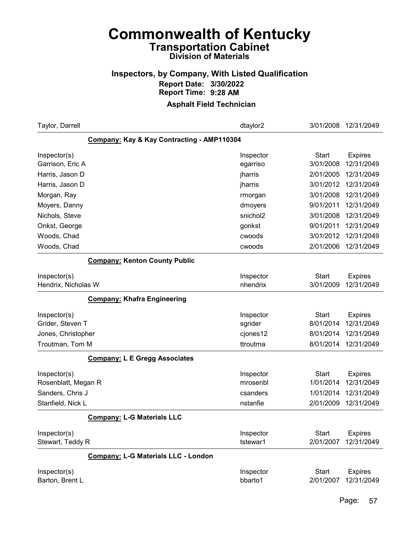### Inspectors, by Company, With Listed Qualification Report Date: 3/30/2022 Report Time: 9:28 AM

| Taylor, Darrell                            | dtaylor2              | 3/01/2008                 | 12/31/2049                   |
|--------------------------------------------|-----------------------|---------------------------|------------------------------|
| Company: Kay & Kay Contracting - AMP110304 |                       |                           |                              |
| Inspector(s)                               | Inspector             | <b>Start</b><br>3/01/2008 | <b>Expires</b><br>12/31/2049 |
| Garrison, Eric A<br>Harris, Jason D        | egarriso<br>jharris   | 2/01/2005                 | 12/31/2049                   |
| Harris, Jason D                            | jharris               | 3/01/2012                 | 12/31/2049                   |
| Morgan, Ray                                | rmorgan               | 3/01/2008                 | 12/31/2049                   |
| Moyers, Danny                              | dmoyers               | 9/01/2011                 | 12/31/2049                   |
| Nichols, Steve                             | snichol2              | 3/01/2008                 | 12/31/2049                   |
| Onkst, George                              | gonkst                | 9/01/2011                 | 12/31/2049                   |
| Woods, Chad                                | cwoods                | 3/01/2012                 | 12/31/2049                   |
| Woods, Chad                                | cwoods                | 2/01/2006                 | 12/31/2049                   |
| <b>Company: Kenton County Public</b>       |                       |                           |                              |
| Inspector(s)<br>Hendrix, Nicholas W        | Inspector<br>nhendrix | <b>Start</b><br>3/01/2009 | <b>Expires</b><br>12/31/2049 |
| <b>Company: Khafra Engineering</b>         |                       |                           |                              |
| Inspector(s)<br>Grider, Steven T           | Inspector<br>sgrider  | <b>Start</b><br>8/01/2014 | <b>Expires</b><br>12/31/2049 |
| Jones, Christopher                         | cjones12              | 8/01/2014                 | 12/31/2049                   |
| Troutman, Tom M                            | ttroutma              | 8/01/2014                 | 12/31/2049                   |
| <b>Company: L E Gregg Associates</b>       |                       |                           |                              |
| Inspector(s)                               | Inspector             | <b>Start</b>              | <b>Expires</b>               |
| Rosenblatt, Megan R                        | mrosenbl              | 1/01/2014                 | 12/31/2049                   |
| Sanders, Chris J                           | csanders              | 1/01/2014                 | 12/31/2049                   |
| Stanfield, Nick L                          | nstanfie              | 2/01/2009                 | 12/31/2049                   |
| <b>Company: L-G Materials LLC</b>          |                       |                           |                              |
| Inspector(s)<br>Stewart, Teddy R           | Inspector<br>tstewar1 | <b>Start</b><br>2/01/2007 | <b>Expires</b><br>12/31/2049 |
| <b>Company: L-G Materials LLC - London</b> |                       |                           |                              |
| Inspector(s)<br>Barton, Brent L            | Inspector<br>bbarto1  | <b>Start</b><br>2/01/2007 | <b>Expires</b><br>12/31/2049 |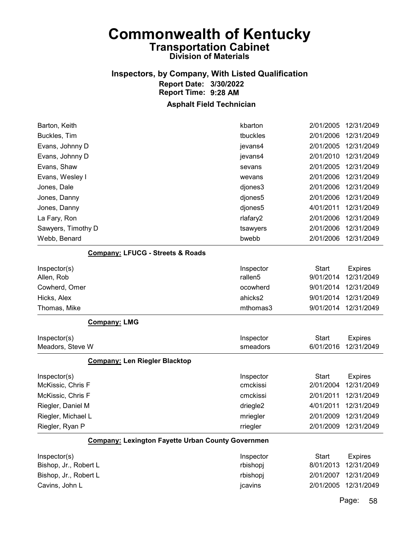## Inspectors, by Company, With Listed Qualification Report Date: 3/30/2022 Report Time: 9:28 AM

### Asphalt Field Technician

| Barton, Keith                                            | kbarton             | 2/01/2005    | 12/31/2049     |
|----------------------------------------------------------|---------------------|--------------|----------------|
| Buckles, Tim                                             | tbuckles            | 2/01/2006    | 12/31/2049     |
| Evans, Johnny D                                          | jevans4             | 2/01/2005    | 12/31/2049     |
| Evans, Johnny D                                          | jevans4             | 2/01/2010    | 12/31/2049     |
| Evans, Shaw                                              | sevans              | 2/01/2005    | 12/31/2049     |
| Evans, Wesley I                                          | wevans              | 2/01/2006    | 12/31/2049     |
| Jones, Dale                                              | djones3             | 2/01/2006    | 12/31/2049     |
| Jones, Danny                                             | djones5             | 2/01/2006    | 12/31/2049     |
| Jones, Danny                                             | djones5             | 4/01/2011    | 12/31/2049     |
| La Fary, Ron                                             | rlafary2            | 2/01/2006    | 12/31/2049     |
| Sawyers, Timothy D                                       | tsawyers            | 2/01/2006    | 12/31/2049     |
| Webb, Benard                                             | bwebb               | 2/01/2006    | 12/31/2049     |
| <b>Company: LFUCG - Streets &amp; Roads</b>              |                     |              |                |
| Inspector(s)                                             | Inspector           | <b>Start</b> | <b>Expires</b> |
| Allen, Rob                                               | rallen <sub>5</sub> | 9/01/2014    | 12/31/2049     |
| Cowherd, Omer                                            | ocowherd            | 9/01/2014    | 12/31/2049     |
| Hicks, Alex                                              | ahicks2             | 9/01/2014    | 12/31/2049     |
| Thomas, Mike                                             | mthomas3            | 9/01/2014    | 12/31/2049     |
| <b>Company: LMG</b>                                      |                     |              |                |
| Inspector(s)                                             | Inspector           | <b>Start</b> | <b>Expires</b> |
| Meadors, Steve W                                         | smeadors            | 6/01/2016    | 12/31/2049     |
| <b>Company: Len Riegler Blacktop</b>                     |                     |              |                |
| Inspector(s)                                             | Inspector           | <b>Start</b> | <b>Expires</b> |
| McKissic, Chris F                                        | cmckissi            | 2/01/2004    | 12/31/2049     |
| McKissic, Chris F                                        | cmckissi            | 2/01/2011    | 12/31/2049     |
| Riegler, Daniel M                                        | driegle2            | 4/01/2011    | 12/31/2049     |
| Riegler, Michael L                                       | mriegler            | 2/01/2009    | 12/31/2049     |
| Riegler, Ryan P                                          | rriegler            | 2/01/2009    | 12/31/2049     |
| <b>Company: Lexington Fayette Urban County Governmen</b> |                     |              |                |
| Inspector(s)                                             | Inspector           | <b>Start</b> | <b>Expires</b> |
| Bishop, Jr., Robert L                                    | rbishopj            | 8/01/2013    | 12/31/2049     |
| Bishop, Jr., Robert L                                    | rbishopj            | 2/01/2007    | 12/31/2049     |
| Cavins, John L                                           | jcavins             | 2/01/2005    | 12/31/2049     |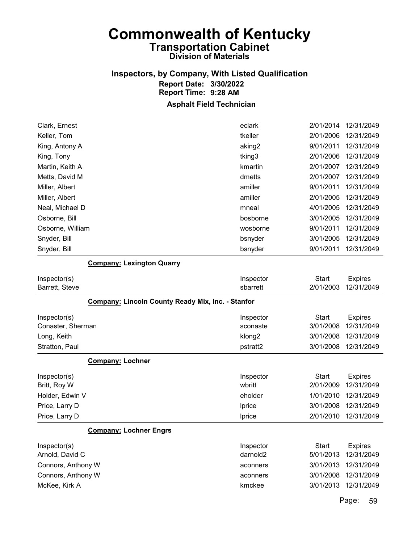## Inspectors, by Company, With Listed Qualification Report Date: 3/30/2022 Report Time: 9:28 AM

### Asphalt Field Technician

| eclark             |           | 12/31/2049                                                                                                                                  |
|--------------------|-----------|---------------------------------------------------------------------------------------------------------------------------------------------|
| tkeller            |           | 12/31/2049                                                                                                                                  |
| aking <sub>2</sub> |           | 12/31/2049                                                                                                                                  |
| tking3             |           | 12/31/2049                                                                                                                                  |
| kmartin            |           | 12/31/2049                                                                                                                                  |
| dmetts             |           | 12/31/2049                                                                                                                                  |
| amiller            |           | 12/31/2049                                                                                                                                  |
| amiller            | 2/01/2005 | 12/31/2049                                                                                                                                  |
| mneal              |           | 12/31/2049                                                                                                                                  |
| bosborne           | 3/01/2005 | 12/31/2049                                                                                                                                  |
| wosborne           |           | 12/31/2049                                                                                                                                  |
| bsnyder            |           | 12/31/2049                                                                                                                                  |
| bsnyder            |           | 12/31/2049                                                                                                                                  |
|                    |           | 2/01/2014<br>2/01/2006<br>9/01/2011<br>2/01/2006<br>2/01/2007<br>2/01/2007<br>9/01/2011<br>4/01/2005<br>9/01/2011<br>3/01/2005<br>9/01/2011 |

#### Company: Lexington Quarry

| Inspector(s)<br>Barrett, Steve                           | Inspector<br>sbarrett | <b>Start</b><br>2/01/2003 | <b>Expires</b><br>12/31/2049 |
|----------------------------------------------------------|-----------------------|---------------------------|------------------------------|
| <b>Company: Lincoln County Ready Mix, Inc. - Stanfor</b> |                       |                           |                              |
| Inspector(s)<br>Conaster, Sherman                        | Inspector<br>sconaste | Start<br>3/01/2008        | <b>Expires</b><br>12/31/2049 |
| Long, Keith                                              | klong <sub>2</sub>    | 3/01/2008                 | 12/31/2049                   |
| Stratton, Paul                                           | pstratt2              | 3/01/2008                 | 12/31/2049                   |
| <b>Company: Lochner</b>                                  |                       |                           |                              |
| Inspector(s)<br>Britt, Roy W                             | Inspector<br>wbritt   | <b>Start</b><br>2/01/2009 | <b>Expires</b><br>12/31/2049 |
| Holder, Edwin V                                          | eholder               | 1/01/2010                 | 12/31/2049                   |
| Price, Larry D                                           | Iprice                | 3/01/2008                 | 12/31/2049                   |
| Price, Larry D                                           | <b>Iprice</b>         | 2/01/2010                 | 12/31/2049                   |
| <b>Company: Lochner Engrs</b>                            |                       |                           |                              |
| Inspector(s)                                             | Inspector             | <b>Start</b>              | <b>Expires</b>               |
| Arnold, David C                                          | darnold <sub>2</sub>  | 5/01/2013                 | 12/31/2049                   |
| Connors, Anthony W                                       | aconners              | 3/01/2013                 | 12/31/2049                   |
| Connors, Anthony W                                       | aconners              | 3/01/2008                 | 12/31/2049                   |
| McKee, Kirk A                                            | kmckee                | 3/01/2013                 | 12/31/2049                   |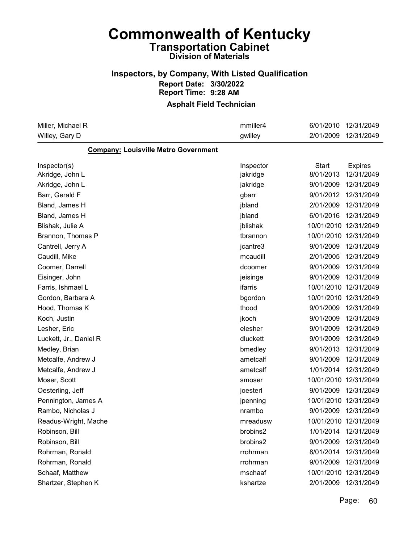### Inspectors, by Company, With Listed Qualification Report Date: 3/30/2022 Report Time: 9:28 AM

### Asphalt Field Technician

| Miller, Michael R                           | mmiller4  | 6/01/2010    | 12/31/2049            |
|---------------------------------------------|-----------|--------------|-----------------------|
| Willey, Gary D                              | gwilley   | 2/01/2009    | 12/31/2049            |
| <b>Company: Louisville Metro Government</b> |           |              |                       |
| Inspector(s)                                | Inspector | <b>Start</b> | <b>Expires</b>        |
| Akridge, John L                             | jakridge  | 8/01/2013    | 12/31/2049            |
| Akridge, John L                             | jakridge  | 9/01/2009    | 12/31/2049            |
| Barr, Gerald F                              | gbarr     | 9/01/2012    | 12/31/2049            |
| Bland, James H                              | jbland    | 2/01/2009    | 12/31/2049            |
| Bland, James H                              | jbland    | 6/01/2016    | 12/31/2049            |
| Blishak, Julie A                            | jblishak  |              | 10/01/2010 12/31/2049 |
| Brannon, Thomas P                           | tbrannon  |              | 10/01/2010 12/31/2049 |
| Cantrell, Jerry A                           | jcantre3  | 9/01/2009    | 12/31/2049            |
| Caudill, Mike                               | mcaudill  | 2/01/2005    | 12/31/2049            |
| Coomer, Darrell                             | dcoomer   | 9/01/2009    | 12/31/2049            |
| Eisinger, John                              | jeisinge  | 9/01/2009    | 12/31/2049            |
| Farris, Ishmael L                           | ifarris   |              | 10/01/2010 12/31/2049 |
| Gordon, Barbara A                           | bgordon   |              | 10/01/2010 12/31/2049 |
| Hood, Thomas K                              | thood     | 9/01/2009    | 12/31/2049            |
| Koch, Justin                                | jkoch     | 9/01/2009    | 12/31/2049            |
| Lesher, Eric                                | elesher   | 9/01/2009    | 12/31/2049            |
| Luckett, Jr., Daniel R                      | dluckett  | 9/01/2009    | 12/31/2049            |
| Medley, Brian                               | bmedley   | 9/01/2013    | 12/31/2049            |
| Metcalfe, Andrew J                          | ametcalf  | 9/01/2009    | 12/31/2049            |
| Metcalfe, Andrew J                          | ametcalf  | 1/01/2014    | 12/31/2049            |
| Moser, Scott                                | smoser    |              | 10/01/2010 12/31/2049 |
| Oesterling, Jeff                            | joesterl  | 9/01/2009    | 12/31/2049            |
| Pennington, James A                         | jpenning  |              | 10/01/2010 12/31/2049 |
| Rambo, Nicholas J                           | nrambo    | 9/01/2009    | 12/31/2049            |
| Readus-Wright, Mache                        | mreadusw  |              | 10/01/2010 12/31/2049 |
| Robinson, Bill                              | brobins2  | 1/01/2014    | 12/31/2049            |
| Robinson, Bill                              | brobins2  | 9/01/2009    | 12/31/2049            |
| Rohrman, Ronald                             | rrohrman  | 8/01/2014    | 12/31/2049            |
| Rohrman, Ronald                             | rrohrman  | 9/01/2009    | 12/31/2049            |
| Schaaf, Matthew                             | mschaaf   |              | 10/01/2010 12/31/2049 |
| Shartzer, Stephen K                         | kshartze  |              | 2/01/2009 12/31/2049  |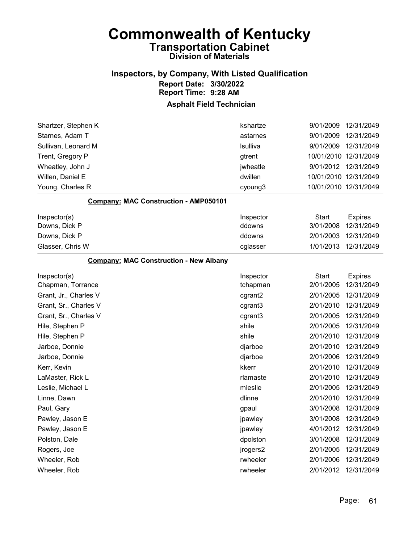### Inspectors, by Company, With Listed Qualification Report Date: 3/30/2022 Report Time: 9:28 AM

| Shartzer, Stephen K                           | kshartze  | 9/01/2009             | 12/31/2049           |
|-----------------------------------------------|-----------|-----------------------|----------------------|
| Starnes, Adam T                               | astarnes  | 9/01/2009             | 12/31/2049           |
| Sullivan, Leonard M                           | Isulliva  | 9/01/2009             | 12/31/2049           |
| Trent, Gregory P                              | gtrent    | 10/01/2010 12/31/2049 |                      |
| Wheatley, John J                              | jwheatle  |                       | 9/01/2012 12/31/2049 |
| Willen, Daniel E                              | dwillen   | 10/01/2010 12/31/2049 |                      |
| Young, Charles R                              | cyoung3   | 10/01/2010 12/31/2049 |                      |
| Company: MAC Construction - AMP050101         |           |                       |                      |
| Inspector(s)                                  | Inspector | Start                 | <b>Expires</b>       |
| Downs, Dick P                                 | ddowns    | 3/01/2008             | 12/31/2049           |
| Downs, Dick P                                 | ddowns    | 2/01/2003             | 12/31/2049           |
| Glasser, Chris W                              | cglasser  | 1/01/2013             | 12/31/2049           |
| <b>Company: MAC Construction - New Albany</b> |           |                       |                      |
| Inspector(s)                                  | Inspector | <b>Start</b>          | <b>Expires</b>       |
| Chapman, Torrance                             | tchapman  | 2/01/2005             | 12/31/2049           |
| Grant, Jr., Charles V                         | cgrant2   | 2/01/2005             | 12/31/2049           |
| Grant, Sr., Charles V                         | cgrant3   | 2/01/2010             | 12/31/2049           |
| Grant, Sr., Charles V                         | cgrant3   | 2/01/2005             | 12/31/2049           |
| Hile, Stephen P                               | shile     | 2/01/2005             | 12/31/2049           |
| Hile, Stephen P                               | shile     | 2/01/2010             | 12/31/2049           |
| Jarboe, Donnie                                | djarboe   | 2/01/2010             | 12/31/2049           |
| Jarboe, Donnie                                | djarboe   | 2/01/2006             | 12/31/2049           |
| Kerr, Kevin                                   | kkerr     | 2/01/2010             | 12/31/2049           |
| LaMaster, Rick L                              | rlamaste  | 2/01/2010             | 12/31/2049           |
| Leslie, Michael L                             | mleslie   | 2/01/2005             | 12/31/2049           |
| Linne, Dawn                                   | dlinne    | 2/01/2010             | 12/31/2049           |
| Paul, Gary                                    | gpaul     | 3/01/2008             | 12/31/2049           |
| Pawley, Jason E                               | jpawley   | 3/01/2008             | 12/31/2049           |
| Pawley, Jason E                               | jpawley   | 4/01/2012             | 12/31/2049           |
| Polston, Dale                                 | dpolston  | 3/01/2008             | 12/31/2049           |
| Rogers, Joe                                   | jrogers2  | 2/01/2005             | 12/31/2049           |
| Wheeler, Rob                                  | rwheeler  | 2/01/2006             | 12/31/2049           |
| Wheeler, Rob                                  | rwheeler  | 2/01/2012             | 12/31/2049           |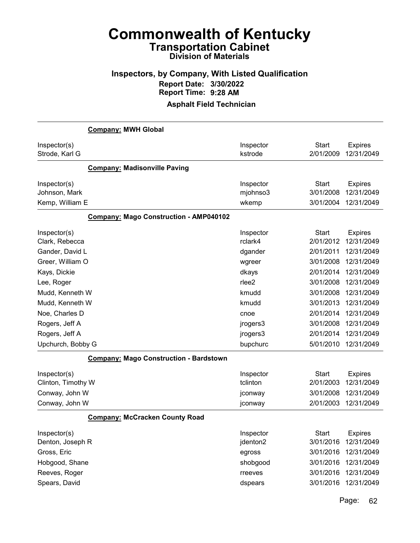## Inspectors, by Company, With Listed Qualification Report Date: 3/30/2022 Report Time: 9:28 AM

### Asphalt Field Technician

| <b>Company: MWH Global</b>                    |           |              |                |
|-----------------------------------------------|-----------|--------------|----------------|
| Inspector(s)                                  | Inspector | <b>Start</b> | <b>Expires</b> |
| Strode, Karl G                                | kstrode   | 2/01/2009    | 12/31/2049     |
| <b>Company: Madisonville Paving</b>           |           |              |                |
| Inspector(s)                                  | Inspector | <b>Start</b> | <b>Expires</b> |
| Johnson, Mark                                 | mjohnso3  | 3/01/2008    | 12/31/2049     |
| Kemp, William E                               | wkemp     | 3/01/2004    | 12/31/2049     |
| <b>Company: Mago Construction - AMP040102</b> |           |              |                |
| Inspector(s)                                  | Inspector | Start        | <b>Expires</b> |
| Clark, Rebecca                                | rclark4   | 2/01/2012    | 12/31/2049     |
| Gander, David L                               | dgander   | 2/01/2011    | 12/31/2049     |
| Greer, William O                              | wgreer    | 3/01/2008    | 12/31/2049     |
| Kays, Dickie                                  | dkays     | 2/01/2014    | 12/31/2049     |
| Lee, Roger                                    | rlee2     | 3/01/2008    | 12/31/2049     |
| Mudd, Kenneth W                               | kmudd     | 3/01/2008    | 12/31/2049     |
| Mudd, Kenneth W                               | kmudd     | 3/01/2013    | 12/31/2049     |
| Noe, Charles D                                | cnoe      | 2/01/2014    | 12/31/2049     |
| Rogers, Jeff A                                | jrogers3  | 3/01/2008    | 12/31/2049     |
| Rogers, Jeff A                                | jrogers3  | 2/01/2014    | 12/31/2049     |
| Upchurch, Bobby G                             | bupchurc  | 5/01/2010    | 12/31/2049     |
| <b>Company: Mago Construction - Bardstown</b> |           |              |                |
| Inspector(s)                                  | Inspector | <b>Start</b> | <b>Expires</b> |
| Clinton, Timothy W                            | tclinton  | 2/01/2003    | 12/31/2049     |
| Conway, John W                                | jconway   | 3/01/2008    | 12/31/2049     |
| Conway, John W                                | jconway   | 2/01/2003    | 12/31/2049     |
| <b>Company: McCracken County Road</b>         |           |              |                |
| Inspector(s)                                  | Inspector | <b>Start</b> | <b>Expires</b> |
| Denton, Joseph R                              | jdenton2  | 3/01/2016    | 12/31/2049     |
| Gross, Eric                                   | egross    | 3/01/2016    | 12/31/2049     |
| Hobgood, Shane                                | shobgood  | 3/01/2016    | 12/31/2049     |
| Reeves, Roger                                 | rreeves   | 3/01/2016    | 12/31/2049     |
| Spears, David                                 | dspears   | 3/01/2016    | 12/31/2049     |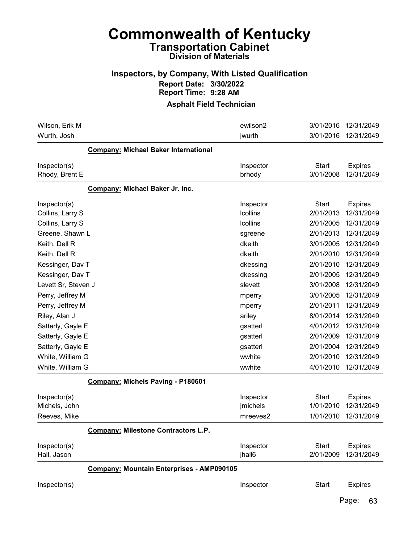### Inspectors, by Company, With Listed Qualification Report Date: 3/30/2022 Report Time: 9:28 AM

#### Asphalt Field Technician

| Wilson, Erik M                                   | ewilson2                          | 3/01/2016                              | 12/31/2049                                 |
|--------------------------------------------------|-----------------------------------|----------------------------------------|--------------------------------------------|
| Wurth, Josh                                      | jwurth                            | 3/01/2016                              | 12/31/2049                                 |
| <b>Company: Michael Baker International</b>      |                                   |                                        |                                            |
| Inspector(s)<br>Rhody, Brent E                   | Inspector<br>brhody               | <b>Start</b><br>3/01/2008              | <b>Expires</b><br>12/31/2049               |
| Company: Michael Baker Jr. Inc.                  |                                   |                                        |                                            |
| Inspector(s)<br>Collins, Larry S                 | Inspector<br>Icollins             | <b>Start</b><br>2/01/2013              | <b>Expires</b><br>12/31/2049               |
| Collins, Larry S                                 | <b>Icollins</b>                   | 2/01/2005                              | 12/31/2049                                 |
| Greene, Shawn L                                  | sgreene                           | 2/01/2013                              | 12/31/2049                                 |
| Keith, Dell R                                    | dkeith                            | 3/01/2005                              | 12/31/2049                                 |
| Keith, Dell R                                    | dkeith                            | 2/01/2010                              | 12/31/2049                                 |
| Kessinger, Dav T                                 | dkessing                          | 2/01/2010                              | 12/31/2049                                 |
| Kessinger, Dav T                                 | dkessing                          | 2/01/2005                              | 12/31/2049                                 |
| Levett Sr, Steven J                              | slevett                           | 3/01/2008                              | 12/31/2049                                 |
| Perry, Jeffrey M                                 | mperry                            | 3/01/2005                              | 12/31/2049                                 |
| Perry, Jeffrey M                                 | mperry                            | 2/01/2011                              | 12/31/2049                                 |
| Riley, Alan J                                    | ariley                            | 8/01/2014                              | 12/31/2049                                 |
| Satterly, Gayle E                                | gsatterl                          | 4/01/2012                              | 12/31/2049                                 |
| Satterly, Gayle E                                | gsatterl                          | 2/01/2009                              | 12/31/2049                                 |
| Satterly, Gayle E                                | gsatterl                          | 2/01/2004                              | 12/31/2049                                 |
| White, William G                                 | wwhite                            | 2/01/2010                              | 12/31/2049                                 |
| White, William G                                 | wwhite                            | 4/01/2010                              | 12/31/2049                                 |
| <b>Company: Michels Paving - P180601</b>         |                                   |                                        |                                            |
| Inspector(s)<br>Michels, John<br>Reeves, Mike    | Inspector<br>jmichels<br>mreeves2 | <b>Start</b><br>1/01/2010<br>1/01/2010 | <b>Expires</b><br>12/31/2049<br>12/31/2049 |
|                                                  |                                   |                                        |                                            |
| <b>Company: Milestone Contractors L.P.</b>       |                                   |                                        |                                            |
| Inspector(s)<br>Hall, Jason                      | Inspector<br>jhall6               | <b>Start</b><br>2/01/2009              | <b>Expires</b><br>12/31/2049               |
| <b>Company: Mountain Enterprises - AMP090105</b> |                                   |                                        |                                            |
| Inspector(s)                                     | Inspector                         | <b>Start</b>                           | <b>Expires</b>                             |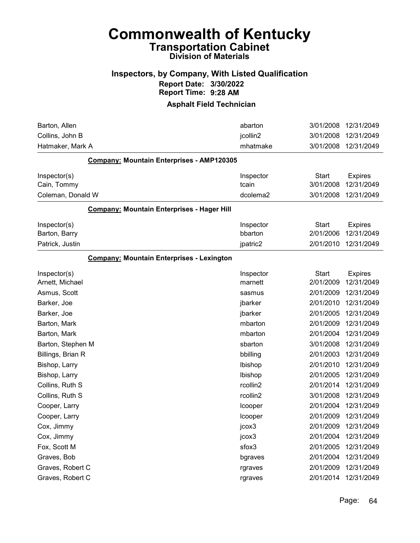# Commonwealth of Kentucky Transportation Cabinet

## Division of Materials

### Inspectors, by Company, With Listed Qualification Report Date: 3/30/2022 Report Time: 9:28 AM

| Barton, Allen                                     | abarton   | 3/01/2008    | 12/31/2049     |
|---------------------------------------------------|-----------|--------------|----------------|
| Collins, John B                                   | jcollin2  | 3/01/2008    | 12/31/2049     |
| Hatmaker, Mark A                                  | mhatmake  | 3/01/2008    | 12/31/2049     |
| Company: Mountain Enterprises - AMP120305         |           |              |                |
| Inspector(s)                                      | Inspector | <b>Start</b> | <b>Expires</b> |
| Cain, Tommy                                       | tcain     | 3/01/2008    | 12/31/2049     |
| Coleman, Donald W                                 | dcolema2  | 3/01/2008    | 12/31/2049     |
| <b>Company: Mountain Enterprises - Hager Hill</b> |           |              |                |
| Inspector(s)                                      | Inspector | <b>Start</b> | <b>Expires</b> |
| Barton, Barry                                     | bbarton   | 2/01/2006    | 12/31/2049     |
| Patrick, Justin                                   | jpatric2  | 2/01/2010    | 12/31/2049     |
| <b>Company: Mountain Enterprises - Lexington</b>  |           |              |                |
| Inspector(s)                                      | Inspector | <b>Start</b> | <b>Expires</b> |
| Arnett, Michael                                   | marnett   | 2/01/2009    | 12/31/2049     |
| Asmus, Scott                                      | sasmus    | 2/01/2009    | 12/31/2049     |
| Barker, Joe                                       | jbarker   | 2/01/2010    | 12/31/2049     |
| Barker, Joe                                       | jbarker   | 2/01/2005    | 12/31/2049     |
| Barton, Mark                                      | mbarton   | 2/01/2009    | 12/31/2049     |
| Barton, Mark                                      | mbarton   | 2/01/2004    | 12/31/2049     |
| Barton, Stephen M                                 | sbarton   | 3/01/2008    | 12/31/2049     |
| Billings, Brian R                                 | bbilling  | 2/01/2003    | 12/31/2049     |
| Bishop, Larry                                     | Ibishop   | 2/01/2010    | 12/31/2049     |
| Bishop, Larry                                     | Ibishop   | 2/01/2005    | 12/31/2049     |
| Collins, Ruth S                                   | rcollin2  | 2/01/2014    | 12/31/2049     |
| Collins, Ruth S                                   | rcollin2  | 3/01/2008    | 12/31/2049     |
| Cooper, Larry                                     | Icooper   | 2/01/2004    | 12/31/2049     |
| Cooper, Larry                                     | Icooper   | 2/01/2009    | 12/31/2049     |
| Cox, Jimmy                                        | jcox3     | 2/01/2009    | 12/31/2049     |
| Cox, Jimmy                                        | jcox3     | 2/01/2004    | 12/31/2049     |
| Fox, Scott M                                      | sfox3     | 2/01/2005    | 12/31/2049     |
| Graves, Bob                                       | bgraves   | 2/01/2004    | 12/31/2049     |
| Graves, Robert C                                  | rgraves   | 2/01/2009    | 12/31/2049     |
| Graves, Robert C                                  | rgraves   | 2/01/2014    | 12/31/2049     |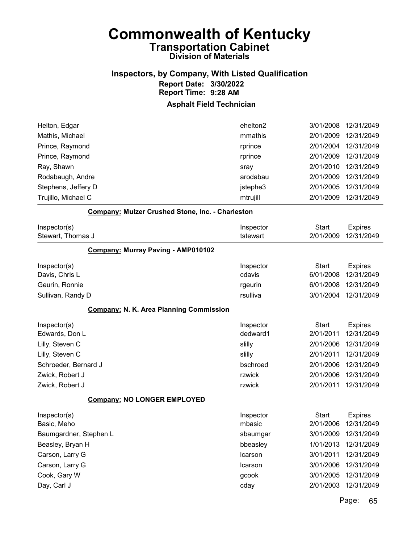### Inspectors, by Company, With Listed Qualification Report Date: 3/30/2022 Report Time: 9:28 AM

### Asphalt Field Technician

| Trujillo, Michael C | mtrujill | 2/01/2009 | 12/31/2049 |
|---------------------|----------|-----------|------------|
| Stephens, Jeffery D | jstephe3 | 2/01/2005 | 12/31/2049 |
| Rodabaugh, Andre    | arodabau | 2/01/2009 | 12/31/2049 |
| Ray, Shawn          | sray     | 2/01/2010 | 12/31/2049 |
| Prince, Raymond     | rprince  | 2/01/2009 | 12/31/2049 |
| Prince, Raymond     | rprince  | 2/01/2004 | 12/31/2049 |
| Mathis, Michael     | mmathis  | 2/01/2009 | 12/31/2049 |
| Helton, Edgar       | ehelton2 | 3/01/2008 | 12/31/2049 |

#### Company: Mulzer Crushed Stone, Inc. - Charleston

| Inspector(s)<br>Stewart, Thomas J              | Inspector<br>tstewart | Start<br>2/01/2009 | <b>Expires</b><br>12/31/2049 |
|------------------------------------------------|-----------------------|--------------------|------------------------------|
| <b>Company: Murray Paving - AMP010102</b>      |                       |                    |                              |
| Inspector(s)                                   | Inspector             | Start              | <b>Expires</b>               |
| Davis, Chris L                                 | cdavis                | 6/01/2008          | 12/31/2049                   |
| Geurin, Ronnie                                 | rgeurin               | 6/01/2008          | 12/31/2049                   |
| Sullivan, Randy D                              | rsulliva              | 3/01/2004          | 12/31/2049                   |
| <b>Company: N. K. Area Planning Commission</b> |                       |                    |                              |

| Inspector(s)         | Inspector | Start     | <b>Expires</b>       |
|----------------------|-----------|-----------|----------------------|
| Edwards, Don L       | dedward1  | 2/01/2011 | 12/31/2049           |
| Lilly, Steven C      | slilly    | 2/01/2006 | 12/31/2049           |
| Lilly, Steven C      | slilly    |           | 2/01/2011 12/31/2049 |
| Schroeder, Bernard J | bschroed  |           | 2/01/2006 12/31/2049 |
| Zwick, Robert J      | rzwick    | 2/01/2006 | 12/31/2049           |
| Zwick, Robert J      | rzwick    | 2/01/2011 | 12/31/2049           |

#### Company: NO LONGER EMPLOYED

| Inspector(s)           | Inspector      | Start     | <b>Expires</b> |
|------------------------|----------------|-----------|----------------|
| Basic, Meho            | mbasic         | 2/01/2006 | 12/31/2049     |
| Baumgardner, Stephen L | sbaumgar       | 3/01/2009 | 12/31/2049     |
| Beasley, Bryan H       | bbeasley       | 1/01/2013 | 12/31/2049     |
| Carson, Larry G        | <b>Icarson</b> | 3/01/2011 | 12/31/2049     |
| Carson, Larry G        | <b>Icarson</b> | 3/01/2006 | 12/31/2049     |
| Cook, Gary W           | gcook          | 3/01/2005 | 12/31/2049     |
| Day, Carl J            | cday           | 2/01/2003 | 12/31/2049     |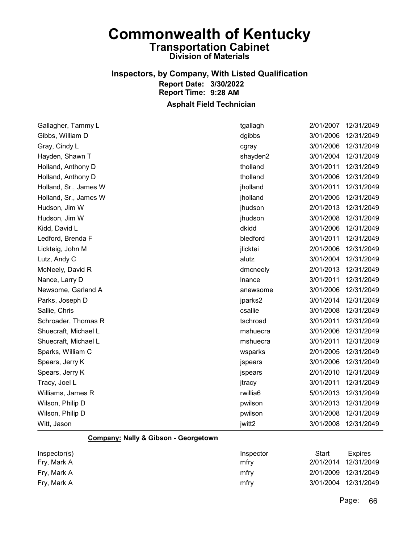# Inspectors, by Company, With Listed Qualification Report Date: 3/30/2022 Report Time: 9:28 AM

### Asphalt Field Technician

| Gallagher, Tammy L    | tgallagh | 2/01/2007 | 12/31/2049 |
|-----------------------|----------|-----------|------------|
| Gibbs, William D      | dgibbs   | 3/01/2006 | 12/31/2049 |
| Gray, Cindy L         | cgray    | 3/01/2006 | 12/31/2049 |
| Hayden, Shawn T       | shayden2 | 3/01/2004 | 12/31/2049 |
| Holland, Anthony D    | tholland | 3/01/2011 | 12/31/2049 |
| Holland, Anthony D    | tholland | 3/01/2006 | 12/31/2049 |
| Holland, Sr., James W | jholland | 3/01/2011 | 12/31/2049 |
| Holland, Sr., James W | jholland | 2/01/2005 | 12/31/2049 |
| Hudson, Jim W         | jhudson  | 2/01/2013 | 12/31/2049 |
| Hudson, Jim W         | jhudson  | 3/01/2008 | 12/31/2049 |
| Kidd, David L         | dkidd    | 3/01/2006 | 12/31/2049 |
| Ledford, Brenda F     | bledford | 3/01/2011 | 12/31/2049 |
| Lickteig, John M      | jlicktei | 2/01/2006 | 12/31/2049 |
| Lutz, Andy C          | alutz    | 3/01/2004 | 12/31/2049 |
| McNeely, David R      | dmcneely | 2/01/2013 | 12/31/2049 |
| Nance, Larry D        | Inance   | 3/01/2011 | 12/31/2049 |
| Newsome, Garland A    | anewsome | 3/01/2006 | 12/31/2049 |
| Parks, Joseph D       | jparks2  | 3/01/2014 | 12/31/2049 |
| Sallie, Chris         | csallie  | 3/01/2008 | 12/31/2049 |
| Schroader, Thomas R   | tschroad | 3/01/2011 | 12/31/2049 |
| Shuecraft, Michael L  | mshuecra | 3/01/2006 | 12/31/2049 |
| Shuecraft, Michael L  | mshuecra | 3/01/2011 | 12/31/2049 |
| Sparks, William C     | wsparks  | 2/01/2005 | 12/31/2049 |
| Spears, Jerry K       | jspears  | 3/01/2006 | 12/31/2049 |
| Spears, Jerry K       | jspears  | 2/01/2010 | 12/31/2049 |
| Tracy, Joel L         | jtracy   | 3/01/2011 | 12/31/2049 |
| Williams, James R     | rwillia6 | 5/01/2013 | 12/31/2049 |
| Wilson, Philip D      | pwilson  | 3/01/2013 | 12/31/2049 |
| Wilson, Philip D      | pwilson  | 3/01/2008 | 12/31/2049 |
| Witt, Jason           | jwitt2   | 3/01/2008 | 12/31/2049 |
|                       |          |           |            |

### Company: Nally & Gibson - Georgetown

| Inspector(s) | Inspector | Start | Expires              |
|--------------|-----------|-------|----------------------|
| Fry, Mark A  | mfrv      |       | 2/01/2014 12/31/2049 |
| Fry, Mark A  | mfry      |       | 2/01/2009 12/31/2049 |
| Fry, Mark A  | mfry      |       | 3/01/2004 12/31/2049 |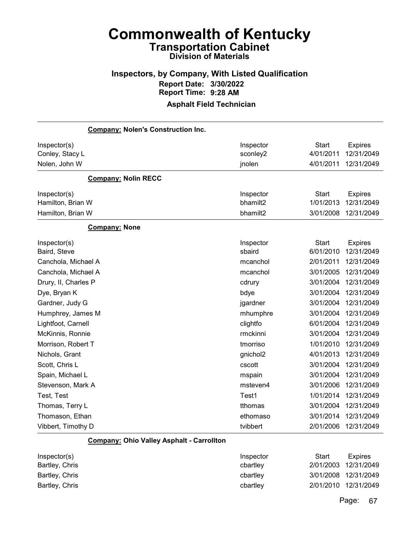# Inspectors, by Company, With Listed Qualification Report Date: 3/30/2022 Report Time: 9:28 AM

### Asphalt Field Technician

| <b>Company: Nolen's Construction Inc.</b> |                                                  |              |                |
|-------------------------------------------|--------------------------------------------------|--------------|----------------|
| Inspector(s)                              | Inspector                                        | <b>Start</b> | <b>Expires</b> |
| Conley, Stacy L                           | sconley2                                         | 4/01/2011    | 12/31/2049     |
| Nolen, John W                             | jnolen                                           | 4/01/2011    | 12/31/2049     |
| <b>Company: Nolin RECC</b>                |                                                  |              |                |
| Inspector(s)                              | Inspector                                        | <b>Start</b> | <b>Expires</b> |
| Hamilton, Brian W                         | bhamilt2                                         | 1/01/2013    | 12/31/2049     |
| Hamilton, Brian W                         | bhamilt2                                         | 3/01/2008    | 12/31/2049     |
| <b>Company: None</b>                      |                                                  |              |                |
| Inspector(s)                              | Inspector                                        | Start        | <b>Expires</b> |
| Baird, Steve                              | sbaird                                           | 6/01/2010    | 12/31/2049     |
| Canchola, Michael A                       | mcanchol                                         | 2/01/2011    | 12/31/2049     |
| Canchola, Michael A                       | mcanchol                                         | 3/01/2005    | 12/31/2049     |
| Drury, II, Charles P                      | cdrury                                           | 3/01/2004    | 12/31/2049     |
| Dye, Bryan K                              | bdye                                             | 3/01/2004    | 12/31/2049     |
| Gardner, Judy G                           | jgardner                                         | 3/01/2004    | 12/31/2049     |
| Humphrey, James M                         | mhumphre                                         | 3/01/2004    | 12/31/2049     |
| Lightfoot, Carnell                        | clightfo                                         | 6/01/2004    | 12/31/2049     |
| McKinnis, Ronnie                          | rmckinni                                         | 3/01/2004    | 12/31/2049     |
| Morrison, Robert T                        | tmorriso                                         | 1/01/2010    | 12/31/2049     |
| Nichols, Grant                            | gnichol2                                         | 4/01/2013    | 12/31/2049     |
| Scott, Chris L                            | cscott                                           | 3/01/2004    | 12/31/2049     |
| Spain, Michael L                          | mspain                                           | 3/01/2004    | 12/31/2049     |
| Stevenson, Mark A                         | msteven4                                         | 3/01/2006    | 12/31/2049     |
| Test, Test                                | Test1                                            | 1/01/2014    | 12/31/2049     |
| Thomas, Terry L                           | tthomas                                          | 3/01/2004    | 12/31/2049     |
| Thomason, Ethan                           | ethomaso                                         | 3/01/2014    | 12/31/2049     |
| Vibbert, Timothy D                        | tvibbert                                         | 2/01/2006    | 12/31/2049     |
|                                           | <b>Company: Ohio Valley Asphalt - Carrollton</b> |              |                |
| Inspector(s)                              | Inspector                                        | Start        | <b>Expires</b> |

| $1.10$ povio $1,0$ | 1110000101 | $\sim$ | $ \sim$ $\sim$ $\sim$ |
|--------------------|------------|--------|-----------------------|
| Bartley, Chris     | cbartley   |        | 2/01/2003 12/31/2049  |
| Bartley, Chris     | cbartley   |        | 3/01/2008 12/31/2049  |
| Bartley, Chris     | cbartley   |        | 2/01/2010 12/31/2049  |
|                    |            |        |                       |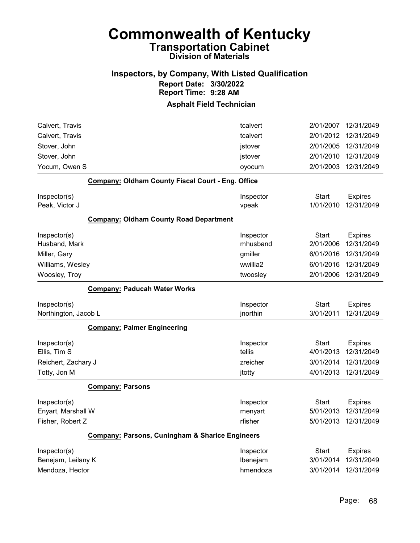### Inspectors, by Company, With Listed Qualification Report Date: 3/30/2022 Report Time: 9:28 AM

| tcalvert                                                   | 2/01/2007                                                | 12/31/2049                   |
|------------------------------------------------------------|----------------------------------------------------------|------------------------------|
| tcalvert                                                   | 2/01/2012                                                | 12/31/2049                   |
| jstover                                                    | 2/01/2005                                                | 12/31/2049                   |
| jstover                                                    | 2/01/2010                                                | 12/31/2049                   |
| oyocum                                                     | 2/01/2003                                                | 12/31/2049                   |
|                                                            |                                                          |                              |
| Inspector                                                  | <b>Start</b>                                             | <b>Expires</b>               |
| vpeak                                                      | 1/01/2010                                                | 12/31/2049                   |
|                                                            |                                                          |                              |
| Inspector                                                  | <b>Start</b>                                             | <b>Expires</b>               |
| mhusband                                                   | 2/01/2006                                                | 12/31/2049                   |
| gmiller                                                    | 6/01/2016                                                | 12/31/2049                   |
| wwillia2                                                   | 6/01/2016                                                | 12/31/2049                   |
| twoosley                                                   | 2/01/2006                                                | 12/31/2049                   |
|                                                            |                                                          |                              |
| Inspector<br>jnorthin                                      | <b>Start</b><br>3/01/2011                                | <b>Expires</b><br>12/31/2049 |
|                                                            |                                                          |                              |
|                                                            |                                                          |                              |
| Inspector                                                  | <b>Start</b>                                             | <b>Expires</b>               |
| tellis                                                     | 4/01/2013                                                | 12/31/2049                   |
| zreicher                                                   | 3/01/2014                                                | 12/31/2049                   |
| jtotty                                                     | 4/01/2013                                                | 12/31/2049                   |
|                                                            |                                                          |                              |
| Inspector                                                  | <b>Start</b>                                             | <b>Expires</b>               |
| menyart                                                    | 5/01/2013                                                | 12/31/2049                   |
| rfisher                                                    | 5/01/2013                                                | 12/31/2049                   |
| <b>Company: Parsons, Cuningham &amp; Sharice Engineers</b> |                                                          |                              |
| Inspector                                                  | <b>Start</b>                                             | <b>Expires</b>               |
| Ibenejam                                                   | 3/01/2014                                                | 12/31/2049                   |
|                                                            | <b>Company: Oldham County Fiscal Court - Eng. Office</b> |                              |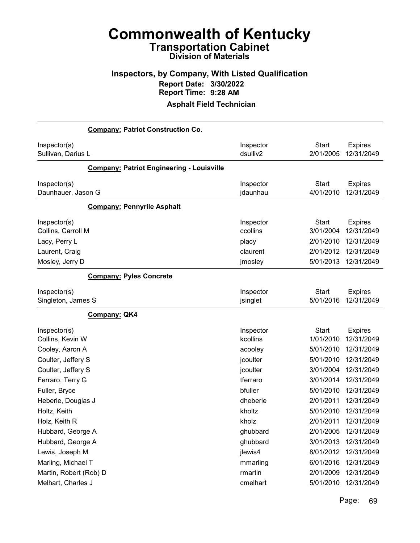## Inspectors, by Company, With Listed Qualification Report Date: 3/30/2022 Report Time: 9:28 AM

| <b>Company: Patriot Construction Co.</b>         |           |              |                |
|--------------------------------------------------|-----------|--------------|----------------|
| Inspector(s)                                     | Inspector | <b>Start</b> | <b>Expires</b> |
| Sullivan, Darius L                               | dsulliv2  | 2/01/2005    | 12/31/2049     |
| <b>Company: Patriot Engineering - Louisville</b> |           |              |                |
| Inspector(s)                                     | Inspector | <b>Start</b> | <b>Expires</b> |
| Daunhauer, Jason G                               | jdaunhau  | 4/01/2010    | 12/31/2049     |
| <b>Company: Pennyrile Asphalt</b>                |           |              |                |
| Inspector(s)                                     | Inspector | <b>Start</b> | <b>Expires</b> |
| Collins, Carroll M                               | ccollins  | 3/01/2004    | 12/31/2049     |
| Lacy, Perry L                                    | placy     | 2/01/2010    | 12/31/2049     |
| Laurent, Craig                                   | claurent  | 2/01/2012    | 12/31/2049     |
| Mosley, Jerry D                                  | jmosley   | 5/01/2013    | 12/31/2049     |
| <b>Company: Pyles Concrete</b>                   |           |              |                |
| Inspector(s)                                     | Inspector | <b>Start</b> | <b>Expires</b> |
| Singleton, James S                               | jsinglet  | 5/01/2016    | 12/31/2049     |
| <b>Company: QK4</b>                              |           |              |                |
| Inspector(s)                                     | Inspector | <b>Start</b> | <b>Expires</b> |
| Collins, Kevin W                                 | kcollins  | 1/01/2010    | 12/31/2049     |
| Cooley, Aaron A                                  | acooley   | 5/01/2010    | 12/31/2049     |
| Coulter, Jeffery S                               | jcoulter  | 5/01/2010    | 12/31/2049     |
| Coulter, Jeffery S                               | jcoulter  | 3/01/2004    | 12/31/2049     |
| Ferraro, Terry G                                 | tferraro  | 3/01/2014    | 12/31/2049     |
| Fuller, Bryce                                    | bfuller   | 5/01/2010    | 12/31/2049     |
| Heberle, Douglas J                               | dheberle  | 2/01/2011    | 12/31/2049     |
| Holtz, Keith                                     | kholtz    | 5/01/2010    | 12/31/2049     |
| Holz, Keith R                                    | kholz     | 2/01/2011    | 12/31/2049     |
| Hubbard, George A                                | ghubbard  | 2/01/2005    | 12/31/2049     |
| Hubbard, George A                                | ghubbard  | 3/01/2013    | 12/31/2049     |
| Lewis, Joseph M                                  | jlewis4   | 8/01/2012    | 12/31/2049     |
| Marling, Michael T                               | mmarling  | 6/01/2016    | 12/31/2049     |
| Martin, Robert (Rob) D                           | rmartin   | 2/01/2009    | 12/31/2049     |
| Melhart, Charles J                               | cmelhart  | 5/01/2010    | 12/31/2049     |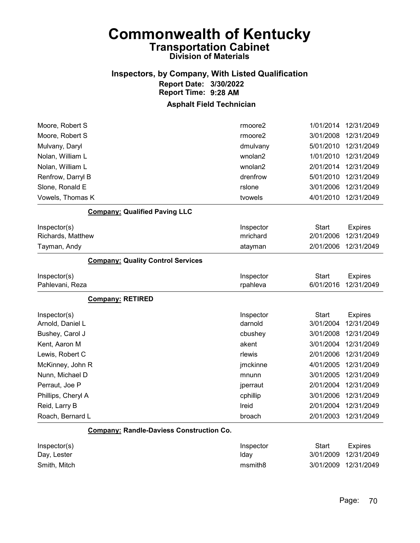## Inspectors, by Company, With Listed Qualification Report Date: 3/30/2022 Report Time: 9:28 AM

| Moore, Robert S                                 | rmoore2             | 1/01/2014    | 12/31/2049     |
|-------------------------------------------------|---------------------|--------------|----------------|
| Moore, Robert S                                 | rmoore2             | 3/01/2008    | 12/31/2049     |
| Mulvany, Daryl                                  | dmulvany            | 5/01/2010    | 12/31/2049     |
| Nolan, William L                                | wnolan2             | 1/01/2010    | 12/31/2049     |
| Nolan, William L                                | wnolan2             | 2/01/2014    | 12/31/2049     |
| Renfrow, Darryl B                               | drenfrow            | 5/01/2010    | 12/31/2049     |
| Slone, Ronald E                                 | rslone              | 3/01/2006    | 12/31/2049     |
| Vowels, Thomas K                                | tvowels             | 4/01/2010    | 12/31/2049     |
| <b>Company: Qualified Paving LLC</b>            |                     |              |                |
| Inspector(s)                                    | Inspector           | Start        | <b>Expires</b> |
| Richards, Matthew                               | mrichard            | 2/01/2006    | 12/31/2049     |
| Tayman, Andy                                    | atayman             | 2/01/2006    | 12/31/2049     |
| <b>Company: Quality Control Services</b>        |                     |              |                |
| Inspector(s)                                    | Inspector           | Start        | <b>Expires</b> |
| Pahlevani, Reza                                 | rpahleva            | 6/01/2016    | 12/31/2049     |
| <b>Company: RETIRED</b>                         |                     |              |                |
| Inspector(s)                                    | Inspector           | Start        | <b>Expires</b> |
| Arnold, Daniel L                                | darnold             | 3/01/2004    | 12/31/2049     |
| Bushey, Carol J                                 | cbushey             | 3/01/2008    | 12/31/2049     |
| Kent, Aaron M                                   | akent               | 3/01/2004    | 12/31/2049     |
| Lewis, Robert C                                 | rlewis              | 2/01/2006    | 12/31/2049     |
| McKinney, John R                                | jmckinne            | 4/01/2005    | 12/31/2049     |
| Nunn, Michael D                                 | mnunn               | 3/01/2005    | 12/31/2049     |
| Perraut, Joe P                                  | jperraut            | 2/01/2004    | 12/31/2049     |
| Phillips, Cheryl A                              | cphillip            | 3/01/2006    | 12/31/2049     |
| Reid, Larry B                                   | Ireid               | 2/01/2004    | 12/31/2049     |
| Roach, Bernard L                                | broach              | 2/01/2003    | 12/31/2049     |
| <b>Company: Randle-Daviess Construction Co.</b> |                     |              |                |
| Inspector(s)                                    | Inspector           | <b>Start</b> | <b>Expires</b> |
| Day, Lester                                     | Iday                | 3/01/2009    | 12/31/2049     |
| Smith, Mitch                                    | msmith <sub>8</sub> | 3/01/2009    | 12/31/2049     |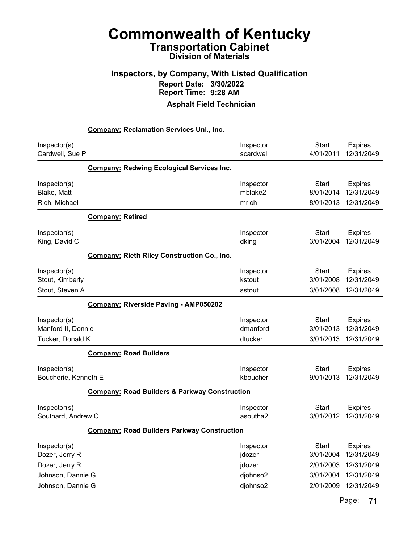### Inspectors, by Company, With Listed Qualification Report Date: 3/30/2022 Report Time: 9:28 AM

Asphalt Field Technician

|                                                                                            | <b>Company: Reclamation Services Unl., Inc.</b>          |                                                       |                                                                  |                                                                        |  |
|--------------------------------------------------------------------------------------------|----------------------------------------------------------|-------------------------------------------------------|------------------------------------------------------------------|------------------------------------------------------------------------|--|
| Inspector(s)<br>Cardwell, Sue P                                                            |                                                          | Inspector<br>scardwel                                 | <b>Start</b><br>4/01/2011                                        | <b>Expires</b><br>12/31/2049                                           |  |
|                                                                                            | <b>Company: Redwing Ecological Services Inc.</b>         |                                                       |                                                                  |                                                                        |  |
| Inspector(s)<br>Blake, Matt<br>Rich, Michael                                               |                                                          | Inspector<br>mblake2<br>mrich                         | <b>Start</b><br>8/01/2014<br>8/01/2013                           | <b>Expires</b><br>12/31/2049<br>12/31/2049                             |  |
|                                                                                            | <b>Company: Retired</b>                                  |                                                       |                                                                  |                                                                        |  |
| Inspector(s)<br>King, David C                                                              |                                                          | Inspector<br>dking                                    | <b>Start</b><br>3/01/2004                                        | <b>Expires</b><br>12/31/2049                                           |  |
|                                                                                            | <b>Company: Rieth Riley Construction Co., Inc.</b>       |                                                       |                                                                  |                                                                        |  |
| Inspector(s)<br>Stout, Kimberly<br>Stout, Steven A                                         |                                                          | Inspector<br>kstout<br>sstout                         | <b>Start</b><br>3/01/2008<br>3/01/2008                           | <b>Expires</b><br>12/31/2049<br>12/31/2049                             |  |
|                                                                                            | Company: Riverside Paving - AMP050202                    |                                                       |                                                                  |                                                                        |  |
| Inspector(s)<br>Manford II, Donnie<br>Tucker, Donald K                                     |                                                          | Inspector<br>dmanford<br>dtucker                      | <b>Start</b><br>3/01/2013<br>3/01/2013                           | <b>Expires</b><br>12/31/2049<br>12/31/2049                             |  |
|                                                                                            | <b>Company: Road Builders</b>                            |                                                       |                                                                  |                                                                        |  |
| Inspector(s)<br>Boucherie, Kenneth E                                                       |                                                          | Inspector<br>kboucher                                 | <b>Start</b><br>9/01/2013                                        | <b>Expires</b><br>12/31/2049                                           |  |
|                                                                                            | <b>Company: Road Builders &amp; Parkway Construction</b> |                                                       |                                                                  |                                                                        |  |
| Inspector(s)<br>Southard, Andrew C                                                         |                                                          | Inspector<br>asoutha2                                 | Start<br>3/01/2012                                               | <b>Expires</b><br>12/31/2049                                           |  |
|                                                                                            | <b>Company: Road Builders Parkway Construction</b>       |                                                       |                                                                  |                                                                        |  |
| Inspector(s)<br>Dozer, Jerry R<br>Dozer, Jerry R<br>Johnson, Dannie G<br>Johnson, Dannie G |                                                          | Inspector<br>jdozer<br>jdozer<br>djohnso2<br>djohnso2 | <b>Start</b><br>3/01/2004<br>2/01/2003<br>3/01/2004<br>2/01/2009 | <b>Expires</b><br>12/31/2049<br>12/31/2049<br>12/31/2049<br>12/31/2049 |  |
|                                                                                            |                                                          |                                                       |                                                                  |                                                                        |  |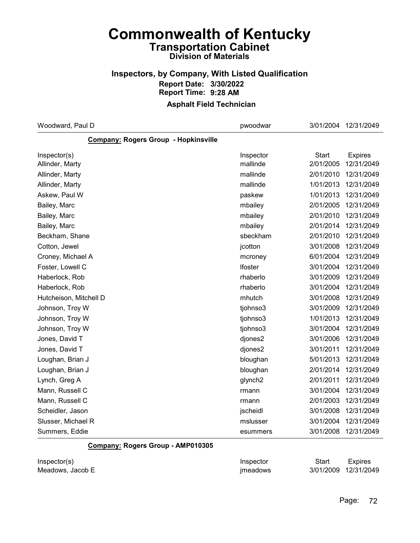### Inspectors, by Company, With Listed Qualification Report Date: 3/30/2022 Report Time: 9:28 AM

### Asphalt Field Technician

| Woodward, Paul D                            | pwoodwar            | 3/01/2004    | 12/31/2049     |
|---------------------------------------------|---------------------|--------------|----------------|
| <b>Company: Rogers Group - Hopkinsville</b> |                     |              |                |
| Inspector(s)                                | Inspector           | <b>Start</b> | <b>Expires</b> |
| Allinder, Marty                             | mallinde            | 2/01/2005    | 12/31/2049     |
| Allinder, Marty                             | mallinde            | 2/01/2010    | 12/31/2049     |
| Allinder, Marty                             | mallinde            | 1/01/2013    | 12/31/2049     |
| Askew, Paul W                               | paskew              | 1/01/2013    | 12/31/2049     |
| Bailey, Marc                                | mbailey             | 2/01/2005    | 12/31/2049     |
| Bailey, Marc                                | mbailey             | 2/01/2010    | 12/31/2049     |
| Bailey, Marc                                | mbailey             | 2/01/2014    | 12/31/2049     |
| Beckham, Shane                              | sbeckham            | 2/01/2010    | 12/31/2049     |
| Cotton, Jewel                               | jcotton             | 3/01/2008    | 12/31/2049     |
| Croney, Michael A                           | mcroney             | 6/01/2004    | 12/31/2049     |
| Foster, Lowell C                            | Ifoster             | 3/01/2004    | 12/31/2049     |
| Haberlock, Rob                              | rhaberlo            | 3/01/2009    | 12/31/2049     |
| Haberlock, Rob                              | rhaberlo            | 3/01/2004    | 12/31/2049     |
| Hutcheison, Mitchell D                      | mhutch              | 3/01/2008    | 12/31/2049     |
| Johnson, Troy W                             | tjohnso3            | 3/01/2009    | 12/31/2049     |
| Johnson, Troy W                             | tjohnso3            | 1/01/2013    | 12/31/2049     |
| Johnson, Troy W                             | tjohnso3            | 3/01/2004    | 12/31/2049     |
| Jones, David T                              | djones2             | 3/01/2006    | 12/31/2049     |
| Jones, David T                              | djones2             | 3/01/2011    | 12/31/2049     |
| Loughan, Brian J                            | bloughan            | 5/01/2013    | 12/31/2049     |
| Loughan, Brian J                            | bloughan            | 2/01/2014    | 12/31/2049     |
| Lynch, Greg A                               | glynch <sub>2</sub> | 2/01/2011    | 12/31/2049     |
| Mann, Russell C                             | rmann               | 3/01/2004    | 12/31/2049     |
| Mann, Russell C                             | rmann               | 2/01/2003    | 12/31/2049     |
| Scheidler, Jason                            | jscheidl            | 3/01/2008    | 12/31/2049     |
| Slusser, Michael R                          | mslusser            | 3/01/2004    | 12/31/2049     |
| Summers, Eddie                              | esummers            | 3/01/2008    | 12/31/2049     |

#### Company: Rogers Group - AMP010305

| Inspector(s)     | Inspector | Start                | <b>Expires</b> |
|------------------|-----------|----------------------|----------------|
| Meadows, Jacob E | imeadows  | 3/01/2009 12/31/2049 |                |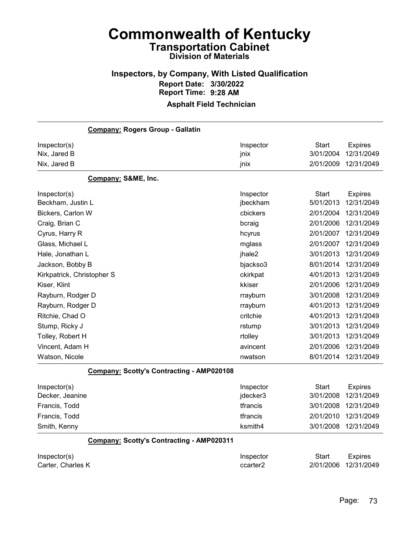## Inspectors, by Company, With Listed Qualification Report Date: 3/30/2022 Report Time: 9:28 AM

| <b>Company: Rogers Group - Gallatin</b>          |                   |                           |                              |
|--------------------------------------------------|-------------------|---------------------------|------------------------------|
| Inspector(s)<br>Nix, Jared B                     | Inspector<br>jnix | <b>Start</b><br>3/01/2004 | <b>Expires</b><br>12/31/2049 |
| Nix, Jared B                                     | jnix              | 2/01/2009                 | 12/31/2049                   |
| Company: S&ME, Inc.                              |                   |                           |                              |
| Inspector(s)                                     | Inspector         | Start                     | <b>Expires</b>               |
| Beckham, Justin L                                | jbeckham          | 5/01/2013                 | 12/31/2049                   |
| Bickers, Carlon W                                | cbickers          | 2/01/2004                 | 12/31/2049                   |
| Craig, Brian C                                   | bcraig            | 2/01/2006                 | 12/31/2049                   |
| Cyrus, Harry R                                   | hcyrus            | 2/01/2007                 | 12/31/2049                   |
| Glass, Michael L                                 | mglass            | 2/01/2007                 | 12/31/2049                   |
| Hale, Jonathan L                                 | jhale2            | 3/01/2013                 | 12/31/2049                   |
| Jackson, Bobby B                                 | bjackso3          | 8/01/2014                 | 12/31/2049                   |
| Kirkpatrick, Christopher S                       | ckirkpat          | 4/01/2013                 | 12/31/2049                   |
| Kiser, Klint                                     | kkiser            | 2/01/2006                 | 12/31/2049                   |
| Rayburn, Rodger D                                | rrayburn          | 3/01/2008                 | 12/31/2049                   |
| Rayburn, Rodger D                                | rrayburn          | 4/01/2013                 | 12/31/2049                   |
| Ritchie, Chad O                                  | critchie          | 4/01/2013                 | 12/31/2049                   |
| Stump, Ricky J                                   | rstump            | 3/01/2013                 | 12/31/2049                   |
| Tolley, Robert H                                 | rtolley           | 3/01/2013                 | 12/31/2049                   |
| Vincent, Adam H                                  | avincent          | 2/01/2006                 | 12/31/2049                   |
| Watson, Nicole                                   | nwatson           | 8/01/2014                 | 12/31/2049                   |
| <b>Company: Scotty's Contracting - AMP020108</b> |                   |                           |                              |
| Inspector(s)                                     | Inspector         | <b>Start</b>              | <b>Expires</b>               |
| Decker, Jeanine                                  | jdecker3          | 3/01/2008                 | 12/31/2049                   |
| Francis, Todd                                    | tfrancis          | 3/01/2008                 | 12/31/2049                   |
| Francis, Todd                                    | tfrancis          | 2/01/2010                 | 12/31/2049                   |
| Smith, Kenny                                     | ksmith4           | 3/01/2008                 | 12/31/2049                   |
| <b>Company: Scotty's Contracting - AMP020311</b> |                   |                           |                              |
| Inspector(s)                                     | Inspector         | <b>Start</b>              | <b>Expires</b>               |
| Carter, Charles K                                | ccarter2          | 2/01/2006                 | 12/31/2049                   |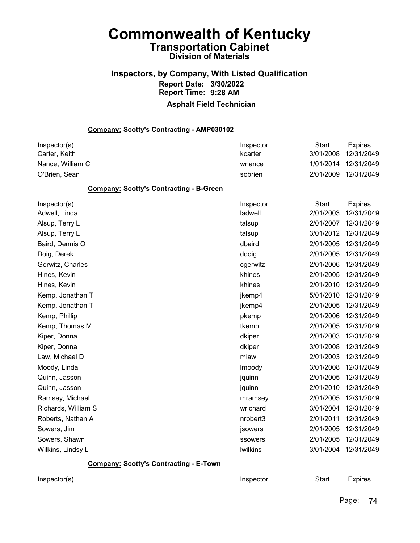## Inspectors, by Company, With Listed Qualification Report Date: 3/30/2022 Report Time: 9:28 AM

### Asphalt Field Technician

| Company: Scotty's Contracting - AMP030102      |                      |                           |                              |
|------------------------------------------------|----------------------|---------------------------|------------------------------|
| Inspector(s)<br>Carter, Keith                  | Inspector<br>kcarter | <b>Start</b><br>3/01/2008 | <b>Expires</b><br>12/31/2049 |
| Nance, William C                               | wnance               | 1/01/2014                 | 12/31/2049                   |
| O'Brien, Sean                                  | sobrien              | 2/01/2009                 | 12/31/2049                   |
| <b>Company: Scotty's Contracting - B-Green</b> |                      |                           |                              |
| Inspector(s)                                   | Inspector            | <b>Start</b>              | <b>Expires</b>               |
| Adwell, Linda                                  | ladwell              | 2/01/2003                 | 12/31/2049                   |
| Alsup, Terry L                                 | talsup               | 2/01/2007                 | 12/31/2049                   |
| Alsup, Terry L                                 | talsup               | 3/01/2012                 | 12/31/2049                   |
| Baird, Dennis O                                | dbaird               | 2/01/2005                 | 12/31/2049                   |
| Doig, Derek                                    | ddoig                | 2/01/2005                 | 12/31/2049                   |
| Gerwitz, Charles                               | cgerwitz             | 2/01/2006                 | 12/31/2049                   |
| Hines, Kevin                                   | khines               | 2/01/2005                 | 12/31/2049                   |
| Hines, Kevin                                   | khines               | 2/01/2010                 | 12/31/2049                   |
| Kemp, Jonathan T                               | jkemp4               | 5/01/2010                 | 12/31/2049                   |
| Kemp, Jonathan T                               | jkemp4               | 2/01/2005                 | 12/31/2049                   |
| Kemp, Phillip                                  | pkemp                | 2/01/2006                 | 12/31/2049                   |
| Kemp, Thomas M                                 | tkemp                | 2/01/2005                 | 12/31/2049                   |
| Kiper, Donna                                   | dkiper               | 2/01/2003                 | 12/31/2049                   |
| Kiper, Donna                                   | dkiper               | 3/01/2008                 | 12/31/2049                   |
| Law, Michael D                                 | mlaw                 | 2/01/2003                 | 12/31/2049                   |
| Moody, Linda                                   | Imoody               | 3/01/2008                 | 12/31/2049                   |
| Quinn, Jasson                                  | jquinn               | 2/01/2005                 | 12/31/2049                   |
| Quinn, Jasson                                  | jquinn               | 2/01/2010                 | 12/31/2049                   |
| Ramsey, Michael                                | mramsey              | 2/01/2005                 | 12/31/2049                   |
| Richards, William S                            | wrichard             | 3/01/2004                 | 12/31/2049                   |
| Roberts, Nathan A                              | nrobert3             | 2/01/2011                 | 12/31/2049                   |
| Sowers, Jim                                    | jsowers              | 2/01/2005                 | 12/31/2049                   |
| Sowers, Shawn                                  | ssowers              | 2/01/2005                 | 12/31/2049                   |
| Wilkins, Lindsy L                              | <b>Iwilkins</b>      | 3/01/2004                 | 12/31/2049                   |

Company: Scotty's Contracting - E-Town

Inspector(s) **Inspector** Start Expires

Page: 74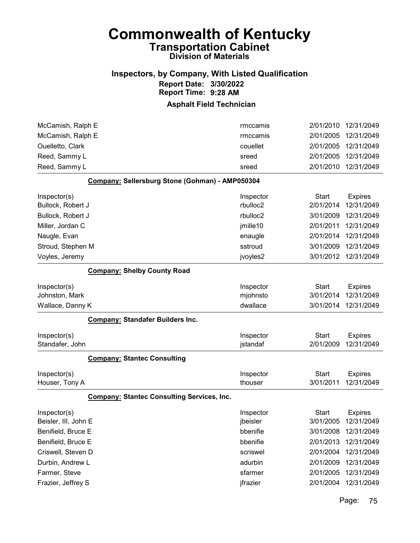### Inspectors, by Company, With Listed Qualification Report Date: 3/30/2022 Report Time: 9:28 AM

### Asphalt Field Technician

| McCamish, Ralph E    |                                                   | rmccamis  | 2/01/2010    | 12/31/2049     |
|----------------------|---------------------------------------------------|-----------|--------------|----------------|
| McCamish, Ralph E    |                                                   | rmccamis  | 2/01/2005    | 12/31/2049     |
| Ouelletto, Clark     |                                                   | couellet  | 2/01/2005    | 12/31/2049     |
| Reed, Sammy L        |                                                   | sreed     | 2/01/2005    | 12/31/2049     |
| Reed, Sammy L        |                                                   | sreed     | 2/01/2010    | 12/31/2049     |
|                      | Company: Sellersburg Stone (Gohman) - AMP050304   |           |              |                |
| Inspector(s)         |                                                   | Inspector | <b>Start</b> | <b>Expires</b> |
| Bullock, Robert J    |                                                   | rbulloc2  | 2/01/2014    | 12/31/2049     |
| Bullock, Robert J    |                                                   | rbulloc2  | 3/01/2009    | 12/31/2049     |
| Miller, Jordan C     |                                                   | jmille10  | 2/01/2011    | 12/31/2049     |
| Naugle, Evan         |                                                   | enaugle   | 2/01/2014    | 12/31/2049     |
| Stroud, Stephen M    |                                                   | sstroud   | 3/01/2009    | 12/31/2049     |
| Voyles, Jeremy       |                                                   | jvoyles2  | 3/01/2012    | 12/31/2049     |
|                      | <b>Company: Shelby County Road</b>                |           |              |                |
| Inspector(s)         |                                                   | Inspector | <b>Start</b> | <b>Expires</b> |
| Johnston, Mark       |                                                   | mjohnsto  | 3/01/2014    | 12/31/2049     |
| Wallace, Danny K     |                                                   | dwallace  | 3/01/2014    | 12/31/2049     |
|                      | <b>Company: Standafer Builders Inc.</b>           |           |              |                |
| Inspector(s)         |                                                   | Inspector | <b>Start</b> | <b>Expires</b> |
| Standafer, John      |                                                   | jstandaf  | 2/01/2009    | 12/31/2049     |
|                      | <b>Company: Stantec Consulting</b>                |           |              |                |
| Inspector(s)         |                                                   | Inspector | <b>Start</b> | <b>Expires</b> |
| Houser, Tony A       |                                                   | thouser   | 3/01/2011    | 12/31/2049     |
|                      | <b>Company: Stantec Consulting Services, Inc.</b> |           |              |                |
| Inspector(s)         |                                                   | Inspector | <b>Start</b> | <b>Expires</b> |
| Beisler, III, John E |                                                   | jbeisler  | 3/01/2005    | 12/31/2049     |
| Benifield, Bruce E   |                                                   | bbenifie  | 3/01/2008    | 12/31/2049     |
| Benifield, Bruce E   |                                                   | bbenifie  | 2/01/2013    | 12/31/2049     |
| Criswell, Steven D   |                                                   | scriswel  | 2/01/2004    | 12/31/2049     |
| Durbin, Andrew L     |                                                   | adurbin   | 2/01/2009    | 12/31/2049     |
| Farmer, Steve        |                                                   | sfarmer   | 2/01/2005    | 12/31/2049     |
| Frazier, Jeffrey S   |                                                   | jfrazier  | 2/01/2004    | 12/31/2049     |

Page: 75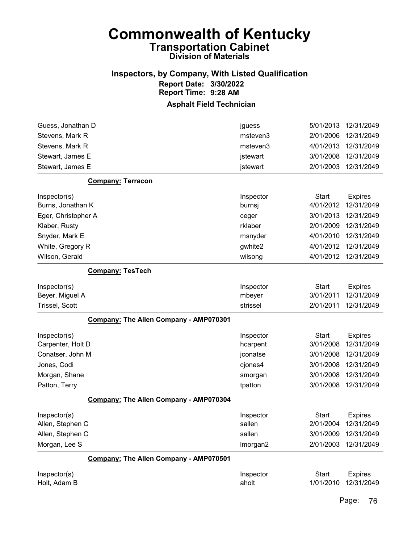## Inspectors, by Company, With Listed Qualification Report Date: 3/30/2022 Report Time: 9:28 AM

### Asphalt Field Technician

| Guess, Jonathan D                      | jguess    | 5/01/2013    | 12/31/2049     |
|----------------------------------------|-----------|--------------|----------------|
| Stevens, Mark R                        | msteven3  | 2/01/2006    | 12/31/2049     |
| Stevens, Mark R                        | msteven3  | 4/01/2013    | 12/31/2049     |
| Stewart, James E                       | jstewart  | 3/01/2008    | 12/31/2049     |
| Stewart, James E                       | jstewart  | 2/01/2003    | 12/31/2049     |
| <b>Company: Terracon</b>               |           |              |                |
| Inspector(s)                           | Inspector | <b>Start</b> | <b>Expires</b> |
| Burns, Jonathan K                      | burnsj    | 4/01/2012    | 12/31/2049     |
| Eger, Christopher A                    | ceger     | 3/01/2013    | 12/31/2049     |
| Klaber, Rusty                          | rklaber   | 2/01/2009    | 12/31/2049     |
| Snyder, Mark E                         | msnyder   | 4/01/2010    | 12/31/2049     |
| White, Gregory R                       | gwhite2   | 4/01/2012    | 12/31/2049     |
| Wilson, Gerald                         | wilsong   | 4/01/2012    | 12/31/2049     |
| <b>Company: TesTech</b>                |           |              |                |
| Inspector(s)                           | Inspector | <b>Start</b> | <b>Expires</b> |
| Beyer, Miguel A                        | mbeyer    | 3/01/2011    | 12/31/2049     |
| <b>Trissel, Scott</b>                  | strissel  | 2/01/2011    | 12/31/2049     |
| Company: The Allen Company - AMP070301 |           |              |                |
| Inspector(s)                           | Inspector | <b>Start</b> | <b>Expires</b> |
| Carpenter, Holt D                      | hcarpent  | 3/01/2008    | 12/31/2049     |
| Conatser, John M                       | jconatse  | 3/01/2008    | 12/31/2049     |
| Jones, Codi                            | cjones4   | 3/01/2008    | 12/31/2049     |
| Morgan, Shane                          | smorgan   | 3/01/2008    | 12/31/2049     |
| Patton, Terry                          | tpatton   | 3/01/2008    | 12/31/2049     |
| Company: The Allen Company - AMP070304 |           |              |                |
| Inspector(s)                           | Inspector | <b>Start</b> | <b>Expires</b> |
| Allen, Stephen C                       | sallen    | 2/01/2004    | 12/31/2049     |
| Allen, Stephen C                       | sallen    | 3/01/2009    | 12/31/2049     |
| Morgan, Lee S                          | Imorgan2  | 2/01/2003    | 12/31/2049     |
| Company: The Allen Company - AMP070501 |           |              |                |
| Inspector(s)                           | Inspector | <b>Start</b> | <b>Expires</b> |
| Holt, Adam B                           | aholt     | 1/01/2010    | 12/31/2049     |

Page: 76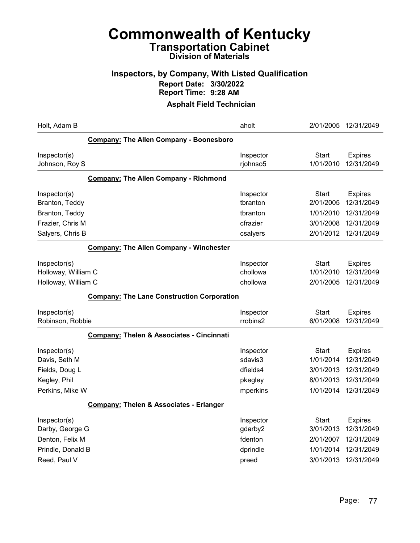### Inspectors, by Company, With Listed Qualification Report Date: 3/30/2022 Report Time: 9:28 AM

| Holt, Adam B                                                                            | aholt                                                |                                                           | 2/01/2005 12/31/2049                                                   |
|-----------------------------------------------------------------------------------------|------------------------------------------------------|-----------------------------------------------------------|------------------------------------------------------------------------|
| <b>Company: The Allen Company - Boonesboro</b>                                          |                                                      |                                                           |                                                                        |
| Inspector(s)<br>Johnson, Roy S                                                          | Inspector<br>rjohnso5                                | Start<br>1/01/2010                                        | <b>Expires</b><br>12/31/2049                                           |
| <b>Company: The Allen Company - Richmond</b>                                            |                                                      |                                                           |                                                                        |
| Inspector(s)<br>Branton, Teddy                                                          | Inspector<br>tbranton                                | Start<br>2/01/2005                                        | <b>Expires</b><br>12/31/2049                                           |
| Branton, Teddy                                                                          | tbranton                                             | 1/01/2010                                                 | 12/31/2049                                                             |
| Frazier, Chris M                                                                        | cfrazier                                             | 3/01/2008                                                 | 12/31/2049                                                             |
| Salyers, Chris B                                                                        | csalyers                                             | 2/01/2012                                                 | 12/31/2049                                                             |
| <b>Company: The Allen Company - Winchester</b>                                          |                                                      |                                                           |                                                                        |
| Inspector(s)<br>Holloway, William C<br>Holloway, William C                              | Inspector<br>chollowa<br>chollowa                    | <b>Start</b><br>1/01/2010<br>2/01/2005                    | <b>Expires</b><br>12/31/2049<br>12/31/2049                             |
| <b>Company: The Lane Construction Corporation</b>                                       |                                                      |                                                           |                                                                        |
| Inspector(s)<br>Robinson, Robbie                                                        | Inspector<br>rrobins2                                | Start<br>6/01/2008                                        | <b>Expires</b><br>12/31/2049                                           |
| <b>Company: Thelen &amp; Associates - Cincinnati</b>                                    |                                                      |                                                           |                                                                        |
| Inspector(s)<br>Davis, Seth M<br>Fields, Doug L<br>Kegley, Phil                         | Inspector<br>sdavis3<br>dfields4<br>pkegley          | Start<br>1/01/2014<br>3/01/2013<br>8/01/2013              | <b>Expires</b><br>12/31/2049<br>12/31/2049<br>12/31/2049               |
| Perkins, Mike W                                                                         | mperkins                                             | 1/01/2014                                                 | 12/31/2049                                                             |
| <b>Company: Thelen &amp; Associates - Erlanger</b>                                      |                                                      |                                                           |                                                                        |
| Inspector(s)<br>Darby, George G<br>Denton, Felix M<br>Prindle, Donald B<br>Reed, Paul V | Inspector<br>gdarby2<br>fdenton<br>dprindle<br>preed | Start<br>3/01/2013<br>2/01/2007<br>1/01/2014<br>3/01/2013 | <b>Expires</b><br>12/31/2049<br>12/31/2049<br>12/31/2049<br>12/31/2049 |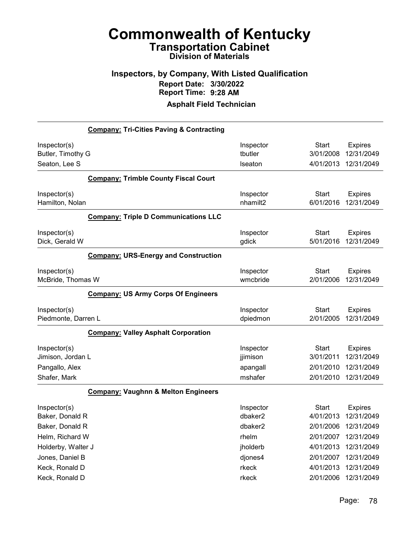### Inspectors, by Company, With Listed Qualification Report Date: 3/30/2022 Report Time: 9:28 AM

|                                                     | <b>Company: Tri-Cities Paving &amp; Contracting</b> |                                   |                                        |                                            |
|-----------------------------------------------------|-----------------------------------------------------|-----------------------------------|----------------------------------------|--------------------------------------------|
| Inspector(s)<br>Butler, Timothy G<br>Seaton, Lee S  |                                                     | Inspector<br>tbutler<br>Iseaton   | <b>Start</b><br>3/01/2008<br>4/01/2013 | <b>Expires</b><br>12/31/2049<br>12/31/2049 |
|                                                     | <b>Company: Trimble County Fiscal Court</b>         |                                   |                                        |                                            |
| Inspector(s)<br>Hamilton, Nolan                     |                                                     | Inspector<br>nhamilt2             | <b>Start</b><br>6/01/2016              | <b>Expires</b><br>12/31/2049               |
|                                                     | <b>Company: Triple D Communications LLC</b>         |                                   |                                        |                                            |
| Inspector(s)<br>Dick, Gerald W                      |                                                     | Inspector<br>gdick                | <b>Start</b><br>5/01/2016              | <b>Expires</b><br>12/31/2049               |
|                                                     | <b>Company: URS-Energy and Construction</b>         |                                   |                                        |                                            |
| Inspector(s)<br>McBride, Thomas W                   |                                                     | Inspector<br>wmcbride             | <b>Start</b><br>2/01/2006              | <b>Expires</b><br>12/31/2049               |
|                                                     | <b>Company: US Army Corps Of Engineers</b>          |                                   |                                        |                                            |
| Inspector(s)<br>Piedmonte, Darren L                 |                                                     | Inspector<br>dpiedmon             | <b>Start</b><br>2/01/2005              | <b>Expires</b><br>12/31/2049               |
|                                                     | <b>Company: Valley Asphalt Corporation</b>          |                                   |                                        |                                            |
| Inspector(s)<br>Jimison, Jordan L<br>Pangallo, Alex |                                                     | Inspector<br>jjimison<br>apangall | <b>Start</b><br>3/01/2011<br>2/01/2010 | <b>Expires</b><br>12/31/2049<br>12/31/2049 |
| Shafer, Mark                                        |                                                     | mshafer                           | 2/01/2010                              | 12/31/2049                                 |
|                                                     | <b>Company: Vaughnn &amp; Melton Engineers</b>      |                                   |                                        |                                            |
| Inspector(s)<br>Baker, Donald R                     |                                                     | Inspector<br>dbaker2              | <b>Start</b><br>4/01/2013              | <b>Expires</b><br>12/31/2049               |
| Baker, Donald R<br>Helm, Richard W                  |                                                     | dbaker2<br>rhelm                  | 2/01/2006<br>2/01/2007                 | 12/31/2049<br>12/31/2049                   |
| Holderby, Walter J                                  |                                                     | jholderb                          | 4/01/2013                              | 12/31/2049                                 |
| Jones, Daniel B                                     |                                                     | djones4                           | 2/01/2007                              | 12/31/2049                                 |
| Keck, Ronald D                                      |                                                     | rkeck                             | 4/01/2013                              | 12/31/2049                                 |
| Keck, Ronald D                                      |                                                     | rkeck                             | 2/01/2006                              | 12/31/2049                                 |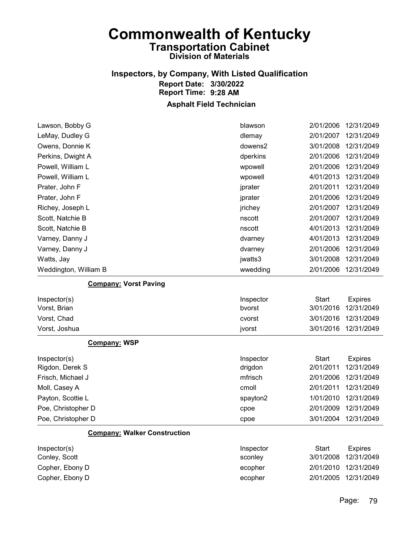## Inspectors, by Company, With Listed Qualification Report Date: 3/30/2022 Report Time: 9:28 AM

| Lawson, Bobby G                     | blawson   | 2/01/2006    | 12/31/2049     |
|-------------------------------------|-----------|--------------|----------------|
| LeMay, Dudley G                     | dlemay    | 2/01/2007    | 12/31/2049     |
| Owens, Donnie K                     | dowens2   | 3/01/2008    | 12/31/2049     |
| Perkins, Dwight A                   | dperkins  | 2/01/2006    | 12/31/2049     |
| Powell, William L                   | wpowell   | 2/01/2006    | 12/31/2049     |
| Powell, William L                   | wpowell   | 4/01/2013    | 12/31/2049     |
| Prater, John F                      | jprater   | 2/01/2011    | 12/31/2049     |
| Prater, John F                      | jprater   | 2/01/2006    | 12/31/2049     |
| Richey, Joseph L                    | jrichey   | 2/01/2007    | 12/31/2049     |
| Scott, Natchie B                    | nscott    | 2/01/2007    | 12/31/2049     |
| Scott, Natchie B                    | nscott    | 4/01/2013    | 12/31/2049     |
| Varney, Danny J                     | dvarney   | 4/01/2013    | 12/31/2049     |
| Varney, Danny J                     | dvarney   | 2/01/2006    | 12/31/2049     |
| Watts, Jay                          | jwatts3   | 3/01/2008    | 12/31/2049     |
| Weddington, William B               | wwedding  | 2/01/2006    | 12/31/2049     |
| <b>Company: Vorst Paving</b>        |           |              |                |
| Inspector(s)                        | Inspector | <b>Start</b> | <b>Expires</b> |
| Vorst, Brian                        | bvorst    | 3/01/2016    | 12/31/2049     |
| Vorst, Chad                         | cvorst    | 3/01/2016    | 12/31/2049     |
| Vorst, Joshua                       | jvorst    | 3/01/2016    | 12/31/2049     |
| <b>Company: WSP</b>                 |           |              |                |
| Inspector(s)                        | Inspector | <b>Start</b> | <b>Expires</b> |
| Rigdon, Derek S                     | drigdon   | 2/01/2011    | 12/31/2049     |
| Frisch, Michael J                   | mfrisch   | 2/01/2006    | 12/31/2049     |
| Moll, Casey A                       | cmoll     | 2/01/2011    | 12/31/2049     |
| Payton, Scottie L                   | spayton2  | 1/01/2010    | 12/31/2049     |
| Poe, Christopher D                  | cpoe      | 2/01/2009    | 12/31/2049     |
| Poe, Christopher D                  | cpoe      | 3/01/2004    | 12/31/2049     |
| <b>Company: Walker Construction</b> |           |              |                |
| Inspector(s)                        | Inspector | <b>Start</b> | <b>Expires</b> |
| Conley, Scott                       | sconley   | 3/01/2008    | 12/31/2049     |
| Copher, Ebony D                     | ecopher   | 2/01/2010    | 12/31/2049     |
| Copher, Ebony D                     | ecopher   | 2/01/2005    | 12/31/2049     |